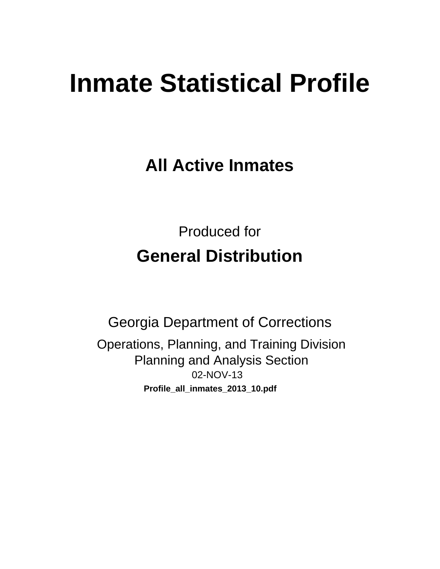# **Inmate Statistical Profile**

**All Active Inmates** 

**Produced for General Distribution** 

**Georgia Department of Corrections** Operations, Planning, and Training Division **Planning and Analysis Section** 02-NOV-13 Profile\_all\_inmates\_2013\_10.pdf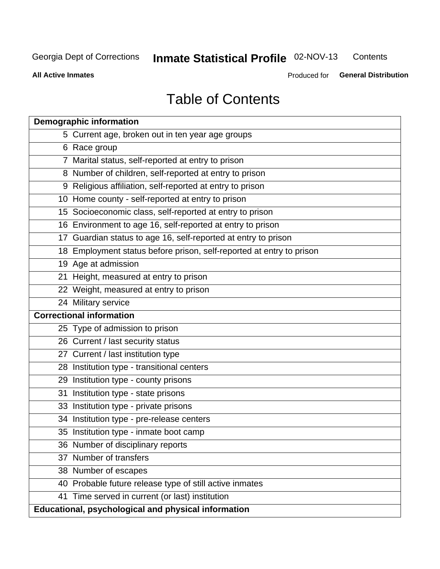#### Inmate Statistical Profile 02-NOV-13 Contents

**All Active Inmates** 

Produced for General Distribution

# **Table of Contents**

|    | <b>Demographic information</b>                                       |
|----|----------------------------------------------------------------------|
|    | 5 Current age, broken out in ten year age groups                     |
|    | 6 Race group                                                         |
|    | 7 Marital status, self-reported at entry to prison                   |
|    | 8 Number of children, self-reported at entry to prison               |
|    | 9 Religious affiliation, self-reported at entry to prison            |
|    | 10 Home county - self-reported at entry to prison                    |
|    | 15 Socioeconomic class, self-reported at entry to prison             |
|    | 16 Environment to age 16, self-reported at entry to prison           |
|    | 17 Guardian status to age 16, self-reported at entry to prison       |
|    | 18 Employment status before prison, self-reported at entry to prison |
|    | 19 Age at admission                                                  |
|    | 21 Height, measured at entry to prison                               |
|    | 22 Weight, measured at entry to prison                               |
|    | 24 Military service                                                  |
|    | <b>Correctional information</b>                                      |
|    | 25 Type of admission to prison                                       |
|    | 26 Current / last security status                                    |
|    | 27 Current / last institution type                                   |
|    | 28 Institution type - transitional centers                           |
|    | 29 Institution type - county prisons                                 |
| 31 | Institution type - state prisons                                     |
|    | 33 Institution type - private prisons                                |
|    | 34 Institution type - pre-release centers                            |
|    | 35 Institution type - inmate boot camp                               |
|    | 36 Number of disciplinary reports                                    |
|    | 37 Number of transfers                                               |
|    | 38 Number of escapes                                                 |
|    | 40 Probable future release type of still active inmates              |
|    | 41 Time served in current (or last) institution                      |
|    | Educational, psychological and physical information                  |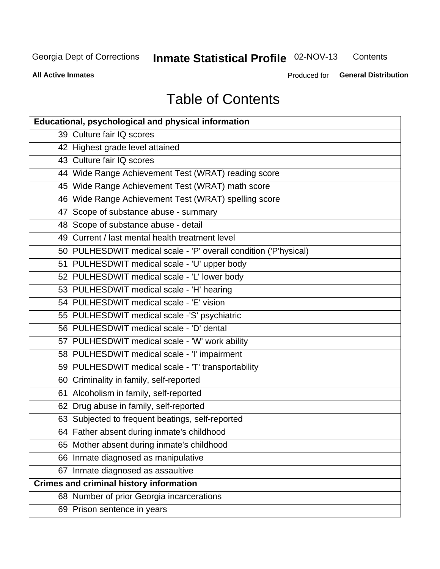#### **Inmate Statistical Profile 02-NOV-13** Contents

**All Active Inmates** 

Produced for General Distribution

# **Table of Contents**

| <b>Educational, psychological and physical information</b>       |
|------------------------------------------------------------------|
| 39 Culture fair IQ scores                                        |
| 42 Highest grade level attained                                  |
| 43 Culture fair IQ scores                                        |
| 44 Wide Range Achievement Test (WRAT) reading score              |
| 45 Wide Range Achievement Test (WRAT) math score                 |
| 46 Wide Range Achievement Test (WRAT) spelling score             |
| 47 Scope of substance abuse - summary                            |
| 48 Scope of substance abuse - detail                             |
| 49 Current / last mental health treatment level                  |
| 50 PULHESDWIT medical scale - 'P' overall condition ('P'hysical) |
| 51 PULHESDWIT medical scale - 'U' upper body                     |
| 52 PULHESDWIT medical scale - 'L' lower body                     |
| 53 PULHESDWIT medical scale - 'H' hearing                        |
| 54 PULHESDWIT medical scale - 'E' vision                         |
| 55 PULHESDWIT medical scale -'S' psychiatric                     |
| 56 PULHESDWIT medical scale - 'D' dental                         |
| 57 PULHESDWIT medical scale - 'W' work ability                   |
| 58 PULHESDWIT medical scale - 'I' impairment                     |
| 59 PULHESDWIT medical scale - 'T' transportability               |
| 60 Criminality in family, self-reported                          |
| 61 Alcoholism in family, self-reported                           |
| 62 Drug abuse in family, self-reported                           |
| 63 Subjected to frequent beatings, self-reported                 |
| 64 Father absent during inmate's childhood                       |
| 65 Mother absent during inmate's childhood                       |
| 66 Inmate diagnosed as manipulative                              |
| 67 Inmate diagnosed as assaultive                                |
| <b>Crimes and criminal history information</b>                   |
| 68 Number of prior Georgia incarcerations                        |
| 69 Prison sentence in years                                      |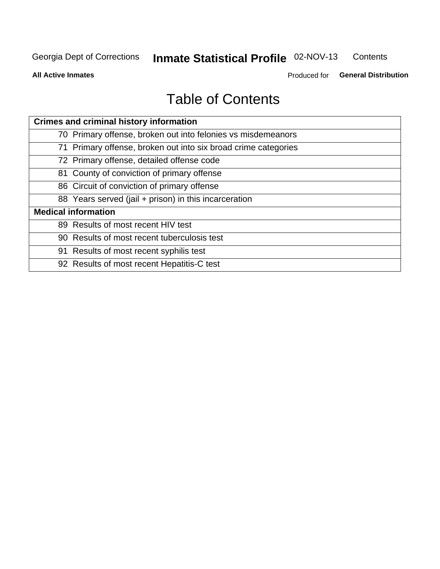#### Inmate Statistical Profile 02-NOV-13 Contents

**All Active Inmates** 

Produced for General Distribution

# **Table of Contents**

| <b>Crimes and criminal history information</b>                 |
|----------------------------------------------------------------|
| 70 Primary offense, broken out into felonies vs misdemeanors   |
| 71 Primary offense, broken out into six broad crime categories |
| 72 Primary offense, detailed offense code                      |
| 81 County of conviction of primary offense                     |
| 86 Circuit of conviction of primary offense                    |
| 88 Years served (jail + prison) in this incarceration          |
| <b>Medical information</b>                                     |
| 89 Results of most recent HIV test                             |
| 90 Results of most recent tuberculosis test                    |
| 91 Results of most recent syphilis test                        |
| 92 Results of most recent Hepatitis-C test                     |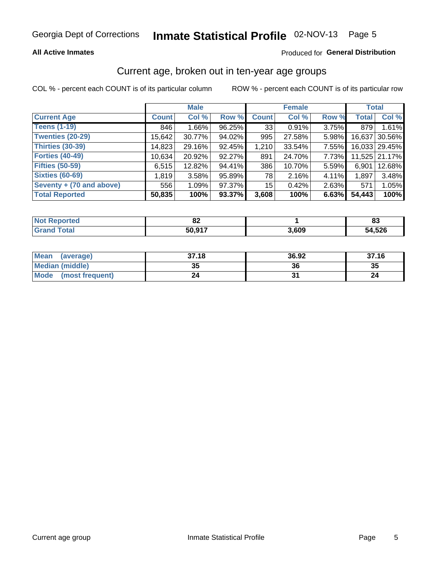### **All Active Inmates**

### Produced for General Distribution

### Current age, broken out in ten-year age groups

COL % - percent each COUNT is of its particular column

|                          |              | <b>Male</b> |        |                 | <b>Female</b> |          | <b>Total</b> |               |
|--------------------------|--------------|-------------|--------|-----------------|---------------|----------|--------------|---------------|
| <b>Current Age</b>       | <b>Count</b> | Col %       | Row %  | <b>Count</b>    | Col %         | Row %    | <b>Total</b> | Col %         |
| <b>Teens (1-19)</b>      | 846          | $1.66\%$    | 96.25% | 33 <sub>1</sub> | 0.91%         | 3.75%    | 879          | 1.61%         |
| <b>Twenties (20-29)</b>  | 15,642       | 30.77%      | 94.02% | 995             | 27.58%        | 5.98%    | 16,637       | 30.56%        |
| <b>Thirties (30-39)</b>  | 14,823       | 29.16%      | 92.45% | 1,210           | 33.54%        | 7.55%    |              | 16,033 29.45% |
| <b>Forties (40-49)</b>   | 10,634       | 20.92%      | 92.27% | 891             | 24.70%        | 7.73%    |              | 11,525 21.17% |
| <b>Fifties (50-59)</b>   | 6,515        | 12.82%      | 94.41% | 386             | 10.70%        | 5.59%    | 6,901        | 12.68%        |
| <b>Sixties (60-69)</b>   | 1,819        | 3.58%       | 95.89% | 78              | 2.16%         | 4.11%    | 1.897        | 3.48%         |
| Seventy + (70 and above) | 556          | 1.09%       | 97.37% | 15 <sub>1</sub> | 0.42%         | $2.63\%$ | 571          | 1.05%         |
| <b>Total Reported</b>    | 50,835       | 100%        | 93.37% | 3,608           | 100%          | 6.63%    | 54,443       | 100%          |

| <b>Not Reported</b> | ^^<br>ОZ |       | o۹<br>ບປ |
|---------------------|----------|-------|----------|
| Total               | 50.917   | 3,609 | 54,526   |

| <b>Mean</b><br>(average)       | 37.18    | 36.92 | 37.16 |
|--------------------------------|----------|-------|-------|
| Median (middle)                | つん<br>vu | 36    | 35    |
| <b>Mode</b><br>(most frequent) | 24       |       |       |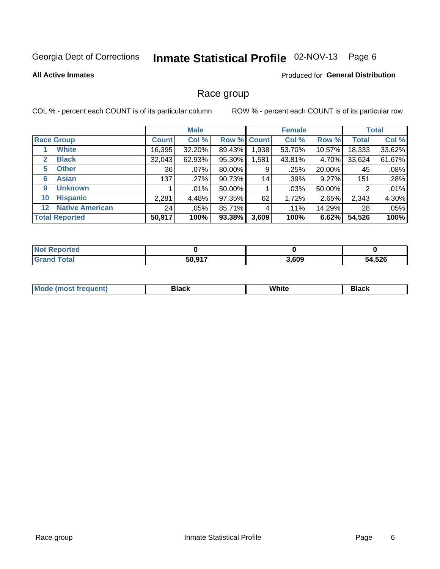# Inmate Statistical Profile 02-NOV-13 Page 6

#### **All Active Inmates**

### **Produced for General Distribution**

### Race group

COL % - percent each COUNT is of its particular column

|                       |                        |              | <b>Male</b> |                    |       | <b>Female</b> |        |              | <b>Total</b> |
|-----------------------|------------------------|--------------|-------------|--------------------|-------|---------------|--------|--------------|--------------|
| <b>Race Group</b>     |                        | <b>Count</b> | Col %       | <b>Row % Count</b> |       | Col %         | Row %  | <b>Total</b> | Col %        |
|                       | <b>White</b>           | 16,395       | 32.20%      | 89.43%             | 1,938 | 53.70%        | 10.57% | 18,333       | 33.62%       |
| $\mathbf{2}$          | <b>Black</b>           | 32,043       | 62.93%      | 95.30%             | .581  | 43.81%        | 4.70%  | 33,624       | 61.67%       |
| 5                     | <b>Other</b>           | 36           | $.07\%$     | 80.00%             | 9     | .25%          | 20.00% | 45           | .08%         |
| 6                     | <b>Asian</b>           | 137          | .27%        | 90.73%             | 14    | .39%          | 9.27%  | 151          | .28%         |
| 9                     | <b>Unknown</b>         |              | .01%        | 50.00%             |       | $.03\%$       | 50.00% | 2            | .01%         |
| 10                    | <b>Hispanic</b>        | 2,281        | 4.48%       | 97.35%             | 62    | 1.72%         | 2.65%  | 2,343        | 4.30%        |
| $12 \,$               | <b>Native American</b> | 24           | .05%        | 85.71%             | 4     | $.11\%$       | 14.29% | 28           | .05%         |
| <b>Total Reported</b> |                        | 50,917       | 100%        | 93.38%             | 3,609 | 100%          | 6.62%  | 54,526       | 100%         |

| Reported<br><b>NOT</b> |        |       |        |
|------------------------|--------|-------|--------|
| <b>Total</b><br>'Grano | 50,917 | 3,609 | 54,526 |

| M.<br>____ | . | ------- |
|------------|---|---------|
|            |   |         |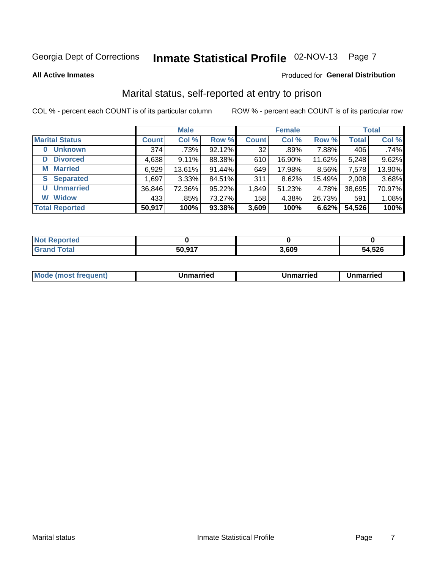# Inmate Statistical Profile 02-NOV-13 Page 7

#### **All Active Inmates**

#### Produced for General Distribution

### Marital status, self-reported at entry to prison

COL % - percent each COUNT is of its particular column

|                            |              | <b>Male</b> |        |              | <b>Female</b> |        |              | <b>Total</b> |
|----------------------------|--------------|-------------|--------|--------------|---------------|--------|--------------|--------------|
| <b>Marital Status</b>      | <b>Count</b> | Col %       | Row %  | <b>Count</b> | Col %         | Row %  | <b>Total</b> | Col %        |
| <b>Unknown</b><br>$\bf{0}$ | 374          | .73%        | 92.12% | 32           | .89%          | 7.88%  | 406          | .74%         |
| <b>Divorced</b><br>D       | 4,638        | 9.11%       | 88.38% | 610          | 16.90%        | 11.62% | 5,248        | 9.62%        |
| <b>Married</b><br>М        | 6,929        | 13.61%      | 91.44% | 649          | 17.98%        | 8.56%  | 7,578        | 13.90%       |
| <b>Separated</b><br>S.     | 1,697        | 3.33%       | 84.51% | 311          | 8.62%         | 15.49% | 2,008        | 3.68%        |
| <b>Unmarried</b><br>U      | 36,846       | 72.36%      | 95.22% | 1,849        | 51.23%        | 4.78%  | 38,695       | 70.97%       |
| <b>Widow</b><br>W          | 433          | .85%        | 73.27% | 158          | 4.38%         | 26.73% | 591          | 1.08%        |
| <b>Total Reported</b>      | 50,917       | 100%        | 93.38% | 3,609        | 100%          | 6.62%  | 54,526       | 100%         |

| $N$ ot F<br>morted ∴ |        |      |        |
|----------------------|--------|------|--------|
| <b>Fotal</b>         | 50 Q17 | ,609 | 54,526 |

| <b>Mode (most frequent)</b><br>Unmarried<br>Unmarried<br>Jnmarried |
|--------------------------------------------------------------------|
|--------------------------------------------------------------------|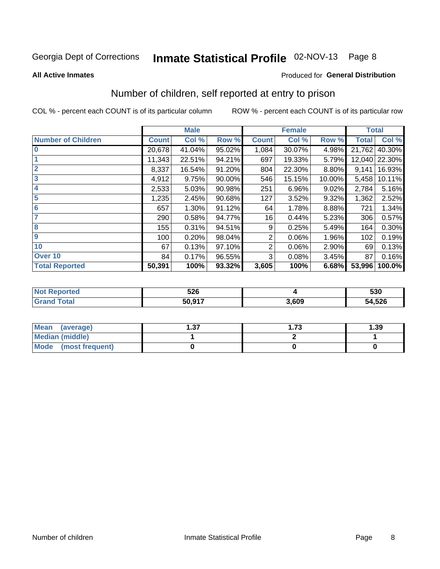# Inmate Statistical Profile 02-NOV-13 Page 8

#### **All Active Inmates**

### Produced for General Distribution

### Number of children, self reported at entry to prison

COL % - percent each COUNT is of its particular column

|                           |              | <b>Male</b> |        |                | <b>Female</b> |        | <b>Total</b> |        |
|---------------------------|--------------|-------------|--------|----------------|---------------|--------|--------------|--------|
| <b>Number of Children</b> | <b>Count</b> | Col %       | Row %  | <b>Count</b>   | Col %         | Row %  | <b>Total</b> | Col %  |
| 10                        | 20,678       | 41.04%      | 95.02% | 1,084          | 30.07%        | 4.98%  | 21,762       | 40.30% |
|                           | 11,343       | 22.51%      | 94.21% | 697            | 19.33%        | 5.79%  | 12,040       | 22.30% |
| $\overline{2}$            | 8,337        | 16.54%      | 91.20% | 804            | 22.30%        | 8.80%  | 9,141        | 16.93% |
| $\overline{\mathbf{3}}$   | 4,912        | 9.75%       | 90.00% | 546            | 15.15%        | 10.00% | 5,458        | 10.11% |
| $\overline{\mathbf{4}}$   | 2,533        | 5.03%       | 90.98% | 251            | 6.96%         | 9.02%  | 2,784        | 5.16%  |
| 5                         | 1,235        | 2.45%       | 90.68% | 127            | 3.52%         | 9.32%  | 1,362        | 2.52%  |
| $6\phantom{1}6$           | 657          | 1.30%       | 91.12% | 64             | 1.78%         | 8.88%  | 721          | 1.34%  |
| 7                         | 290          | 0.58%       | 94.77% | 16             | 0.44%         | 5.23%  | 306          | 0.57%  |
| 8                         | 155          | 0.31%       | 94.51% | 9              | 0.25%         | 5.49%  | 164          | 0.30%  |
| 9                         | 100          | 0.20%       | 98.04% | 2              | 0.06%         | 1.96%  | 102          | 0.19%  |
| 10                        | 67           | 0.13%       | 97.10% | $\overline{2}$ | 0.06%         | 2.90%  | 69           | 0.13%  |
| Over 10                   | 84           | 0.17%       | 96.55% | 3              | 0.08%         | 3.45%  | 87           | 0.16%  |
| <b>Total Reported</b>     | 50,391       | 100%        | 93.32% | 3,605          | 100%          | 6.68%  | 53,996       | 100.0% |

| w. | ちつに<br>しんい |      | 530          |
|----|------------|------|--------------|
|    | 50.017     | .609 | 54,526<br>54 |

| <b>Mean</b><br>(average)       | דפ<br>I .J 1 | 1.73 | 1.39 |
|--------------------------------|--------------|------|------|
| Median (middle)                |              |      |      |
| <b>Mode</b><br>(most frequent) |              |      |      |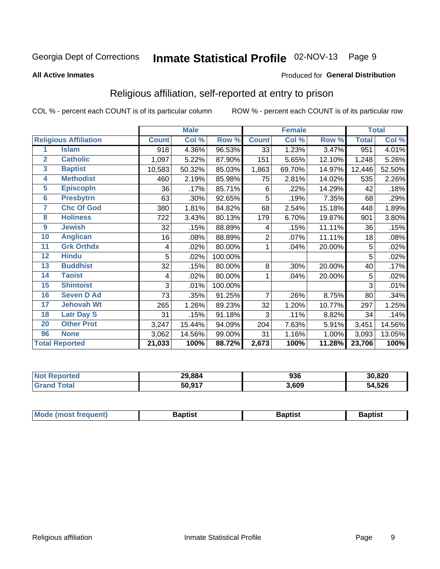# Inmate Statistical Profile 02-NOV-13 Page 9

#### **All Active Inmates**

#### Produced for General Distribution

### Religious affiliation, self-reported at entry to prison

COL % - percent each COUNT is of its particular column

|                 |                              | <b>Male</b>  |        | <b>Female</b> |                |        | <b>Total</b> |              |        |
|-----------------|------------------------------|--------------|--------|---------------|----------------|--------|--------------|--------------|--------|
|                 | <b>Religious Affiliation</b> | <b>Count</b> | Col %  | Row %         | <b>Count</b>   | Col %  | Row %        | <b>Total</b> | Col %  |
| 1               | <b>Islam</b>                 | 918          | 4.36%  | 96.53%        | 33             | 1.23%  | 3.47%        | 951          | 4.01%  |
| $\overline{2}$  | <b>Catholic</b>              | 1,097        | 5.22%  | 87.90%        | 151            | 5.65%  | 12.10%       | 1,248        | 5.26%  |
| $\mathbf{3}$    | <b>Baptist</b>               | 10,583       | 50.32% | 85.03%        | 1,863          | 69.70% | 14.97%       | 12,446       | 52.50% |
| 4               | <b>Methodist</b>             | 460          | 2.19%  | 85.98%        | 75             | 2.81%  | 14.02%       | 535          | 2.26%  |
| 5               | <b>EpiscopIn</b>             | 36           | .17%   | 85.71%        | 6              | .22%   | 14.29%       | 42           | .18%   |
| $6\phantom{a}$  | <b>Presbytrn</b>             | 63           | .30%   | 92.65%        | 5              | .19%   | 7.35%        | 68           | .29%   |
| 7               | <b>Chc Of God</b>            | 380          | 1.81%  | 84.82%        | 68             | 2.54%  | 15.18%       | 448          | 1.89%  |
| 8               | <b>Holiness</b>              | 722          | 3.43%  | 80.13%        | 179            | 6.70%  | 19.87%       | 901          | 3.80%  |
| $\overline{9}$  | <b>Jewish</b>                | 32           | .15%   | 88.89%        | 4              | .15%   | 11.11%       | 36           | .15%   |
| 10              | <b>Anglican</b>              | 16           | .08%   | 88.89%        | $\overline{2}$ | .07%   | 11.11%       | 18           | .08%   |
| 11              | <b>Grk Orthdx</b>            | 4            | .02%   | 80.00%        | 1              | .04%   | 20.00%       | 5            | .02%   |
| 12              | <b>Hindu</b>                 | 5            | .02%   | 100.00%       |                |        |              | 5            | .02%   |
| 13              | <b>Buddhist</b>              | 32           | .15%   | 80.00%        | 8              | .30%   | 20.00%       | 40           | .17%   |
| 14              | <b>Taoist</b>                | 4            | .02%   | 80.00%        | 1              | .04%   | 20.00%       | 5            | .02%   |
| 15              | <b>Shintoist</b>             | 3            | .01%   | 100.00%       |                |        |              | 3            | .01%   |
| 16              | <b>Seven D Ad</b>            | 73           | .35%   | 91.25%        | 7              | .26%   | 8.75%        | 80           | .34%   |
| 17 <sub>2</sub> | <b>Jehovah Wt</b>            | 265          | 1.26%  | 89.23%        | 32             | 1.20%  | 10.77%       | 297          | 1.25%  |
| 18              | <b>Latr Day S</b>            | 31           | .15%   | 91.18%        | 3              | .11%   | 8.82%        | 34           | .14%   |
| 20              | <b>Other Prot</b>            | 3,247        | 15.44% | 94.09%        | 204            | 7.63%  | 5.91%        | 3,451        | 14.56% |
| 96              | <b>None</b>                  | 3,062        | 14.56% | 99.00%        | 31             | 1.16%  | 1.00%        | 3,093        | 13.05% |
|                 | <b>Total Reported</b>        | 21,033       | 100%   | 88.72%        | 2,673          | 100%   | 11.28%       | 23,706       | 100%   |

| 29,884<br>$\sim$ | ሰኃር<br>งงต | 30,820     |
|------------------|------------|------------|
| 50,917           | 3,609      | ,526<br>54 |

| Mode (most frequent) | <b>3aptist</b> | 3aptist | <b>Baptist</b> |
|----------------------|----------------|---------|----------------|
|                      |                |         |                |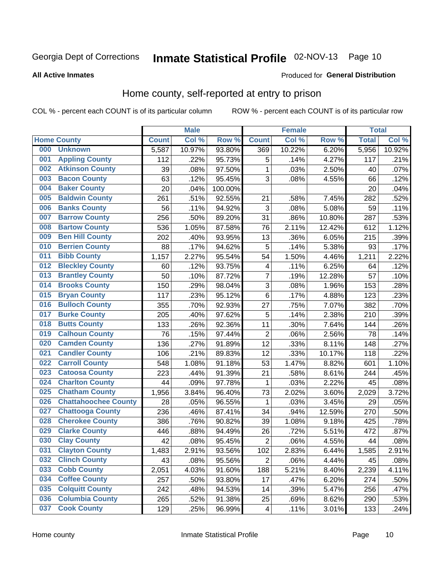# Inmate Statistical Profile 02-NOV-13 Page 10

### **All Active Inmates**

#### Produced for General Distribution

### Home county, self-reported at entry to prison

COL % - percent each COUNT is of its particular column

|     |                             |              | <b>Male</b> |         |                         | <b>Female</b> |        | <b>Total</b> |        |
|-----|-----------------------------|--------------|-------------|---------|-------------------------|---------------|--------|--------------|--------|
|     | <b>Home County</b>          | <b>Count</b> | Col %       | Row %   | <b>Count</b>            | Col %         | Row %  | <b>Total</b> | Col %  |
| 000 | <b>Unknown</b>              | 5,587        | 10.97%      | 93.80%  | 369                     | 10.22%        | 6.20%  | 5,956        | 10.92% |
| 001 | <b>Appling County</b>       | 112          | .22%        | 95.73%  | 5                       | .14%          | 4.27%  | 117          | .21%   |
| 002 | <b>Atkinson County</b>      | 39           | .08%        | 97.50%  | 1                       | .03%          | 2.50%  | 40           | .07%   |
| 003 | <b>Bacon County</b>         | 63           | .12%        | 95.45%  | 3                       | .08%          | 4.55%  | 66           | .12%   |
| 004 | <b>Baker County</b>         | 20           | .04%        | 100.00% |                         |               |        | 20           | .04%   |
| 005 | <b>Baldwin County</b>       | 261          | .51%        | 92.55%  | 21                      | .58%          | 7.45%  | 282          | .52%   |
| 006 | <b>Banks County</b>         | 56           | .11%        | 94.92%  | 3                       | .08%          | 5.08%  | 59           | .11%   |
| 007 | <b>Barrow County</b>        | 256          | .50%        | 89.20%  | 31                      | .86%          | 10.80% | 287          | .53%   |
| 008 | <b>Bartow County</b>        | 536          | 1.05%       | 87.58%  | 76                      | 2.11%         | 12.42% | 612          | 1.12%  |
| 009 | <b>Ben Hill County</b>      | 202          | .40%        | 93.95%  | 13                      | .36%          | 6.05%  | 215          | .39%   |
| 010 | <b>Berrien County</b>       | 88           | .17%        | 94.62%  | 5                       | .14%          | 5.38%  | 93           | .17%   |
| 011 | <b>Bibb County</b>          | 1,157        | 2.27%       | 95.54%  | 54                      | 1.50%         | 4.46%  | 1,211        | 2.22%  |
| 012 | <b>Bleckley County</b>      | 60           | .12%        | 93.75%  | 4                       | .11%          | 6.25%  | 64           | .12%   |
| 013 | <b>Brantley County</b>      | 50           | .10%        | 87.72%  | $\overline{7}$          | .19%          | 12.28% | 57           | .10%   |
| 014 | <b>Brooks County</b>        | 150          | .29%        | 98.04%  | 3                       | .08%          | 1.96%  | 153          | .28%   |
| 015 | <b>Bryan County</b>         | 117          | .23%        | 95.12%  | 6                       | .17%          | 4.88%  | 123          | .23%   |
| 016 | <b>Bulloch County</b>       | 355          | .70%        | 92.93%  | 27                      | .75%          | 7.07%  | 382          | .70%   |
| 017 | <b>Burke County</b>         | 205          | .40%        | 97.62%  | 5                       | .14%          | 2.38%  | 210          | .39%   |
| 018 | <b>Butts County</b>         | 133          | .26%        | 92.36%  | 11                      | .30%          | 7.64%  | 144          | .26%   |
| 019 | <b>Calhoun County</b>       | 76           | .15%        | 97.44%  | $\overline{2}$          | .06%          | 2.56%  | 78           | .14%   |
| 020 | <b>Camden County</b>        | 136          | .27%        | 91.89%  | 12                      | .33%          | 8.11%  | 148          | .27%   |
| 021 | <b>Candler County</b>       | 106          | .21%        | 89.83%  | 12                      | .33%          | 10.17% | 118          | .22%   |
| 022 | <b>Carroll County</b>       | 548          | 1.08%       | 91.18%  | 53                      | 1.47%         | 8.82%  | 601          | 1.10%  |
| 023 | <b>Catoosa County</b>       | 223          | .44%        | 91.39%  | 21                      | .58%          | 8.61%  | 244          | .45%   |
| 024 | <b>Charlton County</b>      | 44           | .09%        | 97.78%  | 1                       | .03%          | 2.22%  | 45           | .08%   |
| 025 | <b>Chatham County</b>       | 1,956        | 3.84%       | 96.40%  | 73                      | 2.02%         | 3.60%  | 2,029        | 3.72%  |
| 026 | <b>Chattahoochee County</b> | 28           | .05%        | 96.55%  | $\mathbf{1}$            | .03%          | 3.45%  | 29           | .05%   |
| 027 | <b>Chattooga County</b>     | 236          | .46%        | 87.41%  | 34                      | .94%          | 12.59% | 270          | .50%   |
| 028 | <b>Cherokee County</b>      | 386          | .76%        | 90.82%  | 39                      | 1.08%         | 9.18%  | 425          | .78%   |
| 029 | <b>Clarke County</b>        | 446          | .88%        | 94.49%  | 26                      | .72%          | 5.51%  | 472          | .87%   |
| 030 | <b>Clay County</b>          | 42           | .08%        | 95.45%  | $\overline{2}$          | .06%          | 4.55%  | 44           | .08%   |
| 031 | <b>Clayton County</b>       | 1,483        | 2.91%       | 93.56%  | 102                     | 2.83%         | 6.44%  | 1,585        | 2.91%  |
| 032 | <b>Clinch County</b>        | 43           | .08%        | 95.56%  | $\overline{2}$          | .06%          | 4.44%  | 45           | .08%   |
| 033 | <b>Cobb County</b>          | 2,051        | 4.03%       | 91.60%  | 188                     | 5.21%         | 8.40%  | 2,239        | 4.11%  |
| 034 | <b>Coffee County</b>        | 257          | .50%        | 93.80%  | 17                      | .47%          | 6.20%  | 274          | .50%   |
| 035 | <b>Colquitt County</b>      | 242          | .48%        | 94.53%  | 14                      | .39%          | 5.47%  | 256          | .47%   |
| 036 | <b>Columbia County</b>      | 265          | .52%        | 91.38%  | 25                      | .69%          | 8.62%  | 290          | .53%   |
| 037 | <b>Cook County</b>          | 129          | .25%        | 96.99%  | $\overline{\mathbf{4}}$ | .11%          | 3.01%  | 133          | .24%   |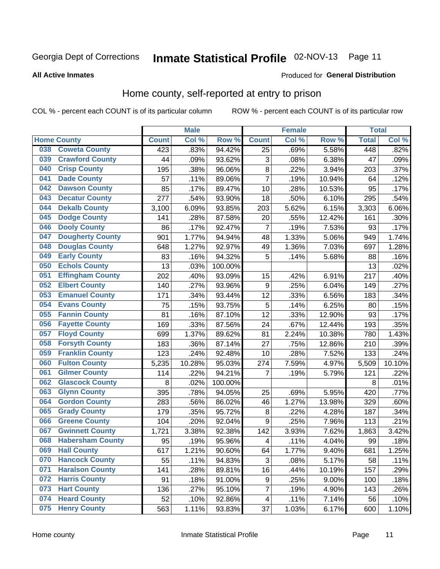#### Inmate Statistical Profile 02-NOV-13 Page 11

**All Active Inmates** 

### **Produced for General Distribution**

### Home county, self-reported at entry to prison

COL % - percent each COUNT is of its particular column

|     |                         |              | <b>Male</b> |                  |                  | <b>Female</b> |          | <b>Total</b> |        |
|-----|-------------------------|--------------|-------------|------------------|------------------|---------------|----------|--------------|--------|
|     | <b>Home County</b>      | <b>Count</b> | Col%        | Row <sup>%</sup> | <b>Count</b>     | Col %         | Row %    | <b>Total</b> | Col %  |
| 038 | <b>Coweta County</b>    | 423          | .83%        | 94.42%           | 25               | .69%          | 5.58%    | 448          | .82%   |
| 039 | <b>Crawford County</b>  | 44           | .09%        | 93.62%           | 3                | .08%          | 6.38%    | 47           | .09%   |
| 040 | <b>Crisp County</b>     | 195          | .38%        | 96.06%           | $\bf 8$          | .22%          | 3.94%    | 203          | .37%   |
| 041 | <b>Dade County</b>      | 57           | .11%        | 89.06%           | $\overline{7}$   | .19%          | 10.94%   | 64           | .12%   |
| 042 | <b>Dawson County</b>    | 85           | .17%        | 89.47%           | 10               | .28%          | 10.53%   | 95           | .17%   |
| 043 | <b>Decatur County</b>   | 277          | .54%        | 93.90%           | 18               | .50%          | 6.10%    | 295          | .54%   |
| 044 | <b>Dekalb County</b>    | 3,100        | 6.09%       | 93.85%           | 203              | 5.62%         | 6.15%    | 3,303        | 6.06%  |
| 045 | <b>Dodge County</b>     | 141          | .28%        | 87.58%           | 20               | .55%          | 12.42%   | 161          | .30%   |
| 046 | <b>Dooly County</b>     | 86           | .17%        | 92.47%           | 7                | .19%          | 7.53%    | 93           | .17%   |
| 047 | <b>Dougherty County</b> | 901          | 1.77%       | 94.94%           | 48               | 1.33%         | 5.06%    | 949          | 1.74%  |
| 048 | <b>Douglas County</b>   | 648          | 1.27%       | 92.97%           | 49               | 1.36%         | 7.03%    | 697          | 1.28%  |
| 049 | <b>Early County</b>     | 83           | .16%        | 94.32%           | 5                | .14%          | 5.68%    | 88           | .16%   |
| 050 | <b>Echols County</b>    | 13           | .03%        | 100.00%          |                  |               |          | 13           | .02%   |
| 051 | <b>Effingham County</b> | 202          | .40%        | 93.09%           | 15               | .42%          | 6.91%    | 217          | .40%   |
| 052 | <b>Elbert County</b>    | 140          | .27%        | 93.96%           | $\boldsymbol{9}$ | .25%          | 6.04%    | 149          | .27%   |
| 053 | <b>Emanuel County</b>   | 171          | .34%        | 93.44%           | 12               | .33%          | 6.56%    | 183          | .34%   |
| 054 | <b>Evans County</b>     | 75           | .15%        | 93.75%           | 5                | .14%          | 6.25%    | 80           | .15%   |
| 055 | <b>Fannin County</b>    | 81           | .16%        | 87.10%           | 12               | .33%          | 12.90%   | 93           | .17%   |
| 056 | <b>Fayette County</b>   | 169          | .33%        | 87.56%           | 24               | .67%          | 12.44%   | 193          | .35%   |
| 057 | <b>Floyd County</b>     | 699          | 1.37%       | 89.62%           | 81               | 2.24%         | 10.38%   | 780          | 1.43%  |
| 058 | <b>Forsyth County</b>   | 183          | .36%        | 87.14%           | 27               | .75%          | 12.86%   | 210          | .39%   |
| 059 | <b>Franklin County</b>  | 123          | .24%        | 92.48%           | 10               | .28%          | 7.52%    | 133          | .24%   |
| 060 | <b>Fulton County</b>    | 5,235        | 10.28%      | 95.03%           | 274              | 7.59%         | 4.97%    | 5,509        | 10.10% |
| 061 | <b>Gilmer County</b>    | 114          | .22%        | 94.21%           | 7                | .19%          | 5.79%    | 121          | .22%   |
| 062 | <b>Glascock County</b>  | 8            | .02%        | 100.00%          |                  |               |          | 8            | .01%   |
| 063 | <b>Glynn County</b>     | 395          | .78%        | 94.05%           | 25               | .69%          | 5.95%    | 420          | .77%   |
| 064 | <b>Gordon County</b>    | 283          | .56%        | 86.02%           | 46               | 1.27%         | 13.98%   | 329          | .60%   |
| 065 | <b>Grady County</b>     | 179          | .35%        | 95.72%           | 8                | .22%          | 4.28%    | 187          | .34%   |
| 066 | <b>Greene County</b>    | 104          | .20%        | 92.04%           | 9                | .25%          | 7.96%    | 113          | .21%   |
| 067 | <b>Gwinnett County</b>  | 1,721        | 3.38%       | 92.38%           | 142              | 3.93%         | 7.62%    | 1,863        | 3.42%  |
| 068 | <b>Habersham County</b> | 95           | .19%        | 95.96%           | 4                | .11%          | 4.04%    | 99           | .18%   |
| 069 | <b>Hall County</b>      | 617          | 1.21%       | 90.60%           | 64               | 1.77%         | 9.40%    | 681          | 1.25%  |
| 070 | <b>Hancock County</b>   | 55           | .11%        | 94.83%           | 3                | .08%          | 5.17%    | 58           | .11%   |
| 071 | <b>Haralson County</b>  | 141          | .28%        | 89.81%           | 16               | .44%          | 10.19%   | 157          | .29%   |
| 072 | <b>Harris County</b>    | 91           | .18%        | 91.00%           | $\boldsymbol{9}$ | .25%          | $9.00\%$ | 100          | .18%   |
| 073 | <b>Hart County</b>      | 136          | .27%        | 95.10%           | 7                | .19%          | 4.90%    | 143          | .26%   |
| 074 | <b>Heard County</b>     | 52           | .10%        | 92.86%           | 4                | .11%          | 7.14%    | 56           | .10%   |
| 075 | <b>Henry County</b>     | 563          | 1.11%       | 93.83%           | 37               | 1.03%         | 6.17%    | 600          | 1.10%  |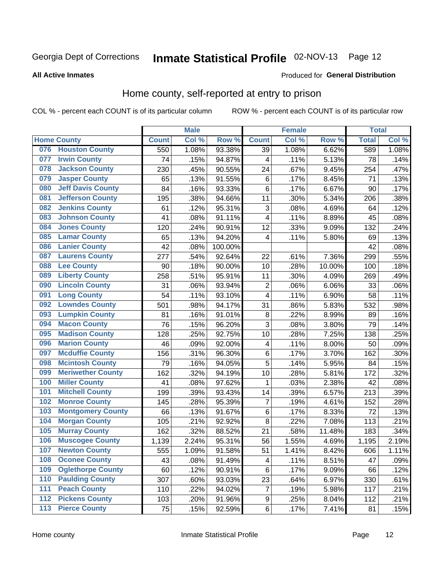# Inmate Statistical Profile 02-NOV-13 Page 12

#### **All Active Inmates**

#### Produced for General Distribution

### Home county, self-reported at entry to prison

COL % - percent each COUNT is of its particular column

|     |                          |              | <b>Male</b> |         |                  | Female |        | <b>Total</b> |       |
|-----|--------------------------|--------------|-------------|---------|------------------|--------|--------|--------------|-------|
|     | <b>Home County</b>       | <b>Count</b> | Col %       | Row %   | <b>Count</b>     | Col %  | Row %  | <b>Total</b> | Col % |
| 076 | <b>Houston County</b>    | 550          | 1.08%       | 93.38%  | 39               | 1.08%  | 6.62%  | 589          | 1.08% |
| 077 | <b>Irwin County</b>      | 74           | .15%        | 94.87%  | 4                | .11%   | 5.13%  | 78           | .14%  |
| 078 | <b>Jackson County</b>    | 230          | .45%        | 90.55%  | 24               | .67%   | 9.45%  | 254          | .47%  |
| 079 | <b>Jasper County</b>     | 65           | .13%        | 91.55%  | $\,6$            | .17%   | 8.45%  | 71           | .13%  |
| 080 | <b>Jeff Davis County</b> | 84           | .16%        | 93.33%  | 6                | .17%   | 6.67%  | 90           | .17%  |
| 081 | <b>Jefferson County</b>  | 195          | .38%        | 94.66%  | 11               | .30%   | 5.34%  | 206          | .38%  |
| 082 | <b>Jenkins County</b>    | 61           | .12%        | 95.31%  | 3                | .08%   | 4.69%  | 64           | .12%  |
| 083 | <b>Johnson County</b>    | 41           | .08%        | 91.11%  | 4                | .11%   | 8.89%  | 45           | .08%  |
| 084 | <b>Jones County</b>      | 120          | .24%        | 90.91%  | 12               | .33%   | 9.09%  | 132          | .24%  |
| 085 | <b>Lamar County</b>      | 65           | .13%        | 94.20%  | $\overline{4}$   | .11%   | 5.80%  | 69           | .13%  |
| 086 | <b>Lanier County</b>     | 42           | .08%        | 100.00% |                  |        |        | 42           | .08%  |
| 087 | <b>Laurens County</b>    | 277          | .54%        | 92.64%  | 22               | .61%   | 7.36%  | 299          | .55%  |
| 088 | <b>Lee County</b>        | 90           | .18%        | 90.00%  | 10               | .28%   | 10.00% | 100          | .18%  |
| 089 | <b>Liberty County</b>    | 258          | .51%        | 95.91%  | 11               | .30%   | 4.09%  | 269          | .49%  |
| 090 | <b>Lincoln County</b>    | 31           | .06%        | 93.94%  | $\overline{2}$   | .06%   | 6.06%  | 33           | .06%  |
| 091 | <b>Long County</b>       | 54           | .11%        | 93.10%  | 4                | .11%   | 6.90%  | 58           | .11%  |
| 092 | <b>Lowndes County</b>    | 501          | .98%        | 94.17%  | 31               | .86%   | 5.83%  | 532          | .98%  |
| 093 | <b>Lumpkin County</b>    | 81           | .16%        | 91.01%  | 8                | .22%   | 8.99%  | 89           | .16%  |
| 094 | <b>Macon County</b>      | 76           | .15%        | 96.20%  | 3                | .08%   | 3.80%  | 79           | .14%  |
| 095 | <b>Madison County</b>    | 128          | .25%        | 92.75%  | 10               | .28%   | 7.25%  | 138          | .25%  |
| 096 | <b>Marion County</b>     | 46           | .09%        | 92.00%  | 4                | .11%   | 8.00%  | 50           | .09%  |
| 097 | <b>Mcduffie County</b>   | 156          | .31%        | 96.30%  | $\,6$            | .17%   | 3.70%  | 162          | .30%  |
| 098 | <b>Mcintosh County</b>   | 79           | .16%        | 94.05%  | 5                | .14%   | 5.95%  | 84           | .15%  |
| 099 | <b>Meriwether County</b> | 162          | .32%        | 94.19%  | 10               | .28%   | 5.81%  | 172          | .32%  |
| 100 | <b>Miller County</b>     | 41           | .08%        | 97.62%  | 1                | .03%   | 2.38%  | 42           | .08%  |
| 101 | <b>Mitchell County</b>   | 199          | .39%        | 93.43%  | 14               | .39%   | 6.57%  | 213          | .39%  |
| 102 | <b>Monroe County</b>     | 145          | .28%        | 95.39%  | $\overline{7}$   | .19%   | 4.61%  | 152          | .28%  |
| 103 | <b>Montgomery County</b> | 66           | .13%        | 91.67%  | $\,6$            | .17%   | 8.33%  | 72           | .13%  |
| 104 | <b>Morgan County</b>     | 105          | .21%        | 92.92%  | 8                | .22%   | 7.08%  | 113          | .21%  |
| 105 | <b>Murray County</b>     | 162          | .32%        | 88.52%  | 21               | .58%   | 11.48% | 183          | .34%  |
| 106 | <b>Muscogee County</b>   | 1,139        | 2.24%       | 95.31%  | 56               | 1.55%  | 4.69%  | 1,195        | 2.19% |
| 107 | <b>Newton County</b>     | 555          | 1.09%       | 91.58%  | 51               | 1.41%  | 8.42%  | 606          | 1.11% |
| 108 | <b>Oconee County</b>     | 43           | .08%        | 91.49%  | 4                | .11%   | 8.51%  | 47           | .09%  |
| 109 | <b>Oglethorpe County</b> | 60           | .12%        | 90.91%  | $\,6$            | .17%   | 9.09%  | 66           | .12%  |
| 110 | <b>Paulding County</b>   | 307          | .60%        | 93.03%  | 23               | .64%   | 6.97%  | 330          | .61%  |
| 111 | <b>Peach County</b>      | 110          | .22%        | 94.02%  | 7                | .19%   | 5.98%  | 117          | .21%  |
| 112 | <b>Pickens County</b>    | 103          | .20%        | 91.96%  | $\boldsymbol{9}$ | .25%   | 8.04%  | 112          | .21%  |
| 113 | <b>Pierce County</b>     | 75           | .15%        | 92.59%  | $\,6$            | .17%   | 7.41%  | 81           | .15%  |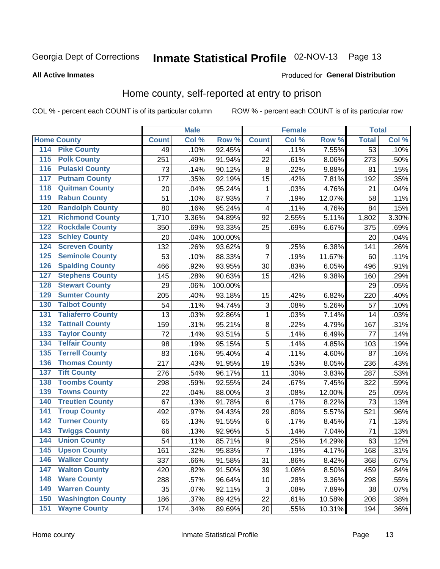# Inmate Statistical Profile 02-NOV-13 Page 13

### **All Active Inmates**

#### Produced for General Distribution

### Home county, self-reported at entry to prison

COL % - percent each COUNT is of its particular column

|                  |                          |              | <b>Male</b> |                  |                         | <b>Female</b> |        | <b>Total</b>    |       |
|------------------|--------------------------|--------------|-------------|------------------|-------------------------|---------------|--------|-----------------|-------|
|                  | <b>Home County</b>       | <b>Count</b> | Col %       | Row <sup>%</sup> | <b>Count</b>            | Col %         | Row %  | <b>Total</b>    | Col % |
| 114              | <b>Pike County</b>       | 49           | .10%        | 92.45%           | 4                       | .11%          | 7.55%  | $\overline{53}$ | .10%  |
| 115              | <b>Polk County</b>       | 251          | .49%        | 91.94%           | 22                      | .61%          | 8.06%  | 273             | .50%  |
| 116              | <b>Pulaski County</b>    | 73           | .14%        | 90.12%           | $\bf 8$                 | .22%          | 9.88%  | 81              | .15%  |
| 117              | <b>Putnam County</b>     | 177          | .35%        | 92.19%           | 15                      | .42%          | 7.81%  | 192             | .35%  |
| 118              | <b>Quitman County</b>    | 20           | .04%        | 95.24%           | 1                       | .03%          | 4.76%  | 21              | .04%  |
| 119              | <b>Rabun County</b>      | 51           | .10%        | 87.93%           | $\overline{7}$          | .19%          | 12.07% | 58              | .11%  |
| 120              | <b>Randolph County</b>   | 80           | .16%        | 95.24%           | $\overline{\mathbf{4}}$ | .11%          | 4.76%  | 84              | .15%  |
| 121              | <b>Richmond County</b>   | 1,710        | 3.36%       | 94.89%           | 92                      | 2.55%         | 5.11%  | 1,802           | 3.30% |
| 122              | <b>Rockdale County</b>   | 350          | .69%        | 93.33%           | 25                      | .69%          | 6.67%  | 375             | .69%  |
| 123              | <b>Schley County</b>     | 20           | .04%        | 100.00%          |                         |               |        | 20              | .04%  |
| 124              | <b>Screven County</b>    | 132          | .26%        | 93.62%           | 9                       | .25%          | 6.38%  | 141             | .26%  |
| 125              | <b>Seminole County</b>   | 53           | .10%        | 88.33%           | $\overline{7}$          | .19%          | 11.67% | 60              | .11%  |
| 126              | <b>Spalding County</b>   | 466          | .92%        | 93.95%           | 30                      | .83%          | 6.05%  | 496             | .91%  |
| 127              | <b>Stephens County</b>   | 145          | .28%        | 90.63%           | 15                      | .42%          | 9.38%  | 160             | .29%  |
| 128              | <b>Stewart County</b>    | 29           | .06%        | 100.00%          |                         |               |        | 29              | .05%  |
| 129              | <b>Sumter County</b>     | 205          | .40%        | 93.18%           | 15                      | .42%          | 6.82%  | 220             | .40%  |
| 130              | <b>Talbot County</b>     | 54           | .11%        | 94.74%           | 3                       | .08%          | 5.26%  | 57              | .10%  |
| 131              | <b>Taliaferro County</b> | 13           | .03%        | 92.86%           | $\mathbf{1}$            | .03%          | 7.14%  | 14              | .03%  |
| 132              | <b>Tattnall County</b>   | 159          | .31%        | 95.21%           | $\bf 8$                 | .22%          | 4.79%  | 167             | .31%  |
| 133              | <b>Taylor County</b>     | 72           | .14%        | 93.51%           | 5                       | .14%          | 6.49%  | 77              | .14%  |
| 134              | <b>Telfair County</b>    | 98           | .19%        | 95.15%           | 5                       | .14%          | 4.85%  | 103             | .19%  |
| $\overline{135}$ | <b>Terrell County</b>    | 83           | .16%        | 95.40%           | 4                       | .11%          | 4.60%  | 87              | .16%  |
| 136              | <b>Thomas County</b>     | 217          | .43%        | 91.95%           | 19                      | .53%          | 8.05%  | 236             | .43%  |
| 137              | <b>Tift County</b>       | 276          | .54%        | 96.17%           | 11                      | .30%          | 3.83%  | 287             | .53%  |
| 138              | <b>Toombs County</b>     | 298          | .59%        | 92.55%           | 24                      | .67%          | 7.45%  | 322             | .59%  |
| 139              | <b>Towns County</b>      | 22           | .04%        | 88.00%           | $\mathbf{3}$            | .08%          | 12.00% | 25              | .05%  |
| 140              | <b>Treutlen County</b>   | 67           | .13%        | 91.78%           | $\,6$                   | .17%          | 8.22%  | 73              | .13%  |
| 141              | <b>Troup County</b>      | 492          | .97%        | 94.43%           | 29                      | .80%          | 5.57%  | 521             | .96%  |
| 142              | <b>Turner County</b>     | 65           | .13%        | 91.55%           | $\,6$                   | .17%          | 8.45%  | 71              | .13%  |
| 143              | <b>Twiggs County</b>     | 66           | .13%        | 92.96%           | 5                       | .14%          | 7.04%  | 71              | .13%  |
| 144              | <b>Union County</b>      | 54           | .11%        | 85.71%           | $\overline{9}$          | .25%          | 14.29% | 63              | .12%  |
| 145              | <b>Upson County</b>      | 161          | .32%        | 95.83%           | $\overline{7}$          | .19%          | 4.17%  | 168             | .31%  |
| 146              | <b>Walker County</b>     | 337          | .66%        | 91.58%           | 31                      | .86%          | 8.42%  | 368             | .67%  |
| 147              | <b>Walton County</b>     | 420          | .82%        | 91.50%           | 39                      | 1.08%         | 8.50%  | 459             | .84%  |
| 148              | <b>Ware County</b>       | 288          | .57%        | 96.64%           | 10                      | .28%          | 3.36%  | 298             | .55%  |
| 149              | <b>Warren County</b>     | 35           | .07%        | 92.11%           | 3                       | .08%          | 7.89%  | 38              | .07%  |
| 150              | <b>Washington County</b> | 186          | .37%        | 89.42%           | 22                      | .61%          | 10.58% | 208             | .38%  |
| 151              | <b>Wayne County</b>      | 174          | .34%        | 89.69%           | 20                      | .55%          | 10.31% | 194             | .36%  |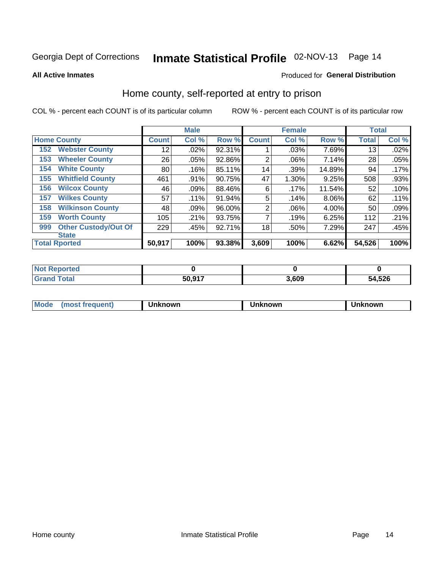# Inmate Statistical Profile 02-NOV-13 Page 14

**All Active Inmates** 

### Produced for General Distribution

### Home county, self-reported at entry to prison

COL % - percent each COUNT is of its particular column

|     |                             |              | <b>Male</b> |        |                | <b>Female</b> |          | <b>Total</b> |       |
|-----|-----------------------------|--------------|-------------|--------|----------------|---------------|----------|--------------|-------|
|     | <b>Home County</b>          | <b>Count</b> | Col %       | Row %  | <b>Count</b>   | Col %         | Row %    | <b>Total</b> | Col % |
| 152 | <b>Webster County</b>       | 12           | .02%        | 92.31% |                | .03%          | 7.69%    | 13           | .02%  |
| 153 | <b>Wheeler County</b>       | 26           | .05%        | 92.86% | $\overline{2}$ | .06%          | 7.14%    | 28           | .05%  |
| 154 | <b>White County</b>         | 80           | .16%        | 85.11% | 14             | .39%          | 14.89%   | 94           | .17%  |
| 155 | <b>Whitfield County</b>     | 461          | .91%        | 90.75% | 47             | 1.30%         | 9.25%    | 508          | .93%  |
| 156 | <b>Wilcox County</b>        | 46           | .09%        | 88.46% | 6              | .17%          | 11.54%   | 52           | .10%  |
| 157 | <b>Wilkes County</b>        | 57           | .11%        | 91.94% | 5              | .14%          | $8.06\%$ | 62           | .11%  |
| 158 | <b>Wilkinson County</b>     | 48           | .09%        | 96.00% | $\overline{2}$ | .06%          | 4.00%    | 50           | .09%  |
| 159 | <b>Worth County</b>         | 105          | .21%        | 93.75% | 7              | .19%          | 6.25%    | 112          | .21%  |
| 999 | <b>Other Custody/Out Of</b> | 229          | .45%        | 92.71% | 18             | .50%          | 7.29%    | 247          | .45%  |
|     | <b>State</b>                |              |             |        |                |               |          |              |       |
|     | <b>Total Rported</b>        | 50,917       | 100%        | 93.38% | 3,609          | 100%          | 6.62%    | 54,526       | 100%  |

| <b>Not</b><br><b>Reported</b> |        |       |        |
|-------------------------------|--------|-------|--------|
| <sup>-</sup> otal             | 50.917 | 3,609 | 54,526 |

| Mode<br><b>Tequent)</b><br>ns | nown | mown | เทown |
|-------------------------------|------|------|-------|
|                               |      |      |       |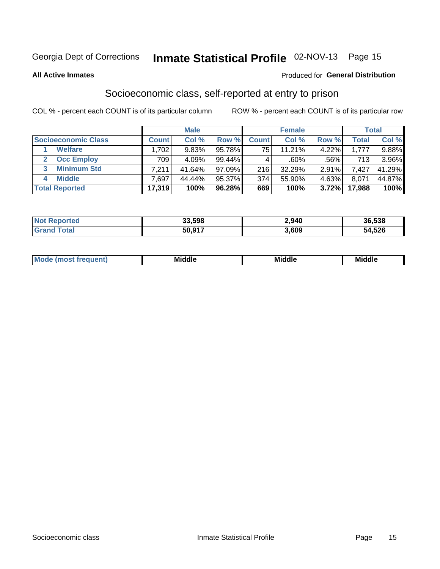# Inmate Statistical Profile 02-NOV-13 Page 15

### **All Active Inmates**

### **Produced for General Distribution**

### Socioeconomic class, self-reported at entry to prison

COL % - percent each COUNT is of its particular column

|                         |              | <b>Male</b> |           |              | <b>Female</b> |       |        | <b>Total</b> |
|-------------------------|--------------|-------------|-----------|--------------|---------------|-------|--------|--------------|
| Socioeconomic Class     | <b>Count</b> | Col %       | Row %     | <b>Count</b> | Col %         | Row % | Total, | Col %        |
| <b>Welfare</b>          | .702         | 9.83%       | 95.78%    | 75           | 11.21%        | 4.22% | 1.777  | $9.88\%$     |
| <b>Occ Employ</b>       | 709          | 4.09%       | $99.44\%$ |              | $.60\%$       | .56%  | 713    | 3.96%        |
| <b>Minimum Std</b><br>3 | 7.211        | 41.64%      | $97.09\%$ | 216          | 32.29%        | 2.91% | 7,427  | 41.29%       |
| <b>Middle</b>           | .697         | 44.44%      | 95.37%    | 374          | 55.90%        | 4.63% | 8.071  | 44.87%       |
| <b>Total Reported</b>   | 17,319       | 100%        | 96.28%    | 669          | 100%          | 3.72% | 17,988 | 100%         |

| <b>ported</b><br>' NO) | 33,598 | 2,940 | 36,538 |
|------------------------|--------|-------|--------|
| Fotol                  | 50,917 | 3,609 | 54,526 |

|  | M | <b>Middle</b><br>_____ | <b>Middle</b><br>____ | ____ |
|--|---|------------------------|-----------------------|------|
|--|---|------------------------|-----------------------|------|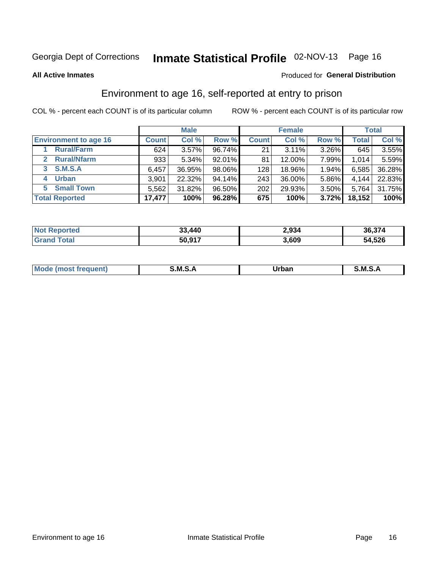# Inmate Statistical Profile 02-NOV-13 Page 16

**All Active Inmates** 

### **Produced for General Distribution**

### Environment to age 16, self-reported at entry to prison

COL % - percent each COUNT is of its particular column

|                                    |              | <b>Male</b> |           |              | <b>Female</b> |       |              | <b>Total</b> |
|------------------------------------|--------------|-------------|-----------|--------------|---------------|-------|--------------|--------------|
| <b>Environment to age 16</b>       | <b>Count</b> | Col %       | Row %     | <b>Count</b> | Col %         | Row % | <b>Total</b> | Col %        |
| <b>Rural/Farm</b>                  | 624          | 3.57%       | 96.74%    | 21           | 3.11%         | 3.26% | 645          | $3.55\%$     |
| <b>Rural/Nfarm</b><br>$\mathbf{2}$ | 933          | 5.34%       | $92.01\%$ | 81           | 12.00%        | 7.99% | 1,014        | 5.59%        |
| <b>S.M.S.A</b><br>3                | 6,457        | 36.95%      | 98.06%    | 128          | 18.96%        | 1.94% | 6,585        | 36.28%       |
| <b>Urban</b><br>4                  | 3,901        | 22.32%      | 94.14%    | 243          | 36.00%        | 5.86% | 4,144        | 22.83%       |
| <b>Small Town</b><br>5.            | 5,562        | 31.82%      | 96.50%    | 202          | 29.93%        | 3.50% | 5,764        | 31.75%       |
| <b>Total Reported</b>              | 17,477       | 100%        | 96.28%    | 675          | 100%          | 3.72% | 18,152       | 100%         |

| <b>Not Reported</b> | 33,440 | 2,934 | 36,374 |
|---------------------|--------|-------|--------|
| <b>Grand Total</b>  | 50,917 | 3,609 | 54,526 |

| Mo | M | Irhan<br>rva<br>______ | M<br>______ |
|----|---|------------------------|-------------|
|    |   |                        |             |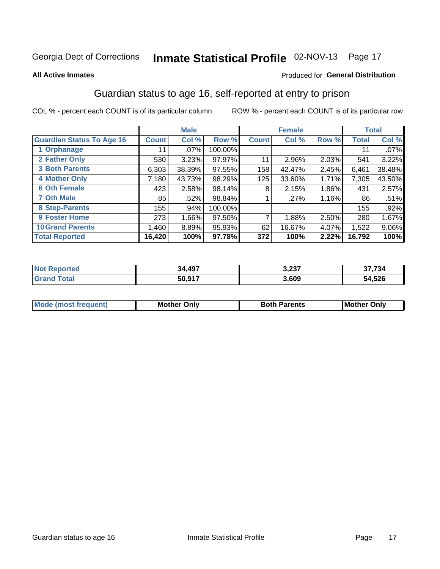# Inmate Statistical Profile 02-NOV-13 Page 17

#### **All Active Inmates**

### **Produced for General Distribution**

### Guardian status to age 16, self-reported at entry to prison

COL % - percent each COUNT is of its particular column

|                                  |              | <b>Male</b> |         |              | <b>Female</b> |       |        | <b>Total</b> |
|----------------------------------|--------------|-------------|---------|--------------|---------------|-------|--------|--------------|
| <b>Guardian Status To Age 16</b> | <b>Count</b> | Col %       | Row %   | <b>Count</b> | Col %         | Row % | Total  | Col %        |
| 1 Orphanage                      | 11           | $.07\%$     | 100.00% |              |               |       | 11     | $.07\%$      |
| 2 Father Only                    | 530          | 3.23%       | 97.97%  | 11           | 2.96%         | 2.03% | 541    | 3.22%        |
| <b>3 Both Parents</b>            | 6,303        | 38.39%      | 97.55%  | 158          | 42.47%        | 2.45% | 6,461  | 38.48%       |
| <b>4 Mother Only</b>             | 7,180        | 43.73%      | 98.29%  | 125          | 33.60%        | 1.71% | 7,305  | 43.50%       |
| <b>6 Oth Female</b>              | 423          | 2.58%       | 98.14%  | 8            | 2.15%         | 1.86% | 431    | 2.57%        |
| <b>7 Oth Male</b>                | 85           | .52%        | 98.84%  |              | .27%          | 1.16% | 86     | .51%         |
| 8 Step-Parents                   | 155          | .94%        | 100.00% |              |               |       | 155    | $.92\%$      |
| 9 Foster Home                    | 273          | 1.66%       | 97.50%  | 7            | 1.88%         | 2.50% | 280    | 1.67%        |
| <b>10 Grand Parents</b>          | 1,460        | 8.89%       | 95.93%  | 62           | 16.67%        | 4.07% | 1,522  | 9.06%        |
| <b>Total Reported</b>            | 16,420       | 100%        | 97.78%  | 372          | 100%          | 2.22% | 16,792 | 100%         |

| rted<br>NO | 34,497 | דממ מ<br>،د∠,د | 37.734        |
|------------|--------|----------------|---------------|
|            | 50.017 | 3,609          | 54,526<br>БΔ. |

| <b>Mode (most frequent)</b> | Mother Only | <b>Both</b><br>Parents | <b>Mother</b><br>Only |
|-----------------------------|-------------|------------------------|-----------------------|
|                             |             |                        |                       |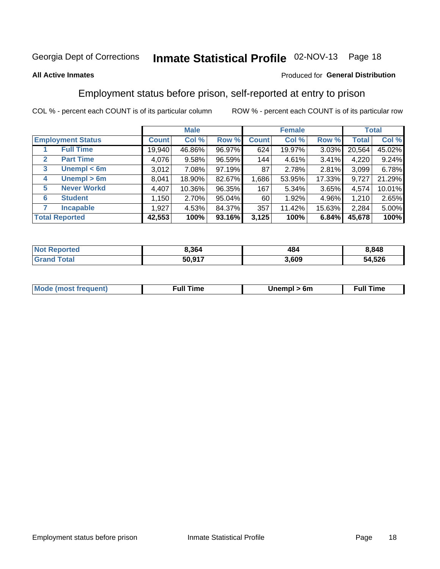# Inmate Statistical Profile 02-NOV-13 Page 18

### **All Active Inmates**

### Produced for General Distribution

### Employment status before prison, self-reported at entry to prison

COL % - percent each COUNT is of its particular column

|                                  |              | <b>Male</b> |        |              | <b>Female</b> |          |              | <b>Total</b> |
|----------------------------------|--------------|-------------|--------|--------------|---------------|----------|--------------|--------------|
| <b>Employment Status</b>         | <b>Count</b> | Col %       | Row %  | <b>Count</b> | Col %         | Row %    | <b>Total</b> | Col %        |
| <b>Full Time</b>                 | 19,940       | 46.86%      | 96.97% | 624          | 19.97%        | 3.03%    | 20,564       | 45.02%       |
| <b>Part Time</b><br>$\mathbf{2}$ | 4,076        | 9.58%       | 96.59% | 144          | 4.61%         | $3.41\%$ | 4,220        | 9.24%        |
| Unempl $<$ 6m<br>3               | 3,012        | 7.08%       | 97.19% | 87           | 2.78%         | 2.81%    | 3,099        | 6.78%        |
| Unempl > 6m<br>4                 | 8,041        | 18.90%      | 82.67% | 1,686        | 53.95%        | 17.33%   | 9,727        | 21.29%       |
| <b>Never Workd</b><br>5          | 4,407        | 10.36%      | 96.35% | 167          | 5.34%         | 3.65%    | 4,574        | 10.01%       |
| <b>Student</b><br>6              | 1,150        | 2.70%       | 95.04% | 60           | 1.92%         | 4.96%    | 1,210        | 2.65%        |
| <b>Incapable</b>                 | 1,927        | 4.53%       | 84.37% | 357          | 11.42%        | 15.63%   | 2,284        | 5.00%        |
| <b>Total Reported</b>            | 42,553       | 100%        | 93.16% | 3,125        | 100%          | 6.84%    | 45,678       | 100%         |

| prteo<br><b>NOT</b> | 3.364  | 484   | 848.١  |
|---------------------|--------|-------|--------|
| sta'<br>Grr         | 50.917 | 3,609 | 54,526 |

| <b>Mode (most frequent)</b> | full " | 6m | ïme<br>้นเ<br>the contract of the contract of the contract of the contract of the contract of the contract of the contract of |
|-----------------------------|--------|----|-------------------------------------------------------------------------------------------------------------------------------|
|                             |        |    |                                                                                                                               |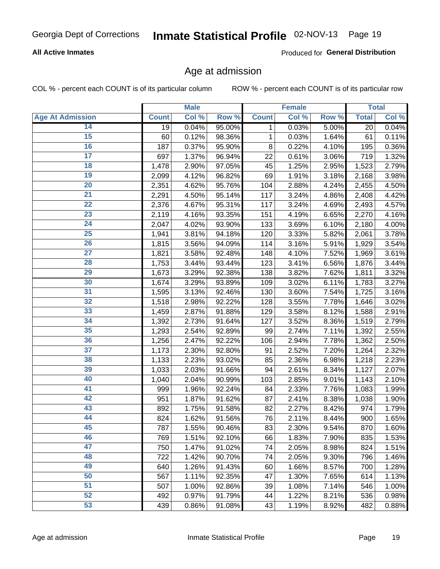### **All Active Inmates**

Produced for General Distribution

### Age at admission

COL % - percent each COUNT is of its particular column

|                         |              | <b>Male</b> |        |              | <b>Female</b> |       |              | <b>Total</b> |
|-------------------------|--------------|-------------|--------|--------------|---------------|-------|--------------|--------------|
| <b>Age At Admission</b> | <b>Count</b> | Col %       | Row %  | <b>Count</b> | Col %         | Row % | <b>Total</b> | Col %        |
| 14                      | 19           | 0.04%       | 95.00% | 1            | 0.03%         | 5.00% | 20           | 0.04%        |
| 15                      | 60           | 0.12%       | 98.36% | $\mathbf 1$  | 0.03%         | 1.64% | 61           | 0.11%        |
| 16                      | 187          | 0.37%       | 95.90% | 8            | 0.22%         | 4.10% | 195          | 0.36%        |
| $\overline{17}$         | 697          | 1.37%       | 96.94% | 22           | 0.61%         | 3.06% | 719          | 1.32%        |
| $\overline{18}$         | 1,478        | 2.90%       | 97.05% | 45           | 1.25%         | 2.95% | 1,523        | 2.79%        |
| 19                      | 2,099        | 4.12%       | 96.82% | 69           | 1.91%         | 3.18% | 2,168        | 3.98%        |
| $\overline{20}$         | 2,351        | 4.62%       | 95.76% | 104          | 2.88%         | 4.24% | 2,455        | 4.50%        |
| $\overline{21}$         | 2,291        | 4.50%       | 95.14% | 117          | 3.24%         | 4.86% | 2,408        | 4.42%        |
| $\overline{22}$         | 2,376        | 4.67%       | 95.31% | 117          | 3.24%         | 4.69% | 2,493        | 4.57%        |
| 23                      | 2,119        | 4.16%       | 93.35% | 151          | 4.19%         | 6.65% | 2,270        | 4.16%        |
| $\overline{24}$         | 2,047        | 4.02%       | 93.90% | 133          | 3.69%         | 6.10% | 2,180        | 4.00%        |
| 25                      | 1,941        | 3.81%       | 94.18% | 120          | 3.33%         | 5.82% | 2,061        | 3.78%        |
| $\overline{26}$         | 1,815        | 3.56%       | 94.09% | 114          | 3.16%         | 5.91% | 1,929        | 3.54%        |
| $\overline{27}$         | 1,821        | 3.58%       | 92.48% | 148          | 4.10%         | 7.52% | 1,969        | 3.61%        |
| 28                      | 1,753        | 3.44%       | 93.44% | 123          | 3.41%         | 6.56% | 1,876        | 3.44%        |
| 29                      | 1,673        | 3.29%       | 92.38% | 138          | 3.82%         | 7.62% | 1,811        | 3.32%        |
| 30                      | 1,674        | 3.29%       | 93.89% | 109          | 3.02%         | 6.11% | 1,783        | 3.27%        |
| $\overline{31}$         | 1,595        | 3.13%       | 92.46% | 130          | 3.60%         | 7.54% | 1,725        | 3.16%        |
| 32                      | 1,518        | 2.98%       | 92.22% | 128          | 3.55%         | 7.78% | 1,646        | 3.02%        |
| 33                      | 1,459        | 2.87%       | 91.88% | 129          | 3.58%         | 8.12% | 1,588        | 2.91%        |
| 34                      | 1,392        | 2.73%       | 91.64% | 127          | 3.52%         | 8.36% | 1,519        | 2.79%        |
| 35                      | 1,293        | 2.54%       | 92.89% | 99           | 2.74%         | 7.11% | 1,392        | 2.55%        |
| 36                      | 1,256        | 2.47%       | 92.22% | 106          | 2.94%         | 7.78% | 1,362        | 2.50%        |
| $\overline{37}$         | 1,173        | 2.30%       | 92.80% | 91           | 2.52%         | 7.20% | 1,264        | 2.32%        |
| 38                      | 1,133        | 2.23%       | 93.02% | 85           | 2.36%         | 6.98% | 1,218        | 2.23%        |
| 39                      | 1,033        | 2.03%       | 91.66% | 94           | 2.61%         | 8.34% | 1,127        | 2.07%        |
| 40                      | 1,040        | 2.04%       | 90.99% | 103          | 2.85%         | 9.01% | 1,143        | 2.10%        |
| 41                      | 999          | 1.96%       | 92.24% | 84           | 2.33%         | 7.76% | 1,083        | 1.99%        |
| 42                      | 951          | 1.87%       | 91.62% | 87           | 2.41%         | 8.38% | 1,038        | 1.90%        |
| 43                      | 892          | 1.75%       | 91.58% | 82           | 2.27%         | 8.42% | 974          | 1.79%        |
| 44                      | 824          | 1.62%       | 91.56% | 76           | 2.11%         | 8.44% | 900          | 1.65%        |
| 45                      | 787          | 1.55%       | 90.46% | 83           | 2.30%         | 9.54% | 870          | 1.60%        |
| 46                      | 769          | 1.51%       | 92.10% | 66           | 1.83%         | 7.90% | 835          | 1.53%        |
| 47                      | 750          | 1.47%       | 91.02% | 74           | 2.05%         | 8.98% | 824          | 1.51%        |
| 48                      | 722          | 1.42%       | 90.70% | 74           | 2.05%         | 9.30% | 796          | 1.46%        |
| 49                      | 640          | 1.26%       | 91.43% | 60           | 1.66%         | 8.57% | 700          | 1.28%        |
| 50                      | 567          | 1.11%       | 92.35% | 47           | 1.30%         | 7.65% | 614          | 1.13%        |
| 51                      | 507          | 1.00%       | 92.86% | 39           | 1.08%         | 7.14% | 546          | 1.00%        |
| 52                      | 492          | 0.97%       | 91.79% | 44           | 1.22%         | 8.21% | 536          | 0.98%        |
| 53                      | 439          | 0.86%       | 91.08% | 43           | 1.19%         | 8.92% | 482          | 0.88%        |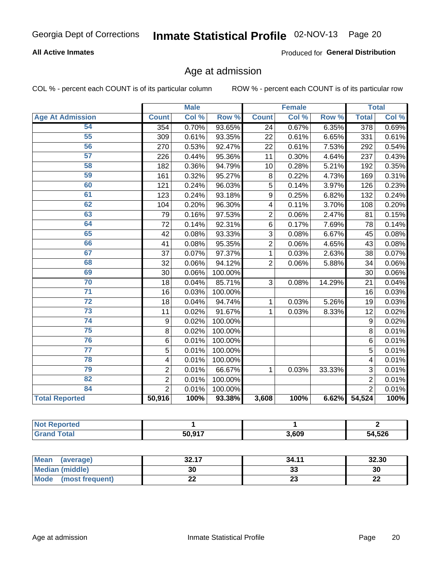### **All Active Inmates**

Produced for General Distribution

### Age at admission

COL % - percent each COUNT is of its particular column

|                         | <b>Male</b>             |       | <b>Female</b> |                 |       | <b>Total</b> |                |       |
|-------------------------|-------------------------|-------|---------------|-----------------|-------|--------------|----------------|-------|
| <b>Age At Admission</b> | <b>Count</b>            | Col % | Row %         | <b>Count</b>    | Col % | Row %        | <b>Total</b>   | Col % |
| 54                      | 354                     | 0.70% | 93.65%        | 24              | 0.67% | 6.35%        | 378            | 0.69% |
| 55                      | 309                     | 0.61% | 93.35%        | 22              | 0.61% | 6.65%        | 331            | 0.61% |
| 56                      | 270                     | 0.53% | 92.47%        | $\overline{22}$ | 0.61% | 7.53%        | 292            | 0.54% |
| 57                      | 226                     | 0.44% | 95.36%        | 11              | 0.30% | 4.64%        | 237            | 0.43% |
| 58                      | 182                     | 0.36% | 94.79%        | 10              | 0.28% | 5.21%        | 192            | 0.35% |
| 59                      | 161                     | 0.32% | 95.27%        | 8               | 0.22% | 4.73%        | 169            | 0.31% |
| 60                      | 121                     | 0.24% | 96.03%        | 5               | 0.14% | 3.97%        | 126            | 0.23% |
| 61                      | 123                     | 0.24% | 93.18%        | 9               | 0.25% | 6.82%        | 132            | 0.24% |
| 62                      | 104                     | 0.20% | 96.30%        | 4               | 0.11% | 3.70%        | 108            | 0.20% |
| 63                      | 79                      | 0.16% | 97.53%        | $\overline{2}$  | 0.06% | 2.47%        | 81             | 0.15% |
| 64                      | 72                      | 0.14% | 92.31%        | 6               | 0.17% | 7.69%        | 78             | 0.14% |
| 65                      | 42                      | 0.08% | 93.33%        | 3               | 0.08% | 6.67%        | 45             | 0.08% |
| 66                      | 41                      | 0.08% | 95.35%        | $\overline{2}$  | 0.06% | 4.65%        | 43             | 0.08% |
| 67                      | 37                      | 0.07% | 97.37%        | 1               | 0.03% | 2.63%        | 38             | 0.07% |
| 68                      | 32                      | 0.06% | 94.12%        | $\overline{2}$  | 0.06% | 5.88%        | 34             | 0.06% |
| 69                      | 30                      | 0.06% | 100.00%       |                 |       |              | 30             | 0.06% |
| 70                      | 18                      | 0.04% | 85.71%        | 3               | 0.08% | 14.29%       | 21             | 0.04% |
| $\overline{71}$         | 16                      | 0.03% | 100.00%       |                 |       |              | 16             | 0.03% |
| $\overline{72}$         | 18                      | 0.04% | 94.74%        | 1               | 0.03% | 5.26%        | 19             | 0.03% |
| $\overline{73}$         | 11                      | 0.02% | 91.67%        | 1               | 0.03% | 8.33%        | 12             | 0.02% |
| $\overline{74}$         | 9                       | 0.02% | 100.00%       |                 |       |              | 9              | 0.02% |
| 75                      | 8                       | 0.02% | 100.00%       |                 |       |              | 8              | 0.01% |
| 76                      | 6                       | 0.01% | 100.00%       |                 |       |              | 6              | 0.01% |
| $\overline{77}$         | $\overline{5}$          | 0.01% | 100.00%       |                 |       |              | $\overline{5}$ | 0.01% |
| 78                      | $\overline{\mathbf{4}}$ | 0.01% | 100.00%       |                 |       |              | 4              | 0.01% |
| 79                      | $\overline{2}$          | 0.01% | 66.67%        | 1               | 0.03% | 33.33%       | 3              | 0.01% |
| 82                      | $\overline{2}$          | 0.01% | 100.00%       |                 |       |              | $\overline{2}$ | 0.01% |
| 84                      | $\overline{2}$          | 0.01% | 100.00%       |                 |       |              | $\overline{2}$ | 0.01% |
| <b>Total Reported</b>   | 50,916                  | 100%  | 93.38%        | 3,608           | 100%  | 6.62%        | 54,524         | 100%  |

| тео<br>'N ( |        |       |              |
|-------------|--------|-------|--------------|
| <b>otal</b> | 50,917 | 3,609 | 54,526<br>54 |

| Mean<br>(average)       | 2247<br>34. LI | 34.11    | 32.30     |
|-------------------------|----------------|----------|-----------|
| Median (middle)         | 30             | ົ<br>აა  | 30        |
| Mode<br>(most frequent) | ∸∸             | ^^<br>20 | ne.<br>LL |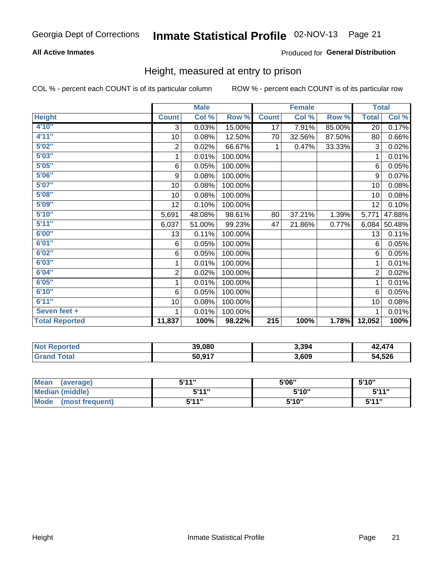### **All Active Inmates**

### Produced for General Distribution

### Height, measured at entry to prison

COL % - percent each COUNT is of its particular column

|                       | <b>Male</b>             |        |         | <b>Female</b>    |        |        | <b>Total</b> |        |
|-----------------------|-------------------------|--------|---------|------------------|--------|--------|--------------|--------|
| <b>Height</b>         | <b>Count</b>            | Col %  | Row %   | <b>Count</b>     | Col %  | Row %  | <b>Total</b> | Col %  |
| 4'10"                 | 3                       | 0.03%  | 15.00%  | 17               | 7.91%  | 85.00% | 20           | 0.17%  |
| 4'11''                | 10                      | 0.08%  | 12.50%  | 70               | 32.56% | 87.50% | 80           | 0.66%  |
| 5'02''                | $\mathbf 2$             | 0.02%  | 66.67%  | 1                | 0.47%  | 33.33% | 3            | 0.02%  |
| 5'03''                | 1                       | 0.01%  | 100.00% |                  |        |        | 1            | 0.01%  |
| 5'05''                | 6                       | 0.05%  | 100.00% |                  |        |        | 6            | 0.05%  |
| 5'06''                | 9                       | 0.08%  | 100.00% |                  |        |        | 9            | 0.07%  |
| 5'07''                | 10                      | 0.08%  | 100.00% |                  |        |        | 10           | 0.08%  |
| 5'08''                | 10                      | 0.08%  | 100.00% |                  |        |        | 10           | 0.08%  |
| 5'09''                | 12                      | 0.10%  | 100.00% |                  |        |        | 12           | 0.10%  |
| 5'10''                | 5,691                   | 48.08% | 98.61%  | 80               | 37.21% | 1.39%  | 5,771        | 47.88% |
| 5'11''                | 6,037                   | 51.00% | 99.23%  | 47               | 21.86% | 0.77%  | 6,084        | 50.48% |
| 6'00''                | 13                      | 0.11%  | 100.00% |                  |        |        | 13           | 0.11%  |
| 6'01''                | 6                       | 0.05%  | 100.00% |                  |        |        | 6            | 0.05%  |
| 6'02''                | 6                       | 0.05%  | 100.00% |                  |        |        | 6            | 0.05%  |
| 6'03''                | 1                       | 0.01%  | 100.00% |                  |        |        | 1            | 0.01%  |
| 6'04''                | $\overline{\mathbf{c}}$ | 0.02%  | 100.00% |                  |        |        | $\sqrt{2}$   | 0.02%  |
| 6'05''                | 1                       | 0.01%  | 100.00% |                  |        |        | 1            | 0.01%  |
| 6'10''                | 6                       | 0.05%  | 100.00% |                  |        |        | 6            | 0.05%  |
| 6'11''                | 10                      | 0.08%  | 100.00% |                  |        |        | 10           | 0.08%  |
| Seven feet +          | 1                       | 0.01%  | 100.00% |                  |        |        |              | 0.01%  |
| <b>Total Reported</b> | 11,837                  | 100%   | 98.22%  | $\overline{215}$ | 100%   | 1.78%  | 12,052       | 100%   |

| <b>Not Reported</b> | 39,080 | 3,394 | 42,474<br>л. |
|---------------------|--------|-------|--------------|
| Total               | 50,917 | 3,609 | 54,526       |

| <b>Mean</b><br>(average) | 544"         | 5'06" | 5'10"        |
|--------------------------|--------------|-------|--------------|
| Median (middle)          | <b>5'44"</b> | 5'10" | 544"         |
| Mode<br>(most frequent)  | 5'11"        | 5'10" | <b>5'44"</b> |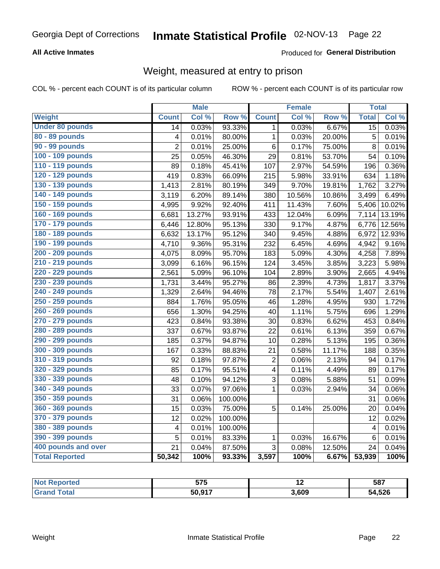### **All Active Inmates**

### Produced for General Distribution

### Weight, measured at entry to prison

COL % - percent each COUNT is of its particular column

|                        |                         | <b>Male</b> |                  |                         | <b>Female</b> |                  | <b>Total</b>    |        |
|------------------------|-------------------------|-------------|------------------|-------------------------|---------------|------------------|-----------------|--------|
| Weight                 | <b>Count</b>            | Col %       | Row <sup>%</sup> | <b>Count</b>            | Col %         | Row <sup>%</sup> | <b>Total</b>    | Col %  |
| <b>Under 80 pounds</b> | 14                      | 0.03%       | 93.33%           | $\mathbf 1$             | 0.03%         | 6.67%            | 15              | 0.03%  |
| 80 - 89 pounds         | $\overline{\mathbf{4}}$ | 0.01%       | 80.00%           | 1                       | 0.03%         | 20.00%           | 5               | 0.01%  |
| 90 - 99 pounds         | $\overline{2}$          | 0.01%       | 25.00%           | 6                       | 0.17%         | 75.00%           | 8               | 0.01%  |
| 100 - 109 pounds       | 25                      | 0.05%       | 46.30%           | 29                      | 0.81%         | 53.70%           | 54              | 0.10%  |
| 110 - 119 pounds       | 89                      | 0.18%       | 45.41%           | 107                     | 2.97%         | 54.59%           | 196             | 0.36%  |
| 120 - 129 pounds       | 419                     | 0.83%       | 66.09%           | 215                     | 5.98%         | 33.91%           | 634             | 1.18%  |
| 130 - 139 pounds       | 1,413                   | 2.81%       | 80.19%           | 349                     | 9.70%         | 19.81%           | 1,762           | 3.27%  |
| 140 - 149 pounds       | 3,119                   | 6.20%       | 89.14%           | 380                     | 10.56%        | 10.86%           | 3,499           | 6.49%  |
| 150 - 159 pounds       | 4,995                   | 9.92%       | 92.40%           | 411                     | 11.43%        | 7.60%            | 5,406           | 10.02% |
| 160 - 169 pounds       | 6,681                   | 13.27%      | 93.91%           | 433                     | 12.04%        | 6.09%            | 7,114           | 13.19% |
| 170 - 179 pounds       | 6,446                   | 12.80%      | 95.13%           | 330                     | 9.17%         | 4.87%            | 6,776           | 12.56% |
| 180 - 189 pounds       | 6,632                   | 13.17%      | 95.12%           | 340                     | 9.45%         | 4.88%            | 6,972           | 12.93% |
| 190 - 199 pounds       | 4,710                   | 9.36%       | 95.31%           | 232                     | 6.45%         | 4.69%            | 4,942           | 9.16%  |
| 200 - 209 pounds       | 4,075                   | 8.09%       | 95.70%           | 183                     | 5.09%         | 4.30%            | 4,258           | 7.89%  |
| 210 - 219 pounds       | 3,099                   | 6.16%       | 96.15%           | 124                     | 3.45%         | 3.85%            | 3,223           | 5.98%  |
| 220 - 229 pounds       | 2,561                   | 5.09%       | 96.10%           | 104                     | 2.89%         | 3.90%            | 2,665           | 4.94%  |
| 230 - 239 pounds       | 1,731                   | 3.44%       | 95.27%           | 86                      | 2.39%         | 4.73%            | 1,817           | 3.37%  |
| 240 - 249 pounds       | $\overline{1,329}$      | 2.64%       | 94.46%           | 78                      | 2.17%         | 5.54%            | 1,407           | 2.61%  |
| 250 - 259 pounds       | 884                     | 1.76%       | 95.05%           | 46                      | 1.28%         | 4.95%            | 930             | 1.72%  |
| 260 - 269 pounds       | 656                     | 1.30%       | 94.25%           | 40                      | 1.11%         | 5.75%            | 696             | 1.29%  |
| 270 - 279 pounds       | 423                     | 0.84%       | 93.38%           | 30                      | 0.83%         | 6.62%            | 453             | 0.84%  |
| 280 - 289 pounds       | 337                     | 0.67%       | 93.87%           | 22                      | 0.61%         | 6.13%            | 359             | 0.67%  |
| 290 - 299 pounds       | 185                     | 0.37%       | 94.87%           | 10                      | 0.28%         | 5.13%            | 195             | 0.36%  |
| 300 - 309 pounds       | 167                     | 0.33%       | 88.83%           | 21                      | 0.58%         | 11.17%           | 188             | 0.35%  |
| 310 - 319 pounds       | 92                      | 0.18%       | 97.87%           | 2                       | 0.06%         | 2.13%            | 94              | 0.17%  |
| 320 - 329 pounds       | 85                      | 0.17%       | 95.51%           | $\overline{\mathbf{4}}$ | 0.11%         | 4.49%            | 89              | 0.17%  |
| 330 - 339 pounds       | 48                      | 0.10%       | 94.12%           | 3                       | 0.08%         | 5.88%            | 51              | 0.09%  |
| 340 - 349 pounds       | 33                      | 0.07%       | 97.06%           | $\mathbf{1}$            | 0.03%         | 2.94%            | 34              | 0.06%  |
| 350 - 359 pounds       | 31                      | 0.06%       | 100.00%          |                         |               |                  | 31              | 0.06%  |
| 360 - 369 pounds       | 15                      | 0.03%       | 75.00%           | 5                       | 0.14%         | 25.00%           | 20              | 0.04%  |
| 370 - 379 pounds       | 12                      | 0.02%       | 100.00%          |                         |               |                  | 12              | 0.02%  |
| 380 - 389 pounds       | $\overline{\mathbf{4}}$ | 0.01%       | 100.00%          |                         |               |                  | $\overline{4}$  | 0.01%  |
| 390 - 399 pounds       | 5                       | 0.01%       | 83.33%           | $\mathbf{1}$            | 0.03%         | 16.67%           | $6\phantom{1}6$ | 0.01%  |
| 400 pounds and over    | 21                      | 0.04%       | 87.50%           | 3                       | 0.08%         | 12.50%           | 24              | 0.04%  |
| <b>Total Reported</b>  | 50,342                  | 100%        | 93.33%           | 3,597                   | 100%          | 6.67%            | 53,939          | 100%   |

| neo   | 575<br>JI J | . .   | 587    |
|-------|-------------|-------|--------|
| ัวtar | 50,917      | 3.609 | 54,526 |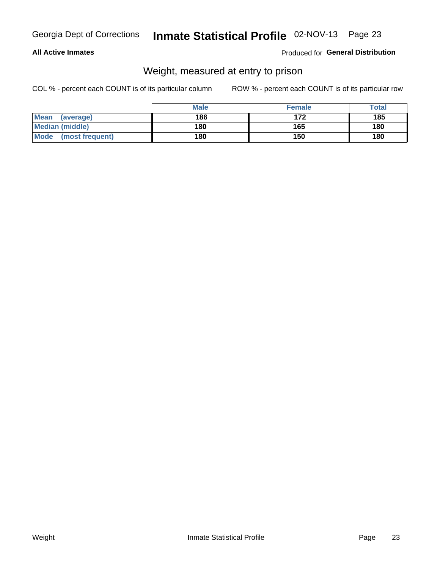### **All Active Inmates**

### Produced for General Distribution

### Weight, measured at entry to prison

COL % - percent each COUNT is of its particular column

|                          | <b>Male</b> | <b>Female</b> | Total |
|--------------------------|-------------|---------------|-------|
| <b>Mean</b><br>(average) | 186         | 172           | 185   |
| <b>Median (middle)</b>   | 180         | 165           | 180   |
| Mode<br>(most frequent)  | 180         | 150           | 180   |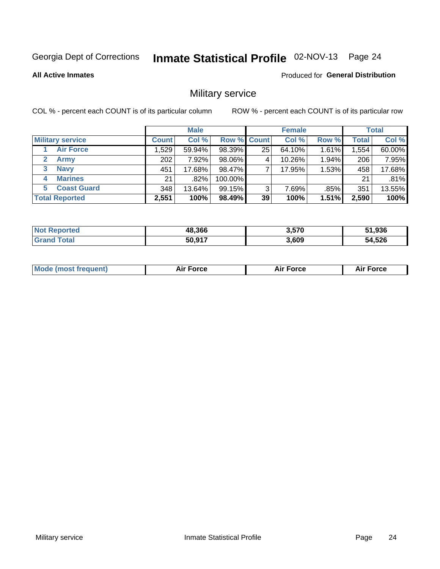# Inmate Statistical Profile 02-NOV-13 Page 24

**All Active Inmates** 

Produced for General Distribution

### Military service

COL % - percent each COUNT is of its particular column

|                               | <b>Male</b>  |        |         | <b>Female</b>      |        |         | <b>Total</b> |        |
|-------------------------------|--------------|--------|---------|--------------------|--------|---------|--------------|--------|
| <b>Military service</b>       | <b>Count</b> | Col %  |         | <b>Row % Count</b> | Col %  | Row %   | <b>Total</b> | Col %  |
| <b>Air Force</b>              | 1,529        | 59.94% | 98.39%  | 25                 | 64.10% | 1.61%   | 1,554        | 60.00% |
| $\mathbf{2}^-$<br><b>Army</b> | 202          | 7.92%  | 98.06%  | 4                  | 10.26% | 1.94%   | 206          | 7.95%  |
| <b>Navy</b><br>3              | 451          | 17.68% | 98.47%  |                    | 17.95% | 1.53%   | 458          | 17.68% |
| <b>Marines</b><br>4           | 21           | .82%   | 100.00% |                    |        |         | 21           | .81%   |
| <b>Coast Guard</b><br>5.      | 348          | 13.64% | 99.15%  | 3                  | 7.69%  | $.85\%$ | 351          | 13.55% |
| <b>Total Reported</b>         | 2,551        | 100%   | 98.49%  | 39                 | 100%   | 1.51%   | 2,590        | 100%   |

| Not Reported                | 48,366 | 3,570 | 51,936 |
|-----------------------------|--------|-------|--------|
| $\mathop{\mathsf{total}}$ . | 50,917 | 3,609 | 54,526 |

| Mo | <br>ъc | . |
|----|--------|---|
|    |        |   |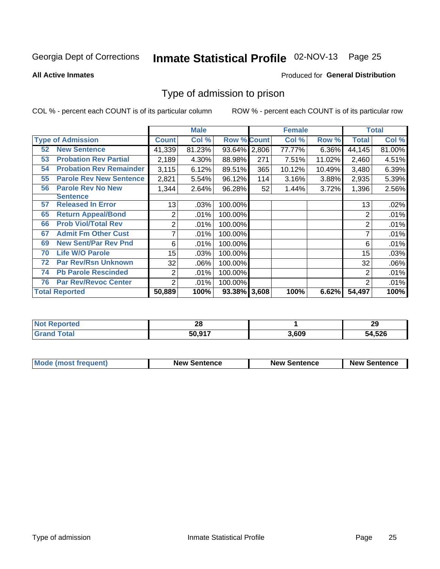# Inmate Statistical Profile 02-NOV-13 Page 25

**All Active Inmates** 

### **Produced for General Distribution**

### Type of admission to prison

COL % - percent each COUNT is of its particular column

|    |                                |                  | <b>Male</b> |                    |     | <b>Female</b> | <b>Total</b> |                |        |
|----|--------------------------------|------------------|-------------|--------------------|-----|---------------|--------------|----------------|--------|
|    | <b>Type of Admission</b>       | <b>Count</b>     | Col %       | <b>Row % Count</b> |     | Col %         | Row %        | Total          | Col %  |
| 52 | <b>New Sentence</b>            | 41,339           | 81.23%      | 93.64% 2,806       |     | 77.77%        | 6.36%        | 44,145         | 81.00% |
| 53 | <b>Probation Rev Partial</b>   | 2,189            | 4.30%       | 88.98%             | 271 | 7.51%         | 11.02%       | 2,460          | 4.51%  |
| 54 | <b>Probation Rev Remainder</b> | 3,115            | 6.12%       | 89.51%             | 365 | 10.12%        | 10.49%       | 3,480          | 6.39%  |
| 55 | <b>Parole Rev New Sentence</b> | 2,821            | 5.54%       | 96.12%             | 114 | 3.16%         | 3.88%        | 2,935          | 5.39%  |
| 56 | <b>Parole Rev No New</b>       | 1,344            | 2.64%       | 96.28%             | 52  | 1.44%         | 3.72%        | 1,396          | 2.56%  |
|    | <b>Sentence</b>                |                  |             |                    |     |               |              |                |        |
| 57 | <b>Released In Error</b>       | 13               | .03%        | 100.00%            |     |               |              | 13             | .02%   |
| 65 | <b>Return Appeal/Bond</b>      | 2                | .01%        | 100.00%            |     |               |              | 2              | .01%   |
| 66 | <b>Prob Viol/Total Rev</b>     | 2                | .01%        | 100.00%            |     |               |              | 2              | .01%   |
| 67 | <b>Admit Fm Other Cust</b>     | 7                | .01%        | 100.00%            |     |               |              | ⇁              | .01%   |
| 69 | <b>New Sent/Par Rev Pnd</b>    | 6                | .01%        | 100.00%            |     |               |              | 6              | .01%   |
| 70 | <b>Life W/O Parole</b>         | 15 <sub>15</sub> | .03%        | 100.00%            |     |               |              | 15             | .03%   |
| 72 | <b>Par Rev/Rsn Unknown</b>     | 32               | .06%        | 100.00%            |     |               |              | 32             | .06%   |
| 74 | <b>Pb Parole Rescinded</b>     | $\overline{2}$   | .01%        | 100.00%            |     |               |              | 2              | .01%   |
| 76 | <b>Par Rev/Revoc Center</b>    | 2                | .01%        | 100.00%            |     |               |              | $\overline{2}$ | .01%   |
|    | <b>Total Reported</b>          | 50,889           | 100%        | 93.38% 3,608       |     | 100%          | 6.62%        | 54,497         | 100%   |

| 'N ( | <br>Zυ |      | 29     |
|------|--------|------|--------|
|      | 50,917 | .609 | 54,526 |

| Mode (most frequent) | <b>New Sentence</b> | <b>New Sentence</b> | <b>New Sentence</b> |
|----------------------|---------------------|---------------------|---------------------|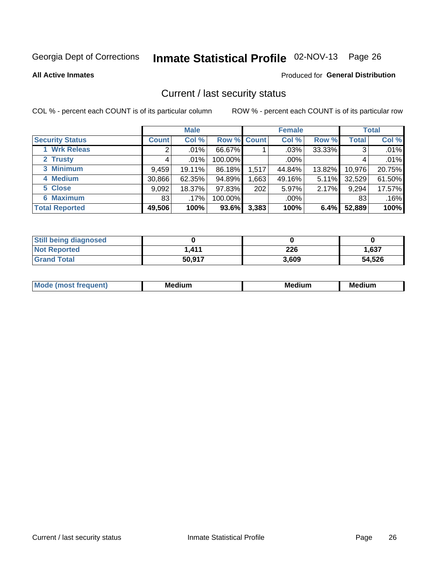# Inmate Statistical Profile 02-NOV-13 Page 26

**All Active Inmates** 

#### Produced for General Distribution

### Current / last security status

COL % - percent each COUNT is of its particular column

|                        |              | <b>Male</b> |             |       | <b>Female</b> |          |              | <b>Total</b> |  |
|------------------------|--------------|-------------|-------------|-------|---------------|----------|--------------|--------------|--|
| <b>Security Status</b> | <b>Count</b> | Col %       | Row % Count |       | Col %         | Row %    | <b>Total</b> | Col %        |  |
| 1 Wrk Releas           | 2            | $.01\%$     | 66.67%      |       | $.03\%$       | 33.33%   | 3            | .01%         |  |
| 2 Trusty               |              | .01%        | 100.00%     |       | $.00\%$       |          |              | .01%         |  |
| 3 Minimum              | 9,459        | 19.11%      | 86.18%      | 1,517 | 44.84%        | 13.82%   | 10,976       | 20.75%       |  |
| 4 Medium               | 30,866       | 62.35%      | 94.89%      | ,663  | 49.16%        | $5.11\%$ | 32,529       | 61.50%       |  |
| 5 Close                | 9,092        | 18.37%      | 97.83%      | 202   | 5.97%         | 2.17%    | 9,294        | 17.57%       |  |
| <b>6 Maximum</b>       | 83           | $.17\%$     | 100.00%     |       | $.00\%$       |          | 83           | .16%         |  |
| <b>Total Reported</b>  | 49,506       | 100%        | 93.6%       | 3,383 | 100%          | 6.4%     | 52,889       | 100%         |  |

| <b>Still being diagnosed</b> |        |       |        |
|------------------------------|--------|-------|--------|
| <b>Not Reported</b>          | 1.411  | 226   | 1,637  |
| <b>Grand Total</b>           | 50,917 | 3,609 | 54,526 |

| <b>Mo</b><br>ети | M.<br>. .<br>dium | M٢<br>. | <br><b>Medium</b> |
|------------------|-------------------|---------|-------------------|
|                  |                   |         |                   |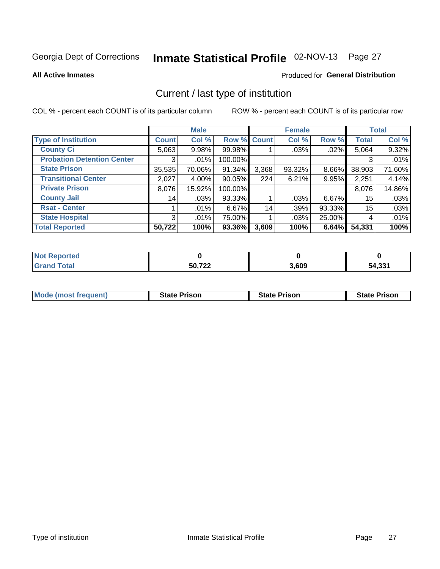# Inmate Statistical Profile 02-NOV-13 Page 27

**All Active Inmates** 

### Produced for General Distribution

### Current / last type of institution

COL % - percent each COUNT is of its particular column

|                                   |                 | <b>Male</b> |             |       | <b>Female</b> |          |              | <b>Total</b> |
|-----------------------------------|-----------------|-------------|-------------|-------|---------------|----------|--------------|--------------|
| <b>Type of Institution</b>        | <b>Count</b>    | Col %       | Row % Count |       | Col %         | Row %    | <b>Total</b> | Col %        |
| <b>County Ci</b>                  | 5,063           | 9.98%       | 99.98%      |       | .03%          | $.02\%$  | 5,064        | 9.32%        |
| <b>Probation Detention Center</b> | 3               | .01%        | 100.00%     |       |               |          | 3            | .01%         |
| <b>State Prison</b>               | 35,535          | 70.06%      | 91.34%      | 3,368 | $93.32\%$     | $8.66\%$ | 38,903       | 71.60%       |
| <b>Transitional Center</b>        | 2,027           | $4.00\%$    | $90.05\%$   | 224   | 6.21%         | $9.95\%$ | 2,251        | 4.14%        |
| <b>Private Prison</b>             | 8,076           | 15.92%      | 100.00%     |       |               |          | 8,076        | 14.86%       |
| <b>County Jail</b>                | 14 <sub>1</sub> | .03%        | 93.33%      |       | $.03\%$       | $6.67\%$ | 15           | .03%         |
| <b>Rsat - Center</b>              |                 | .01%        | $6.67\%$    | 14    | .39%          | 93.33%   | $15\,$       | .03%         |
| <b>State Hospital</b>             | 3               | .01%        | 75.00%      |       | .03%          | 25.00%   | 4            | .01%         |
| <b>Total Reported</b>             | 50,722          | 100%        | 93.36%      | 3,609 | 100%          | 6.64%    | 54,331       | 100%         |

| <b>Not Reported</b> |        |       |        |
|---------------------|--------|-------|--------|
| <b>Grand Total</b>  | 50,722 | 3,609 | 54,331 |

| Mode (most frequent) | <b>State Prison</b> | <b>State Prison</b> | <b>State Prison</b> |
|----------------------|---------------------|---------------------|---------------------|
|                      |                     |                     |                     |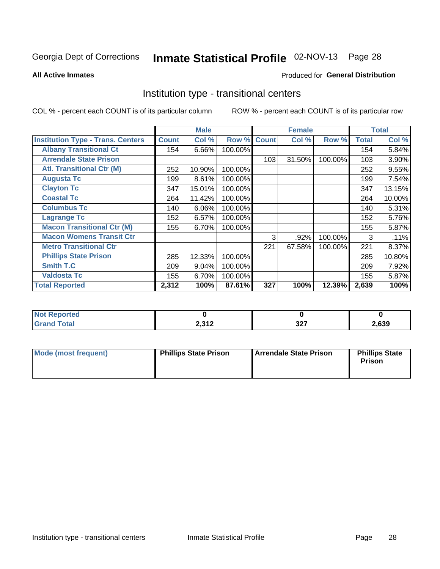# Inmate Statistical Profile 02-NOV-13 Page 28

#### **All Active Inmates**

### Produced for General Distribution

### Institution type - transitional centers

COL % - percent each COUNT is of its particular column

|                                          |              | <b>Male</b> |         |              | <b>Female</b> |         |              | <b>Total</b> |
|------------------------------------------|--------------|-------------|---------|--------------|---------------|---------|--------------|--------------|
| <b>Institution Type - Trans. Centers</b> | <b>Count</b> | Col %       | Row %   | <b>Count</b> | Col %         | Row %   | <b>Total</b> | Col %        |
| <b>Albany Transitional Ct</b>            | 154          | 6.66%       | 100.00% |              |               |         | 154          | 5.84%        |
| <b>Arrendale State Prison</b>            |              |             |         | 103          | 31.50%        | 100.00% | 103          | 3.90%        |
| <b>Atl. Transitional Ctr (M)</b>         | 252          | 10.90%      | 100.00% |              |               |         | 252          | 9.55%        |
| <b>Augusta Tc</b>                        | 199          | 8.61%       | 100.00% |              |               |         | 199          | 7.54%        |
| <b>Clayton Tc</b>                        | 347          | 15.01%      | 100.00% |              |               |         | 347          | 13.15%       |
| <b>Coastal Tc</b>                        | 264          | 11.42%      | 100.00% |              |               |         | 264          | 10.00%       |
| <b>Columbus Tc</b>                       | 140          | 6.06%       | 100.00% |              |               |         | 140          | 5.31%        |
| <b>Lagrange Tc</b>                       | 152          | 6.57%       | 100.00% |              |               |         | 152          | 5.76%        |
| <b>Macon Transitional Ctr (M)</b>        | 155          | 6.70%       | 100.00% |              |               |         | 155          | 5.87%        |
| <b>Macon Womens Transit Ctr</b>          |              |             |         | 3            | .92%          | 100.00% | 3            | .11%         |
| <b>Metro Transitional Ctr</b>            |              |             |         | 221          | 67.58%        | 100.00% | 221          | 8.37%        |
| <b>Phillips State Prison</b>             | 285          | 12.33%      | 100.00% |              |               |         | 285          | 10.80%       |
| Smith T.C                                | 209          | 9.04%       | 100.00% |              |               |         | 209          | 7.92%        |
| <b>Valdosta Tc</b>                       | 155          | 6.70%       | 100.00% |              |               |         | 155          | 5.87%        |
| <b>Total Reported</b>                    | 2,312        | 100%        | 87.61%  | 327          | 100%          | 12.39%  | 2,639        | 100%         |

| . Reported<br>. |                  |                |       |
|-----------------|------------------|----------------|-------|
| <b>ota</b>      | 2.212<br>2,0 I Z | $\sim$<br>JL 1 | .,639 |

| Mode (most frequent) | <b>Phillips State Prison</b> | Arrendale State Prison | <b>Phillips State</b><br><b>Prison</b> |
|----------------------|------------------------------|------------------------|----------------------------------------|
|                      |                              |                        |                                        |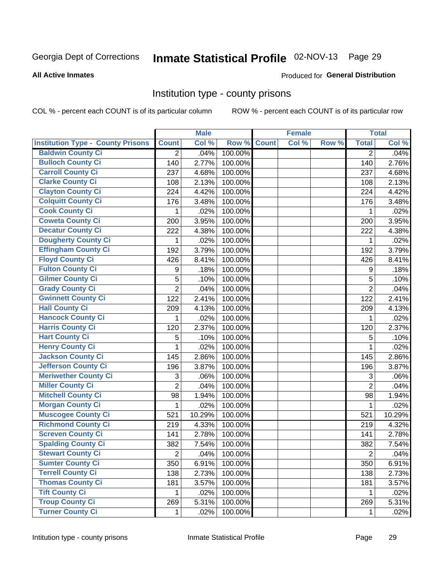# Inmate Statistical Profile 02-NOV-13 Page 29

#### **All Active Inmates**

#### Produced for General Distribution

### Institution type - county prisons

COL % - percent each COUNT is of its particular column

|                                          |                | <b>Male</b> |         |              | <b>Female</b> |       |                  | <b>Total</b> |
|------------------------------------------|----------------|-------------|---------|--------------|---------------|-------|------------------|--------------|
| <b>Institution Type - County Prisons</b> | <b>Count</b>   | Col %       | Row %   | <b>Count</b> | Col %         | Row % | <b>Total</b>     | Col %        |
| <b>Baldwin County Ci</b>                 | $\overline{2}$ | .04%        | 100.00% |              |               |       | $\overline{2}$   | .04%         |
| <b>Bulloch County Ci</b>                 | 140            | 2.77%       | 100.00% |              |               |       | 140              | 2.76%        |
| <b>Carroll County Ci</b>                 | 237            | 4.68%       | 100.00% |              |               |       | 237              | 4.68%        |
| <b>Clarke County Ci</b>                  | 108            | 2.13%       | 100.00% |              |               |       | 108              | 2.13%        |
| <b>Clayton County Ci</b>                 | 224            | 4.42%       | 100.00% |              |               |       | 224              | 4.42%        |
| <b>Colquitt County Ci</b>                | 176            | 3.48%       | 100.00% |              |               |       | 176              | 3.48%        |
| <b>Cook County Ci</b>                    | 1              | .02%        | 100.00% |              |               |       | 1                | .02%         |
| <b>Coweta County Ci</b>                  | 200            | 3.95%       | 100.00% |              |               |       | 200              | 3.95%        |
| <b>Decatur County Ci</b>                 | 222            | 4.38%       | 100.00% |              |               |       | 222              | 4.38%        |
| <b>Dougherty County Ci</b>               | 1              | .02%        | 100.00% |              |               |       | 1                | .02%         |
| <b>Effingham County Ci</b>               | 192            | 3.79%       | 100.00% |              |               |       | 192              | 3.79%        |
| <b>Floyd County Ci</b>                   | 426            | 8.41%       | 100.00% |              |               |       | 426              | 8.41%        |
| <b>Fulton County Ci</b>                  | 9              | .18%        | 100.00% |              |               |       | $\boldsymbol{9}$ | .18%         |
| <b>Gilmer County Ci</b>                  | 5              | .10%        | 100.00% |              |               |       | 5                | .10%         |
| <b>Grady County Ci</b>                   | $\overline{2}$ | .04%        | 100.00% |              |               |       | $\overline{2}$   | .04%         |
| <b>Gwinnett County Ci</b>                | 122            | 2.41%       | 100.00% |              |               |       | 122              | 2.41%        |
| <b>Hall County Ci</b>                    | 209            | 4.13%       | 100.00% |              |               |       | 209              | 4.13%        |
| <b>Hancock County Ci</b>                 | 1              | .02%        | 100.00% |              |               |       | 1                | .02%         |
| <b>Harris County Ci</b>                  | 120            | 2.37%       | 100.00% |              |               |       | 120              | 2.37%        |
| <b>Hart County Ci</b>                    | 5              | .10%        | 100.00% |              |               |       | 5                | .10%         |
| <b>Henry County Ci</b>                   | 1              | .02%        | 100.00% |              |               |       | 1                | .02%         |
| <b>Jackson County Ci</b>                 | 145            | 2.86%       | 100.00% |              |               |       | 145              | 2.86%        |
| <b>Jefferson County Ci</b>               | 196            | 3.87%       | 100.00% |              |               |       | 196              | 3.87%        |
| <b>Meriwether County Ci</b>              | 3              | .06%        | 100.00% |              |               |       | 3                | .06%         |
| <b>Miller County Ci</b>                  | $\overline{2}$ | .04%        | 100.00% |              |               |       | $\overline{2}$   | .04%         |
| <b>Mitchell County Ci</b>                | 98             | 1.94%       | 100.00% |              |               |       | 98               | 1.94%        |
| <b>Morgan County Ci</b>                  | 1              | .02%        | 100.00% |              |               |       | 1                | .02%         |
| <b>Muscogee County Ci</b>                | 521            | 10.29%      | 100.00% |              |               |       | 521              | 10.29%       |
| <b>Richmond County Ci</b>                | 219            | 4.33%       | 100.00% |              |               |       | 219              | 4.32%        |
| <b>Screven County Ci</b>                 | 141            | 2.78%       | 100.00% |              |               |       | 141              | 2.78%        |
| <b>Spalding County Ci</b>                | 382            | 7.54%       | 100.00% |              |               |       | 382              | 7.54%        |
| <b>Stewart County Ci</b>                 | $\overline{c}$ | .04%        | 100.00% |              |               |       | $\overline{2}$   | .04%         |
| <b>Sumter County Ci</b>                  | 350            | 6.91%       | 100.00% |              |               |       | 350              | 6.91%        |
| <b>Terrell County Ci</b>                 | 138            | 2.73%       | 100.00% |              |               |       | 138              | 2.73%        |
| <b>Thomas County Ci</b>                  | 181            | 3.57%       | 100.00% |              |               |       | 181              | 3.57%        |
| <b>Tift County Ci</b>                    | 1              | .02%        | 100.00% |              |               |       | 1                | .02%         |
| <b>Troup County Ci</b>                   | 269            | 5.31%       | 100.00% |              |               |       | 269              | 5.31%        |
| <b>Turner County Ci</b>                  | $\mathbf{1}$   | .02%        | 100.00% |              |               |       | 1                | .02%         |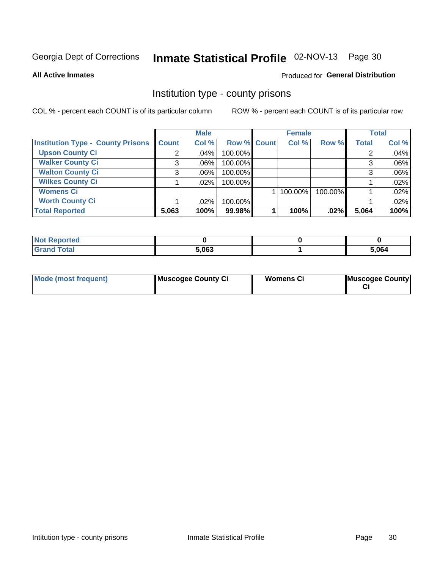# Inmate Statistical Profile 02-NOV-13 Page 30

**All Active Inmates** 

#### Produced for General Distribution

### Institution type - county prisons

COL % - percent each COUNT is of its particular column

|                                          |              | <b>Male</b> |             | <b>Female</b> |         |         | <b>Total</b> |       |
|------------------------------------------|--------------|-------------|-------------|---------------|---------|---------|--------------|-------|
| <b>Institution Type - County Prisons</b> | <b>Count</b> | Col %       | Row % Count |               | Col %   | Row %   | <b>Total</b> | Col % |
| <b>Upson County Ci</b>                   | 2            | .04%        | 100.00%     |               |         |         |              | .04%  |
| <b>Walker County Ci</b>                  | 3            | $.06\%$     | 100.00%     |               |         |         |              | .06%  |
| <b>Walton County Ci</b>                  | 3            | $.06\%$     | 100.00%     |               |         |         |              | .06%  |
| <b>Wilkes County Ci</b>                  |              | $.02\%$     | 100.00%     |               |         |         |              | .02%  |
| <b>Womens Ci</b>                         |              |             |             |               | 100.00% | 100.00% |              | .02%  |
| <b>Worth County Ci</b>                   |              | $.02\%$     | 100.00%     |               |         |         |              | .02%  |
| <b>Total Reported</b>                    | 5,063        | 100%        | 99.98%      |               | 100%    | .02%    | 5,064        | 100%  |

| <b>Reported</b><br>' NOL |       |       |
|--------------------------|-------|-------|
| <b>Total</b>             | 5.063 | 5,064 |

| <b>Mode (most frequent)</b> | Muscogee County Ci | <b>Womens Ci</b> | Muscogee County |
|-----------------------------|--------------------|------------------|-----------------|
|-----------------------------|--------------------|------------------|-----------------|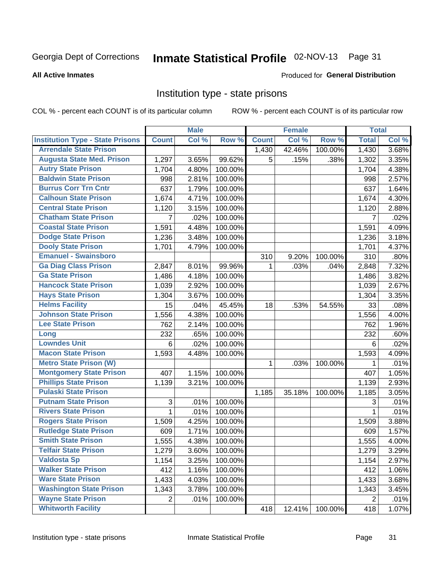# Inmate Statistical Profile 02-NOV-13 Page 31

#### **All Active Inmates**

#### Produced for General Distribution

### Institution type - state prisons

COL % - percent each COUNT is of its particular column

|                                         |                | <b>Male</b> |         |              | <b>Female</b> |         | <b>Total</b>   |       |
|-----------------------------------------|----------------|-------------|---------|--------------|---------------|---------|----------------|-------|
| <b>Institution Type - State Prisons</b> | <b>Count</b>   | Col %       | Row %   | <b>Count</b> | Col %         | Row %   | <b>Total</b>   | Col % |
| <b>Arrendale State Prison</b>           |                |             |         | 1,430        | 42.46%        | 100.00% | 1,430          | 3.68% |
| <b>Augusta State Med. Prison</b>        | 1,297          | 3.65%       | 99.62%  | 5            | .15%          | .38%    | 1,302          | 3.35% |
| <b>Autry State Prison</b>               | 1,704          | 4.80%       | 100.00% |              |               |         | 1,704          | 4.38% |
| <b>Baldwin State Prison</b>             | 998            | 2.81%       | 100.00% |              |               |         | 998            | 2.57% |
| <b>Burrus Corr Trn Cntr</b>             | 637            | 1.79%       | 100.00% |              |               |         | 637            | 1.64% |
| <b>Calhoun State Prison</b>             | 1,674          | 4.71%       | 100.00% |              |               |         | 1,674          | 4.30% |
| <b>Central State Prison</b>             | 1,120          | 3.15%       | 100.00% |              |               |         | 1,120          | 2.88% |
| <b>Chatham State Prison</b>             | 7              | .02%        | 100.00% |              |               |         | 7              | .02%  |
| <b>Coastal State Prison</b>             | 1,591          | 4.48%       | 100.00% |              |               |         | 1,591          | 4.09% |
| <b>Dodge State Prison</b>               | 1,236          | 3.48%       | 100.00% |              |               |         | 1,236          | 3.18% |
| <b>Dooly State Prison</b>               | 1,701          | 4.79%       | 100.00% |              |               |         | 1,701          | 4.37% |
| <b>Emanuel - Swainsboro</b>             |                |             |         | 310          | 9.20%         | 100.00% | 310            | .80%  |
| <b>Ga Diag Class Prison</b>             | 2,847          | 8.01%       | 99.96%  | 1.           | .03%          | .04%    | 2,848          | 7.32% |
| <b>Ga State Prison</b>                  | 1,486          | 4.18%       | 100.00% |              |               |         | 1,486          | 3.82% |
| <b>Hancock State Prison</b>             | 1,039          | 2.92%       | 100.00% |              |               |         | 1,039          | 2.67% |
| <b>Hays State Prison</b>                | 1,304          | 3.67%       | 100.00% |              |               |         | 1,304          | 3.35% |
| <b>Helms Facility</b>                   | 15             | .04%        | 45.45%  | 18           | .53%          | 54.55%  | 33             | .08%  |
| <b>Johnson State Prison</b>             | 1,556          | 4.38%       | 100.00% |              |               |         | 1,556          | 4.00% |
| <b>Lee State Prison</b>                 | 762            | 2.14%       | 100.00% |              |               |         | 762            | 1.96% |
| Long                                    | 232            | .65%        | 100.00% |              |               |         | 232            | .60%  |
| <b>Lowndes Unit</b>                     | $\,6$          | .02%        | 100.00% |              |               |         | 6              | .02%  |
| <b>Macon State Prison</b>               | 1,593          | 4.48%       | 100.00% |              |               |         | 1,593          | 4.09% |
| <b>Metro State Prison (W)</b>           |                |             |         | 1            | .03%          | 100.00% | 1              | .01%  |
| <b>Montgomery State Prison</b>          | 407            | 1.15%       | 100.00% |              |               |         | 407            | 1.05% |
| <b>Phillips State Prison</b>            | 1,139          | 3.21%       | 100.00% |              |               |         | 1,139          | 2.93% |
| <b>Pulaski State Prison</b>             |                |             |         | 1,185        | 35.18%        | 100.00% | 1,185          | 3.05% |
| <b>Putnam State Prison</b>              | 3              | .01%        | 100.00% |              |               |         | 3              | .01%  |
| <b>Rivers State Prison</b>              | $\mathbf{1}$   | .01%        | 100.00% |              |               |         | 1              | .01%  |
| <b>Rogers State Prison</b>              | 1,509          | 4.25%       | 100.00% |              |               |         | 1,509          | 3.88% |
| <b>Rutledge State Prison</b>            | 609            | 1.71%       | 100.00% |              |               |         | 609            | 1.57% |
| <b>Smith State Prison</b>               | 1,555          | 4.38%       | 100.00% |              |               |         | 1,555          | 4.00% |
| <b>Telfair State Prison</b>             | 1,279          | 3.60%       | 100.00% |              |               |         | 1,279          | 3.29% |
| <b>Valdosta Sp</b>                      | 1,154          | 3.25%       | 100.00% |              |               |         | 1,154          | 2.97% |
| <b>Walker State Prison</b>              | 412            | 1.16%       | 100.00% |              |               |         | 412            | 1.06% |
| <b>Ware State Prison</b>                | 1,433          | 4.03%       | 100.00% |              |               |         | 1,433          | 3.68% |
| <b>Washington State Prison</b>          | 1,343          | 3.78%       | 100.00% |              |               |         | 1,343          | 3.45% |
| <b>Wayne State Prison</b>               | $\overline{2}$ | .01%        | 100.00% |              |               |         | $\overline{2}$ | .01%  |
| <b>Whitworth Facility</b>               |                |             |         | 418          | 12.41%        | 100.00% | 418            | 1.07% |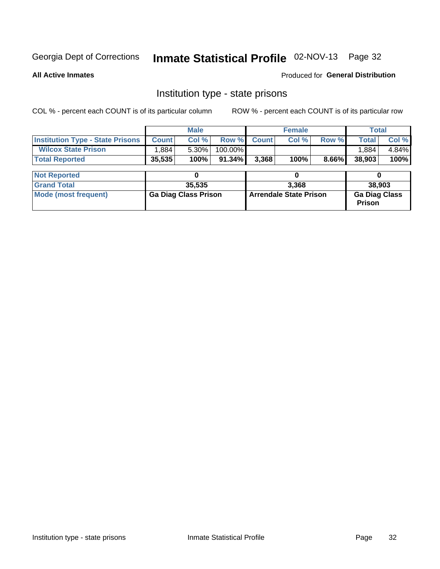# Inmate Statistical Profile 02-NOV-13 Page 32

**All Active Inmates** 

Produced for General Distribution

### Institution type - state prisons

COL % - percent each COUNT is of its particular column

|                                         |                             | <b>Male</b> |                               |              | <b>Female</b> |                                       | <b>Total</b> |       |  |
|-----------------------------------------|-----------------------------|-------------|-------------------------------|--------------|---------------|---------------------------------------|--------------|-------|--|
| <b>Institution Type - State Prisons</b> | <b>Count</b>                | Col %       | Row %                         | <b>Count</b> | Col %         | Row %                                 | <b>Total</b> | Col % |  |
| <b>Wilcox State Prison</b>              | .884                        | $5.30\%$    | 100.00%                       |              |               |                                       | 1,884        | 4.84% |  |
| <b>Total Reported</b>                   | 35,535                      | 100%        | $91.34\%$                     | 3,368        | 100%          | 8.66%                                 | 38,903       | 100%  |  |
|                                         |                             |             |                               |              |               |                                       |              |       |  |
| <b>Not Reported</b>                     |                             |             |                               | 0            |               |                                       |              |       |  |
| <b>Grand Total</b>                      |                             | 35,535      |                               | 3.368        |               |                                       | 38,903       |       |  |
| <b>Mode (most frequent)</b>             | <b>Ga Diag Class Prison</b> |             | <b>Arrendale State Prison</b> |              |               | <b>Ga Diag Class</b><br><b>Prison</b> |              |       |  |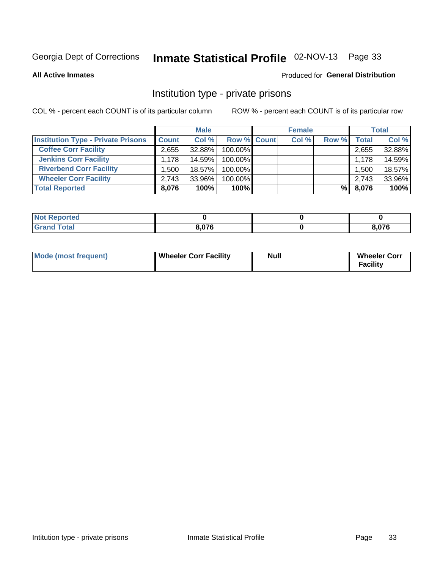# Inmate Statistical Profile 02-NOV-13 Page 33

**All Active Inmates** 

### Produced for General Distribution

### Institution type - private prisons

COL % - percent each COUNT is of its particular column

|                                           | <b>Male</b>  |           |             | <b>Female</b> |       |       | <b>Total</b> |        |
|-------------------------------------------|--------------|-----------|-------------|---------------|-------|-------|--------------|--------|
| <b>Institution Type - Private Prisons</b> | <b>Count</b> | Col %     | Row % Count |               | Col % | Row % | <b>Total</b> | Col %  |
| <b>Coffee Corr Facility</b>               | 2,655        | 32.88%    | 100.00%     |               |       |       | 2,655        | 32.88% |
| <b>Jenkins Corr Facility</b>              | 1.178        | 14.59%    | 100.00%     |               |       |       | 1,178        | 14.59% |
| <b>Riverbend Corr Facility</b>            | 1.500 l      | 18.57%    | 100.00%     |               |       |       | 1,500        | 18.57% |
| <b>Wheeler Corr Facility</b>              | 2.743        | $33.96\%$ | 100.00%     |               |       |       | 2,743        | 33.96% |
| <b>Total Reported</b>                     | 8,076        | 100%      | $100\%$     |               |       | %     | 8,076        | 100%   |

| 'Noi<br><b>Reported</b> |       |      |
|-------------------------|-------|------|
| <b>otal</b>             | 8.076 | ,076 |

| <b>Wheeler Corr Facility</b><br>Mode (most frequent) | Null | <b>Wheeler Corr</b><br>Facility |
|------------------------------------------------------|------|---------------------------------|
|------------------------------------------------------|------|---------------------------------|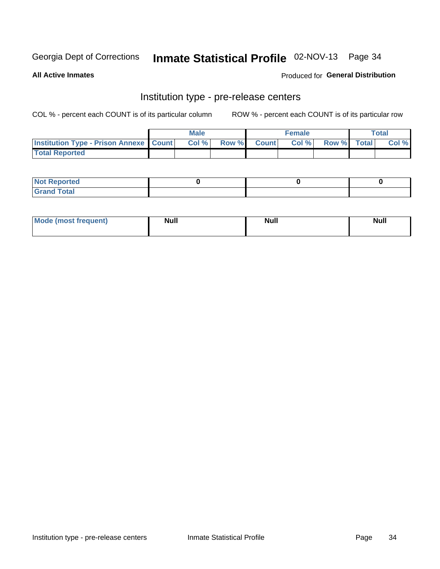## Inmate Statistical Profile 02-NOV-13 Page 34

**All Active Inmates** 

### **Produced for General Distribution**

# Institution type - pre-release centers

COL % - percent each COUNT is of its particular column

|                                                   | <b>Male</b> |      |  | <b>Female</b> |       |             | <b>Total</b> |       |
|---------------------------------------------------|-------------|------|--|---------------|-------|-------------|--------------|-------|
| <b>Institution Type - Prison Annexe   Count  </b> |             | Col% |  | Row % Count   | Col % | Row % Total |              | Col % |
| <b>Total Reported</b>                             |             |      |  |               |       |             |              |       |

| <b>Reported</b><br>I NOT |  |  |
|--------------------------|--|--|
| <b>Total</b><br>$C$ ren  |  |  |

| $^{\circ}$ Mo<br>frequent)<br>⊥(most | <b>Null</b> | Noll<br><b>vull</b> | <b>Null</b> |
|--------------------------------------|-------------|---------------------|-------------|
|                                      |             |                     |             |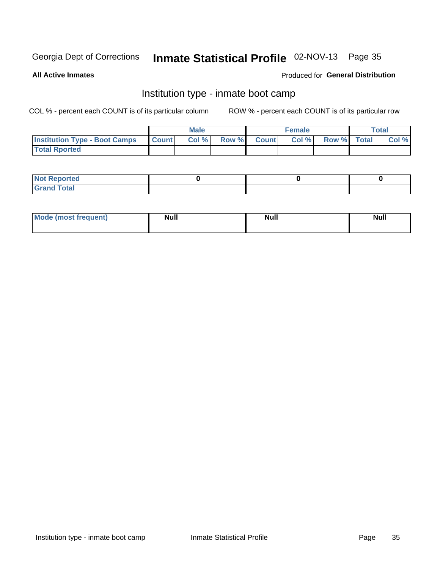# Inmate Statistical Profile 02-NOV-13 Page 35

**All Active Inmates** 

### Produced for General Distribution

### Institution type - inmate boot camp

COL % - percent each COUNT is of its particular column

|                                      |              | <b>Male</b> |               |              | <b>Female</b> |             | <b>Total</b> |
|--------------------------------------|--------------|-------------|---------------|--------------|---------------|-------------|--------------|
| <b>Institution Type - Boot Camps</b> | <b>Count</b> | Col %       | <b>Row %I</b> | <b>Count</b> | Col %         | Row % Total | Col %        |
| <b>Total Rported</b>                 |              |             |               |              |               |             |              |

| <b>Not Reported</b>            |  |  |
|--------------------------------|--|--|
| <b>Total</b><br>C <sub>r</sub> |  |  |

| Mode (most<br>Treauent) | <b>Null</b> | . .<br><b>Nu</b> |  |
|-------------------------|-------------|------------------|--|
|                         |             |                  |  |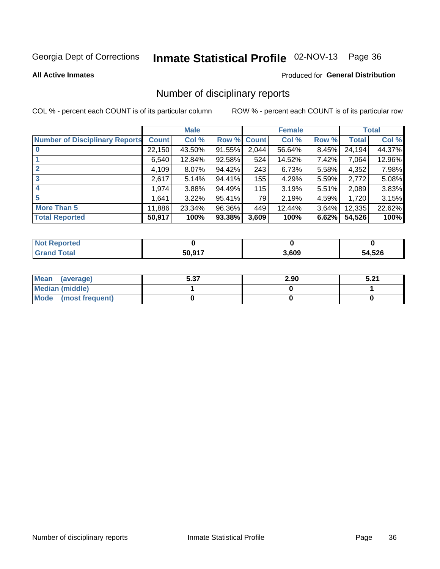# Inmate Statistical Profile 02-NOV-13 Page 36

#### **All Active Inmates**

#### Produced for General Distribution

### Number of disciplinary reports

COL % - percent each COUNT is of its particular column

|                                       |              | <b>Male</b> |             |       | <b>Female</b> |       |        | <b>Total</b> |
|---------------------------------------|--------------|-------------|-------------|-------|---------------|-------|--------|--------------|
| <b>Number of Disciplinary Reports</b> | <b>Count</b> | Col %       | Row % Count |       | Col %         | Row % | Total  | Col %        |
|                                       | 22,150       | 43.50%      | $91.55\%$   | 2,044 | 56.64%        | 8.45% | 24,194 | 44.37%       |
|                                       | 6,540        | 12.84%      | $92.58\%$   | 524   | 14.52%        | 7.42% | 7,064  | 12.96%       |
|                                       | 4,109        | 8.07%       | 94.42%      | 243   | 6.73%         | 5.58% | 4,352  | 7.98%        |
| 3                                     | 2,617        | 5.14%       | 94.41%      | 155   | 4.29%         | 5.59% | 2,772  | 5.08%        |
|                                       | 1,974        | 3.88%       | 94.49%      | 115   | 3.19%         | 5.51% | 2,089  | 3.83%        |
| 5                                     | .641         | 3.22%       | 95.41%      | 79    | 2.19%         | 4.59% | 1,720  | 3.15%        |
| <b>More Than 5</b>                    | 11,886       | 23.34%      | 96.36%      | 449   | 12.44%        | 3.64% | 12,335 | 22.62%       |
| <b>Total Reported</b>                 | 50,917       | 100%        | 93.38%      | 3,609 | 100%          | 6.62% | 54,526 | 100%         |

| Reported<br>Not <b>I</b> |        |       |        |
|--------------------------|--------|-------|--------|
| Total                    | 50 917 | 3,609 | 54,526 |

| Mean (average)       | 5.37 | 2.90 | E 94<br>3.ZT |
|----------------------|------|------|--------------|
| Median (middle)      |      |      |              |
| Mode (most frequent) |      |      |              |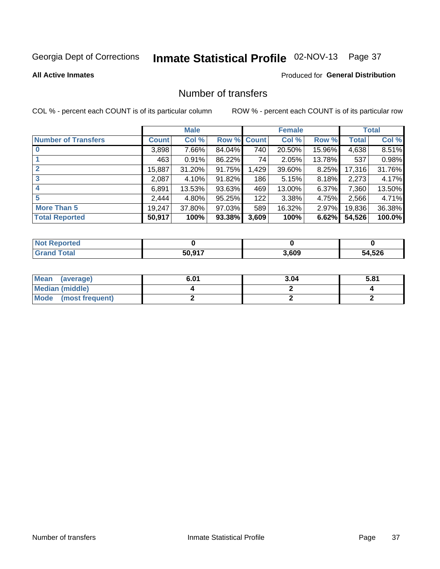# Inmate Statistical Profile 02-NOV-13 Page 37

#### **All Active Inmates**

#### **Produced for General Distribution**

### Number of transfers

COL % - percent each COUNT is of its particular column

|                            |         | <b>Male</b> |        |              | <b>Female</b> |          |              | <b>Total</b> |
|----------------------------|---------|-------------|--------|--------------|---------------|----------|--------------|--------------|
| <b>Number of Transfers</b> | Count l | Col%        | Row %  | <b>Count</b> | Col %         | Row %    | <b>Total</b> | Col %        |
|                            | 3,898   | 7.66%       | 84.04% | 740          | 20.50%        | 15.96%   | 4,638        | 8.51%        |
|                            | 463     | 0.91%       | 86.22% | 74           | 2.05%         | 13.78%   | 537          | 0.98%        |
| $\mathbf{2}$               | 15,887  | 31.20%      | 91.75% | 1,429        | 39.60%        | 8.25%    | 17,316       | 31.76%       |
| 3                          | 2,087   | 4.10%       | 91.82% | 186          | 5.15%         | 8.18%    | 2,273        | 4.17%        |
| 4                          | 6,891   | 13.53%      | 93.63% | 469          | 13.00%        | $6.37\%$ | 7,360        | 13.50%       |
| 5                          | 2,444   | 4.80%       | 95.25% | 122          | 3.38%         | 4.75%    | 2,566        | 4.71%        |
| <b>More Than 5</b>         | 19,247  | 37.80%      | 97.03% | 589          | 16.32%        | $2.97\%$ | 19,836       | 36.38%       |
| <b>Total Reported</b>      | 50,917  | 100%        | 93.38% | 3,609        | 100%          | 6.62%    | 54,526       | 100.0%       |

| <b>Not Reported</b> |        |       |        |
|---------------------|--------|-------|--------|
| <b>Grand Total</b>  | 50.917 | 3,609 | 54,526 |

| Mean (average)       | 6.01 | 3.04 | 5.81 |
|----------------------|------|------|------|
| Median (middle)      |      |      |      |
| Mode (most frequent) |      |      |      |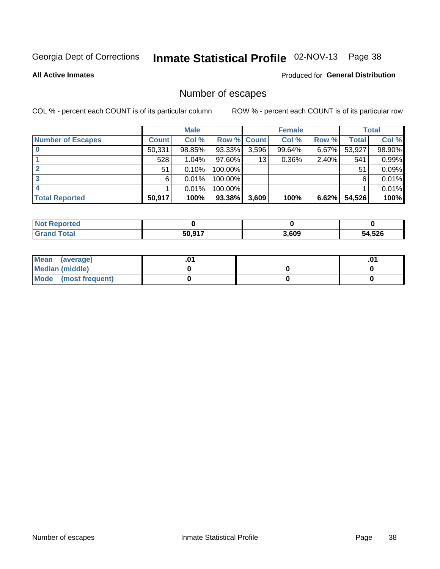# Inmate Statistical Profile 02-NOV-13 Page 38

**All Active Inmates** 

#### Produced for General Distribution

## Number of escapes

COL % - percent each COUNT is of its particular column

|                          |              | <b>Male</b> |             |       | <b>Female</b> |       |        | <b>Total</b> |
|--------------------------|--------------|-------------|-------------|-------|---------------|-------|--------|--------------|
| <b>Number of Escapes</b> | <b>Count</b> | Col %       | Row % Count |       | Col %         | Row % | Total  | Col %        |
|                          | 50,331       | 98.85%      | 93.33%      | 3,596 | 99.64%        | 6.67% | 53,927 | 98.90%       |
|                          | 528          | 1.04%       | $97.60\%$   | 13    | $0.36\%$      | 2.40% | 541    | 0.99%        |
|                          | 51           | 0.10%       | 100.00%     |       |               |       | 51     | 0.09%        |
|                          | 6            | 0.01%       | 100.00%     |       |               |       | 6      | 0.01%        |
|                          |              | 0.01%       | 100.00%     |       |               |       |        | 0.01%        |
| <b>Total Reported</b>    | 50,917       | 100%        | $93.38\%$   | 3,609 | 100%          | 6.62% | 54,526 | 100%         |

| <b>Not Reported</b> |        |       |        |
|---------------------|--------|-------|--------|
| <b>Total</b>        | 50.917 | 3,609 | 54,526 |

| Mean (average)         |  | .0 <sup>4</sup> |
|------------------------|--|-----------------|
| <b>Median (middle)</b> |  |                 |
| Mode (most frequent)   |  |                 |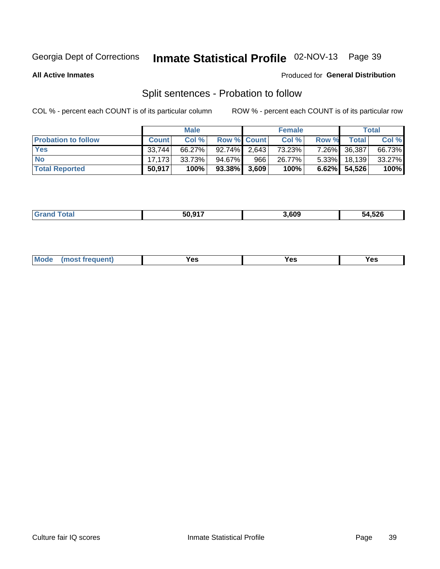# Inmate Statistical Profile 02-NOV-13 Page 39

**All Active Inmates** 

#### Produced for General Distribution

## Split sentences - Probation to follow

COL % - percent each COUNT is of its particular column

|                            |              | <b>Male</b> |                    |     | <b>Female</b> |          |                 | <b>Total</b> |
|----------------------------|--------------|-------------|--------------------|-----|---------------|----------|-----------------|--------------|
| <b>Probation to follow</b> | <b>Count</b> | Col%        | <b>Row % Count</b> |     | Col %         | Row %    | Total           | Col %        |
| <b>Yes</b>                 | 33.744       | 66.27%      | $92.74\%$ 2.643    |     | 73.23%        | $7.26\%$ | 36,387          | 66.73%       |
| <b>No</b>                  | 17.173       | 33.73%      | 94.67%             | 966 | 26.77%        | $5.33\%$ | 18,139          | 33.27%       |
| <b>Total Reported</b>      | 50,917       | 100%        | $93.38\%$ 3,609    |     | 100%          |          | $6.62\%$ 54,526 | 100%         |

|  | $\mathbf{f}$<br>______ | EN NAT<br>JU | .609 | 54,526 |
|--|------------------------|--------------|------|--------|
|--|------------------------|--------------|------|--------|

| M<br>reauent)<br>/٥<br>$\sim$<br>v.,<br>.<br>w<br>$\cdot$ - $\cdot$ |
|---------------------------------------------------------------------|
|---------------------------------------------------------------------|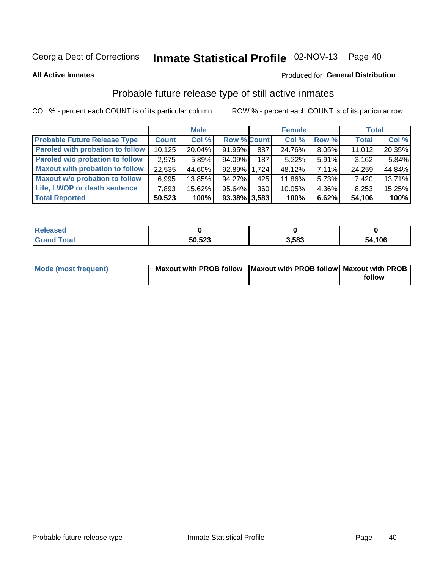# Inmate Statistical Profile 02-NOV-13 Page 40

**All Active Inmates** 

#### Produced for General Distribution

## Probable future release type of still active inmates

COL % - percent each COUNT is of its particular column

|                                         |              | <b>Male</b> |                    |     | <b>Female</b> |       | <b>Total</b> |        |
|-----------------------------------------|--------------|-------------|--------------------|-----|---------------|-------|--------------|--------|
| <b>Probable Future Release Type</b>     | <b>Count</b> | Col %       | <b>Row % Count</b> |     | Col %         | Row % | <b>Total</b> | Col %  |
| <b>Paroled with probation to follow</b> | 10,125       | 20.04%      | 91.95%             | 887 | 24.76%        | 8.05% | 11,012       | 20.35% |
| Paroled w/o probation to follow         | 2,975        | 5.89%       | 94.09%             | 187 | 5.22%         | 5.91% | 3,162        | 5.84%  |
| <b>Maxout with probation to follow</b>  | 22,535       | 44.60%      | 92.89% 1.724       |     | 48.12%        | 7.11% | 24,259       | 44.84% |
| <b>Maxout w/o probation to follow</b>   | 6,995        | 13.85%      | $94.27\%$          | 425 | 11.86%        | 5.73% | 7,420        | 13.71% |
| Life, LWOP or death sentence            | 7,893        | 15.62%      | 95.64%             | 360 | 10.05%        | 4.36% | 8,253        | 15.25% |
| <b>Total Reported</b>                   | 50,523       | 100%        | $93.38\%$ 3,583    |     | 100%          | 6.62% | 54,106       | 100%   |

| <b>ota</b> | 50,523 | .583 | ,106<br>54 |
|------------|--------|------|------------|

| <b>Mode (most frequent)</b> | Maxout with PROB follow   Maxout with PROB follow   Maxout with PROB |        |
|-----------------------------|----------------------------------------------------------------------|--------|
|                             |                                                                      | follow |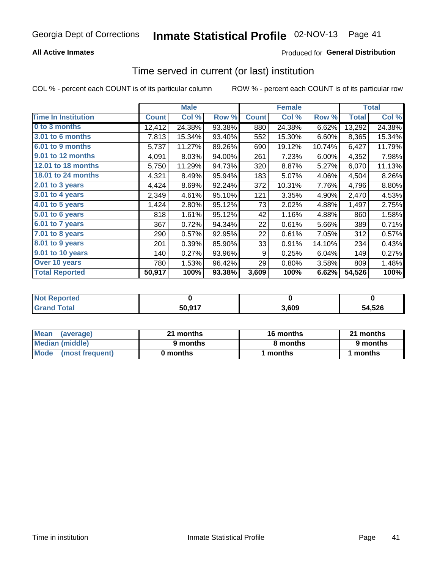#### **All Active Inmates**

### **Produced for General Distribution**

# Time served in current (or last) institution

COL % - percent each COUNT is of its particular column

|                            |              | <b>Male</b> |        |              | <b>Female</b> |        |              | <b>Total</b> |
|----------------------------|--------------|-------------|--------|--------------|---------------|--------|--------------|--------------|
| <b>Time In Institution</b> | <b>Count</b> | Col %       | Row %  | <b>Count</b> | Col %         | Row %  | <b>Total</b> | Col $%$      |
| 0 to 3 months              | 12,412       | 24.38%      | 93.38% | 880          | 24.38%        | 6.62%  | 13,292       | 24.38%       |
| <b>3.01 to 6 months</b>    | 7,813        | 15.34%      | 93.40% | 552          | 15.30%        | 6.60%  | 8,365        | 15.34%       |
| 6.01 to 9 months           | 5,737        | 11.27%      | 89.26% | 690          | 19.12%        | 10.74% | 6,427        | 11.79%       |
| 9.01 to 12 months          | 4,091        | 8.03%       | 94.00% | 261          | 7.23%         | 6.00%  | 4,352        | 7.98%        |
| <b>12.01 to 18 months</b>  | 5,750        | 11.29%      | 94.73% | 320          | 8.87%         | 5.27%  | 6,070        | 11.13%       |
| <b>18.01 to 24 months</b>  | 4,321        | 8.49%       | 95.94% | 183          | 5.07%         | 4.06%  | 4,504        | 8.26%        |
| 2.01 to 3 years            | 4,424        | 8.69%       | 92.24% | 372          | 10.31%        | 7.76%  | 4,796        | 8.80%        |
| $3.01$ to 4 years          | 2,349        | 4.61%       | 95.10% | 121          | 3.35%         | 4.90%  | 2,470        | 4.53%        |
| 4.01 to 5 years            | 1,424        | 2.80%       | 95.12% | 73           | 2.02%         | 4.88%  | 1,497        | 2.75%        |
| 5.01 to 6 years            | 818          | 1.61%       | 95.12% | 42           | 1.16%         | 4.88%  | 860          | 1.58%        |
| $6.01$ to 7 years          | 367          | 0.72%       | 94.34% | 22           | 0.61%         | 5.66%  | 389          | 0.71%        |
| $7.01$ to 8 years          | 290          | 0.57%       | 92.95% | 22           | 0.61%         | 7.05%  | 312          | 0.57%        |
| $8.01$ to 9 years          | 201          | 0.39%       | 85.90% | 33           | 0.91%         | 14.10% | 234          | 0.43%        |
| 9.01 to 10 years           | 140          | 0.27%       | 93.96% | 9            | 0.25%         | 6.04%  | 149          | 0.27%        |
| Over 10 years              | 780          | 1.53%       | 96.42% | 29           | 0.80%         | 3.58%  | 809          | 1.48%        |
| <b>Total Reported</b>      | 50,917       | 100%        | 93.38% | 3,609        | 100%          | 6.62%  | 54,526       | 100%         |

| rreo<br>INOT I |        |      |        |
|----------------|--------|------|--------|
|                | 50,917 | ,609 | 54,526 |

| <b>Mean</b><br>(average) | 21 months | 16 months | 21 months |
|--------------------------|-----------|-----------|-----------|
| Median (middle)          | 9 months  | 8 months  | 9 months  |
| Mode (most frequent)     | 0 months  | months    | 1 months  |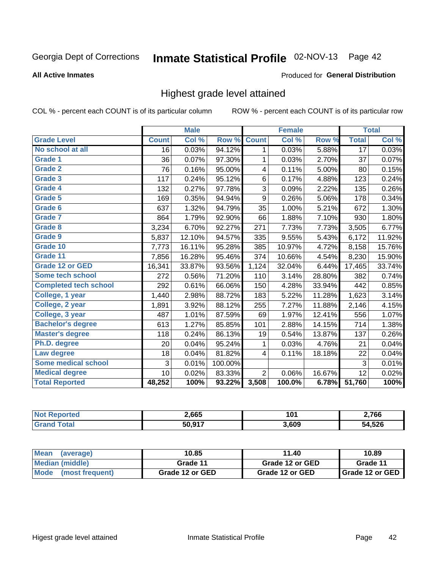# Inmate Statistical Profile 02-NOV-13 Page 42

#### **All Active Inmates**

#### Produced for General Distribution

### Highest grade level attained

COL % - percent each COUNT is of its particular column

|                              |                 | <b>Male</b> |         |                  | <b>Female</b> |        |                 | <b>Total</b> |
|------------------------------|-----------------|-------------|---------|------------------|---------------|--------|-----------------|--------------|
| <b>Grade Level</b>           | <b>Count</b>    | Col %       | Row %   | <b>Count</b>     | Col %         | Row %  | <b>Total</b>    | Col %        |
| No school at all             | $\overline{16}$ | 0.03%       | 94.12%  | 1                | 0.03%         | 5.88%  | $1\overline{7}$ | 0.03%        |
| <b>Grade 1</b>               | 36              | 0.07%       | 97.30%  | 1                | 0.03%         | 2.70%  | 37              | 0.07%        |
| <b>Grade 2</b>               | 76              | 0.16%       | 95.00%  | 4                | 0.11%         | 5.00%  | 80              | 0.15%        |
| <b>Grade 3</b>               | 117             | 0.24%       | 95.12%  | 6                | 0.17%         | 4.88%  | 123             | 0.24%        |
| Grade 4                      | 132             | 0.27%       | 97.78%  | 3                | 0.09%         | 2.22%  | 135             | 0.26%        |
| Grade 5                      | 169             | 0.35%       | 94.94%  | $\boldsymbol{9}$ | 0.26%         | 5.06%  | 178             | 0.34%        |
| Grade 6                      | 637             | 1.32%       | 94.79%  | 35               | 1.00%         | 5.21%  | 672             | 1.30%        |
| <b>Grade 7</b>               | 864             | 1.79%       | 92.90%  | 66               | 1.88%         | 7.10%  | 930             | 1.80%        |
| Grade 8                      | 3,234           | 6.70%       | 92.27%  | 271              | 7.73%         | 7.73%  | 3,505           | 6.77%        |
| Grade 9                      | 5,837           | 12.10%      | 94.57%  | 335              | 9.55%         | 5.43%  | 6,172           | 11.92%       |
| Grade 10                     | 7,773           | 16.11%      | 95.28%  | 385              | 10.97%        | 4.72%  | 8,158           | 15.76%       |
| Grade 11                     | 7,856           | 16.28%      | 95.46%  | 374              | 10.66%        | 4.54%  | 8,230           | 15.90%       |
| <b>Grade 12 or GED</b>       | 16,341          | 33.87%      | 93.56%  | 1,124            | 32.04%        | 6.44%  | 17,465          | 33.74%       |
| <b>Some tech school</b>      | 272             | 0.56%       | 71.20%  | 110              | 3.14%         | 28.80% | 382             | 0.74%        |
| <b>Completed tech school</b> | 292             | 0.61%       | 66.06%  | 150              | 4.28%         | 33.94% | 442             | 0.85%        |
| College, 1 year              | 1,440           | 2.98%       | 88.72%  | 183              | 5.22%         | 11.28% | 1,623           | 3.14%        |
| College, 2 year              | 1,891           | 3.92%       | 88.12%  | 255              | 7.27%         | 11.88% | 2,146           | 4.15%        |
| College, 3 year              | 487             | 1.01%       | 87.59%  | 69               | 1.97%         | 12.41% | 556             | 1.07%        |
| <b>Bachelor's degree</b>     | 613             | 1.27%       | 85.85%  | 101              | 2.88%         | 14.15% | 714             | 1.38%        |
| <b>Master's degree</b>       | 118             | 0.24%       | 86.13%  | 19               | 0.54%         | 13.87% | 137             | 0.26%        |
| Ph.D. degree                 | 20              | 0.04%       | 95.24%  | 1                | 0.03%         | 4.76%  | 21              | 0.04%        |
| Law degree                   | 18              | 0.04%       | 81.82%  | 4                | 0.11%         | 18.18% | 22              | 0.04%        |
| <b>Some medical school</b>   | 3               | 0.01%       | 100.00% |                  |               |        | 3               | 0.01%        |
| <b>Medical degree</b>        | 10              | 0.02%       | 83.33%  | $\overline{2}$   | 0.06%         | 16.67% | 12              | 0.02%        |
| <b>Total Reported</b>        | 48,252          | 100%        | 93.22%  | 3,508            | 100.0%        | 6.78%  | 51,760          | 100%         |

| 2,665  | 4 N 4<br>ν | $^{\circ}$ ,766 |
|--------|------------|-----------------|
| 50.017 | 8,609      | .526            |

| <b>Mean</b><br>(average) | 10.85           | 11.40           | 10.89           |
|--------------------------|-----------------|-----------------|-----------------|
| Median (middle)          | Grade 11        | Grade 12 or GED | Grade 11        |
| Mode<br>(most frequent)  | Grade 12 or GED | Grade 12 or GED | Grade 12 or GED |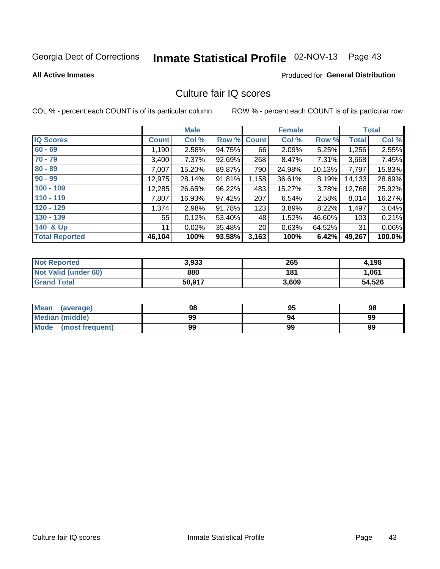# Inmate Statistical Profile 02-NOV-13 Page 43

#### **All Active Inmates**

#### **Produced for General Distribution**

### Culture fair IQ scores

COL % - percent each COUNT is of its particular column

|                       |              | <b>Male</b> |        |                 | <b>Female</b> |           |              | <b>Total</b> |
|-----------------------|--------------|-------------|--------|-----------------|---------------|-----------|--------------|--------------|
| <b>IQ Scores</b>      | <b>Count</b> | Col %       | Row %  | <b>Count</b>    | Col %         | Row %     | <b>Total</b> | Col %        |
| $60 - 69$             | 1,190        | 2.58%       | 94.75% | 66              | 2.09%         | 5.25%     | 1,256        | 2.55%        |
| $70 - 79$             | 3,400        | $7.37\%$    | 92.69% | 268             | 8.47%         | 7.31%     | 3,668        | 7.45%        |
| $80 - 89$             | 7,007        | 15.20%      | 89.87% | 790             | 24.98%        | $10.13\%$ | 7,797        | 15.83%       |
| $90 - 99$             | 12,975       | 28.14%      | 91.81% | 1,158           | 36.61%        | 8.19%     | 14,133       | 28.69%       |
| $100 - 109$           | 12,285       | 26.65%      | 96.22% | 483             | 15.27%        | 3.78%     | 12,768       | 25.92%       |
| $110 - 119$           | 7,807        | 16.93%      | 97.42% | 207             | 6.54%         | 2.58%     | 8,014        | 16.27%       |
| $120 - 129$           | 1,374        | 2.98%       | 91.78% | 123             | 3.89%         | 8.22%     | 1,497        | 3.04%        |
| $130 - 139$           | 55           | 0.12%       | 53.40% | 48              | 1.52%         | 46.60%    | 103          | 0.21%        |
| 140 & Up              | 11           | 0.02%       | 35.48% | 20 <sub>1</sub> | 0.63%         | 64.52%    | 31           | 0.06%        |
| <b>Total Reported</b> | 46,104       | 100%        | 93.58% | 3,163           | 100%          | 6.42%     | 49,267       | 100.0%       |

| <b>Not Reported</b>         | 3,933  | 265   | 4,198  |
|-----------------------------|--------|-------|--------|
| <b>Not Valid (under 60)</b> | 880    | 181   | 1.061  |
| <b>Grand Total</b>          | 50,917 | 3,609 | 54,526 |

| <b>Mean</b><br>(average) | 98 | 95 | 98 |
|--------------------------|----|----|----|
| <b>Median (middle)</b>   | 99 | 94 | 99 |
| Mode<br>(most frequent)  | 99 | 99 | 99 |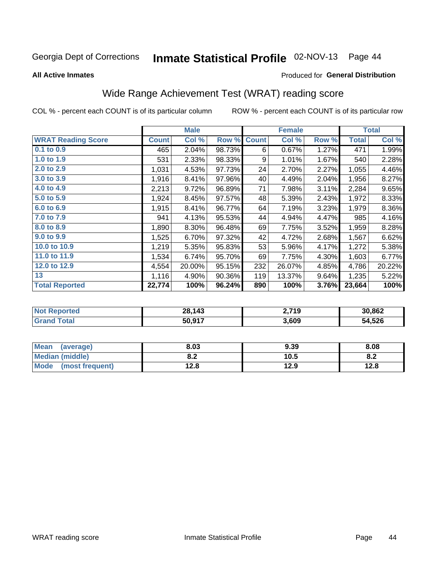# Inmate Statistical Profile 02-NOV-13 Page 44

#### **All Active Inmates**

#### Produced for General Distribution

## Wide Range Achievement Test (WRAT) reading score

COL % - percent each COUNT is of its particular column

|                           |              | <b>Male</b> |        |              | <b>Female</b> |       |              | <b>Total</b> |
|---------------------------|--------------|-------------|--------|--------------|---------------|-------|--------------|--------------|
| <b>WRAT Reading Score</b> | <b>Count</b> | Col %       | Row %  | <b>Count</b> | Col %         | Row % | <b>Total</b> | Col %        |
| $0.1$ to $0.9$            | 465          | 2.04%       | 98.73% | 6            | 0.67%         | 1.27% | 471          | 1.99%        |
| 1.0 to 1.9                | 531          | 2.33%       | 98.33% | 9            | 1.01%         | 1.67% | 540          | 2.28%        |
| 2.0 to 2.9                | 1,031        | 4.53%       | 97.73% | 24           | 2.70%         | 2.27% | 1,055        | 4.46%        |
| 3.0 to 3.9                | 1,916        | 8.41%       | 97.96% | 40           | 4.49%         | 2.04% | 1,956        | 8.27%        |
| 4.0 to 4.9                | 2,213        | 9.72%       | 96.89% | 71           | 7.98%         | 3.11% | 2,284        | 9.65%        |
| 5.0 to 5.9                | 1,924        | 8.45%       | 97.57% | 48           | 5.39%         | 2.43% | 1,972        | 8.33%        |
| 6.0 to 6.9                | 1,915        | 8.41%       | 96.77% | 64           | 7.19%         | 3.23% | 1,979        | 8.36%        |
| 7.0 to 7.9                | 941          | 4.13%       | 95.53% | 44           | 4.94%         | 4.47% | 985          | 4.16%        |
| 8.0 to 8.9                | 1,890        | 8.30%       | 96.48% | 69           | 7.75%         | 3.52% | 1,959        | 8.28%        |
| 9.0 to 9.9                | 1,525        | 6.70%       | 97.32% | 42           | 4.72%         | 2.68% | 1,567        | 6.62%        |
| 10.0 to 10.9              | 1,219        | 5.35%       | 95.83% | 53           | 5.96%         | 4.17% | 1,272        | 5.38%        |
| 11.0 to 11.9              | 1,534        | 6.74%       | 95.70% | 69           | 7.75%         | 4.30% | 1,603        | 6.77%        |
| 12.0 to 12.9              | 4,554        | 20.00%      | 95.15% | 232          | 26.07%        | 4.85% | 4,786        | 20.22%       |
| 13                        | 1,116        | 4.90%       | 90.36% | 119          | 13.37%        | 9.64% | 1,235        | 5.22%        |
| <b>Total Reported</b>     | 22,774       | 100%        | 96.24% | 890          | 100%          | 3.76% | 23,664       | 100%         |

| <b>Not Reported</b> | 28,143 | 2,719 | 30,862 |
|---------------------|--------|-------|--------|
| <b>Grand Total</b>  | 50,917 | 3,609 | 54,526 |

| <b>Mean</b><br>(average) | 8.03       | 9.39 | 8.08 |
|--------------------------|------------|------|------|
| Median (middle)          | י ה<br>0.Z | 10.5 | 0.Z  |
| Mode<br>(most frequent)  | 12.8       | 12.9 | 12.8 |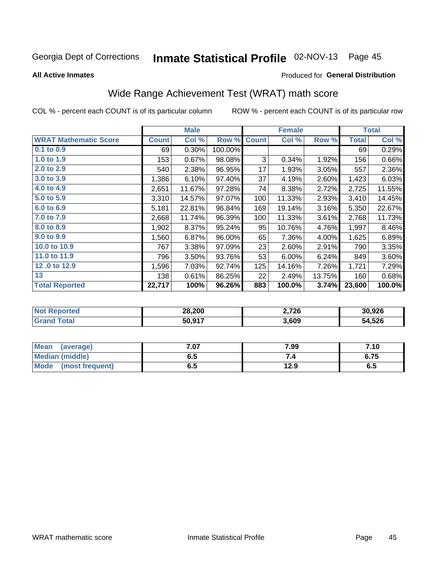# Inmate Statistical Profile 02-NOV-13 Page 45

**All Active Inmates** 

#### Produced for General Distribution

## Wide Range Achievement Test (WRAT) math score

COL % - percent each COUNT is of its particular column

|                              |              | <b>Male</b> |         |              | <b>Female</b> |        |              | <b>Total</b> |
|------------------------------|--------------|-------------|---------|--------------|---------------|--------|--------------|--------------|
| <b>WRAT Mathematic Score</b> | <b>Count</b> | Col %       | Row %   | <b>Count</b> | Col %         | Row %  | <b>Total</b> | Col %        |
| 0.1 to 0.9                   | 69           | 0.30%       | 100.00% |              |               |        | 69           | 0.29%        |
| 1.0 to 1.9                   | 153          | 0.67%       | 98.08%  | 3            | 0.34%         | 1.92%  | 156          | 0.66%        |
| 2.0 to 2.9                   | 540          | 2.38%       | 96.95%  | 17           | 1.93%         | 3.05%  | 557          | 2.36%        |
| 3.0 to 3.9                   | 1,386        | 6.10%       | 97.40%  | 37           | 4.19%         | 2.60%  | 1,423        | 6.03%        |
| 4.0 to 4.9                   | 2,651        | 11.67%      | 97.28%  | 74           | 8.38%         | 2.72%  | 2,725        | 11.55%       |
| 5.0 to 5.9                   | 3,310        | 14.57%      | 97.07%  | 100          | 11.33%        | 2.93%  | 3,410        | 14.45%       |
| 6.0 to 6.9                   | 5,181        | 22.81%      | 96.84%  | 169          | 19.14%        | 3.16%  | 5,350        | 22.67%       |
| 7.0 to 7.9                   | 2,668        | 11.74%      | 96.39%  | 100          | 11.33%        | 3.61%  | 2,768        | 11.73%       |
| 8.0 to 8.9                   | 1,902        | 8.37%       | 95.24%  | 95           | 10.76%        | 4.76%  | 1,997        | 8.46%        |
| 9.0 to 9.9                   | 1,560        | 6.87%       | 96.00%  | 65           | 7.36%         | 4.00%  | 1,625        | 6.89%        |
| 10.0 to 10.9                 | 767          | 3.38%       | 97.09%  | 23           | 2.60%         | 2.91%  | 790          | 3.35%        |
| 11.0 to 11.9                 | 796          | 3.50%       | 93.76%  | 53           | 6.00%         | 6.24%  | 849          | 3.60%        |
| 12.0 to 12.9                 | 1,596        | 7.03%       | 92.74%  | 125          | 14.16%        | 7.26%  | 1,721        | 7.29%        |
| 13                           | 138          | 0.61%       | 86.25%  | 22           | 2.49%         | 13.75% | 160          | 0.68%        |
| <b>Total Reported</b>        | 22,717       | 100%        | 96.26%  | 883          | 100.0%        | 3.74%  | 23,600       | 100.0%       |

| <b>Reported</b><br><b>Not</b> | 28,200 | 2,726 | 30,926 |
|-------------------------------|--------|-------|--------|
| <b>otal</b>                   | 50,917 | 3,609 | 54,526 |

| <b>Mean</b><br>(average) | 7.07 | 7.99 | 7.10 |
|--------------------------|------|------|------|
| Median (middle)          | כ.ס  | ۰.,  | 6.75 |
| Mode<br>(most frequent)  | υ.υ  | 12.9 | ხ.ე  |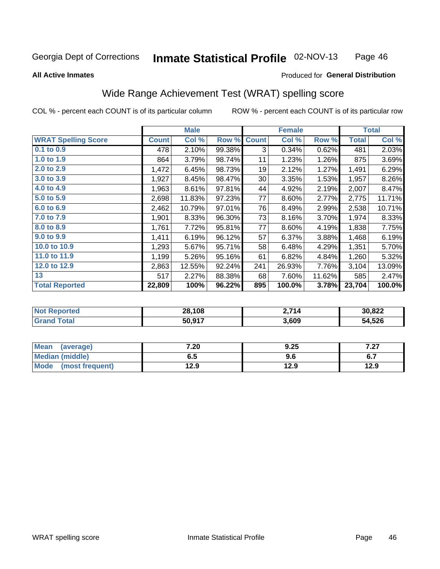#### Inmate Statistical Profile 02-NOV-13 Page 46

#### **All Active Inmates**

#### Produced for General Distribution

### Wide Range Achievement Test (WRAT) spelling score

COL % - percent each COUNT is of its particular column

|                            |              | <b>Male</b> |        |              | <b>Female</b> |        |              | <b>Total</b> |
|----------------------------|--------------|-------------|--------|--------------|---------------|--------|--------------|--------------|
| <b>WRAT Spelling Score</b> | <b>Count</b> | Col %       | Row %  | <b>Count</b> | Col %         | Row %  | <b>Total</b> | Col %        |
| $0.1$ to $0.9$             | 478          | 2.10%       | 99.38% | 3            | 0.34%         | 0.62%  | 481          | 2.03%        |
| 1.0 to 1.9                 | 864          | 3.79%       | 98.74% | 11           | 1.23%         | 1.26%  | 875          | 3.69%        |
| 2.0 to 2.9                 | 1,472        | 6.45%       | 98.73% | 19           | 2.12%         | 1.27%  | 1,491        | 6.29%        |
| 3.0 to 3.9                 | 1,927        | 8.45%       | 98.47% | 30           | 3.35%         | 1.53%  | 1,957        | 8.26%        |
| 4.0 to 4.9                 | 1,963        | 8.61%       | 97.81% | 44           | 4.92%         | 2.19%  | 2,007        | 8.47%        |
| 5.0 to 5.9                 | 2,698        | 11.83%      | 97.23% | 77           | 8.60%         | 2.77%  | 2,775        | 11.71%       |
| 6.0 to 6.9                 | 2,462        | 10.79%      | 97.01% | 76           | 8.49%         | 2.99%  | 2,538        | 10.71%       |
| 7.0 to 7.9                 | 1,901        | 8.33%       | 96.30% | 73           | 8.16%         | 3.70%  | 1,974        | 8.33%        |
| 8.0 to 8.9                 | 1,761        | 7.72%       | 95.81% | 77           | 8.60%         | 4.19%  | 1,838        | 7.75%        |
| 9.0 to 9.9                 | 1,411        | 6.19%       | 96.12% | 57           | 6.37%         | 3.88%  | 1,468        | 6.19%        |
| 10.0 to 10.9               | 1,293        | 5.67%       | 95.71% | 58           | 6.48%         | 4.29%  | 1,351        | 5.70%        |
| 11.0 to 11.9               | 1,199        | 5.26%       | 95.16% | 61           | 6.82%         | 4.84%  | 1,260        | 5.32%        |
| 12.0 to 12.9               | 2,863        | 12.55%      | 92.24% | 241          | 26.93%        | 7.76%  | 3,104        | 13.09%       |
| 13                         | 517          | 2.27%       | 88.38% | 68           | 7.60%         | 11.62% | 585          | 2.47%        |
| <b>Total Reported</b>      | 22,809       | 100%        | 96.22% | 895          | 100.0%        | 3.78%  | 23,704       | 100.0%       |

| <b>Reported</b><br><b>Not</b> | 28,108 | 714.?<br>z., | 30,822 |
|-------------------------------|--------|--------------|--------|
| iotal                         | 50,917 | 3,609        | 54,526 |

| <b>Mean</b><br>(average)       | 7.20 | 9.25 | 7 27<br>1 .ZI                  |
|--------------------------------|------|------|--------------------------------|
| Median (middle)                | כ.ס  | 9.6  | . <del>.</del><br>$\mathbf{v}$ |
| <b>Mode</b><br>(most frequent) | 12.9 | 12.9 | 12.9                           |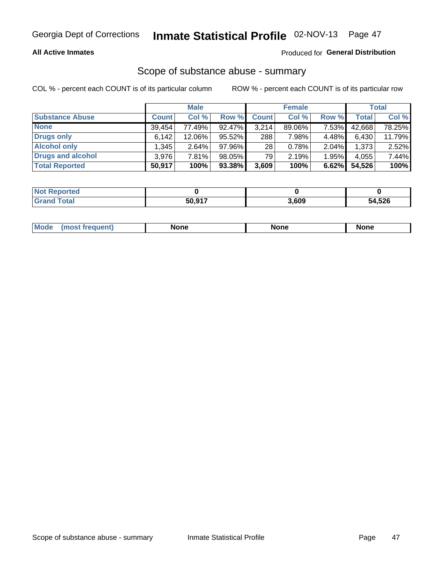#### **All Active Inmates**

#### Produced for General Distribution

# Scope of substance abuse - summary

COL % - percent each COUNT is of its particular column

|                        |              | <b>Male</b> |        |              | <b>Female</b> |          |              | <b>Total</b> |
|------------------------|--------------|-------------|--------|--------------|---------------|----------|--------------|--------------|
| <b>Substance Abuse</b> | <b>Count</b> | Col %       | Row %  | <b>Count</b> | Col %         | Row %    | <b>Total</b> | Col %        |
| <b>None</b>            | 39.454       | 77.49%      | 92.47% | 3,214        | 89.06%        | 7.53%    | 42,668       | 78.25%       |
| Drugs only             | 6,142        | 12.06%      | 95.52% | 288          | 7.98%         | 4.48%    | 6,430        | 11.79%       |
| <b>Alcohol only</b>    | .345         | $2.64\%$    | 97.96% | 28           | 0.78%         | $2.04\%$ | 1,373        | 2.52%        |
| Drugs and alcohol      | 3,976        | 7.81%       | 98.05% | 79           | 2.19%         | 1.95%    | 4,055        | 7.44%        |
| <b>Total Reported</b>  | 50,917       | 100%        | 93.38% | 3,609        | 100%          | 6.62%    | 54,526       | 100%         |

| <b>Not Reported</b> |        |       |        |
|---------------------|--------|-------|--------|
| <b>Grand Total</b>  | 50,917 | 3,609 | 54,526 |

| nuem | <b>Mo</b> | None | <b>None</b> | None |
|------|-----------|------|-------------|------|
|------|-----------|------|-------------|------|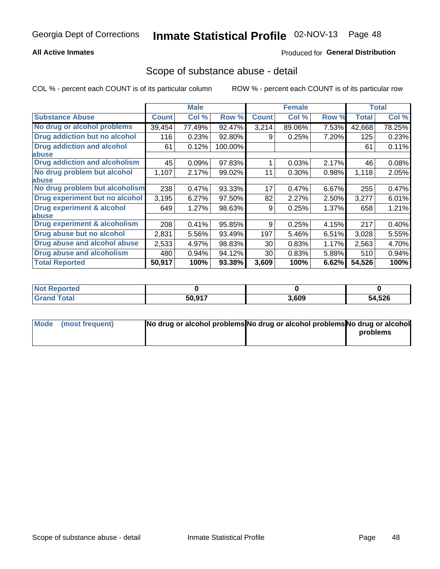#### **All Active Inmates**

### **Produced for General Distribution**

### Scope of substance abuse - detail

COL % - percent each COUNT is of its particular column

|                                      |              | <b>Male</b> |         |              | <b>Female</b> |       |              | <b>Total</b> |
|--------------------------------------|--------------|-------------|---------|--------------|---------------|-------|--------------|--------------|
| <b>Substance Abuse</b>               | <b>Count</b> | Col %       | Row %   | <b>Count</b> | Col %         | Row % | <b>Total</b> | Col %        |
| No drug or alcohol problems          | 39,454       | 77.49%      | 92.47%  | 3,214        | 89.06%        | 7.53% | 42,668       | 78.25%       |
| Drug addiction but no alcohol        | 116          | 0.23%       | 92.80%  | 9            | 0.25%         | 7.20% | 125          | 0.23%        |
| <b>Drug addiction and alcohol</b>    | 61           | 0.12%       | 100.00% |              |               |       | 61           | 0.11%        |
| <b>labuse</b>                        |              |             |         |              |               |       |              |              |
| <b>Drug addiction and alcoholism</b> | 45           | 0.09%       | 97.83%  |              | 0.03%         | 2.17% | 46           | 0.08%        |
| No drug problem but alcohol          | 1,107        | 2.17%       | 99.02%  | 11           | $0.30\%$      | 0.98% | 1,118        | 2.05%        |
| <b>labuse</b>                        |              |             |         |              |               |       |              |              |
| No drug problem but alcoholism       | 238          | 0.47%       | 93.33%  | 17           | 0.47%         | 6.67% | 255          | 0.47%        |
| Drug experiment but no alcohol       | 3,195        | 6.27%       | 97.50%  | 82           | 2.27%         | 2.50% | 3,277        | 6.01%        |
| <b>Drug experiment &amp; alcohol</b> | 649          | $1.27\%$    | 98.63%  | 9            | 0.25%         | 1.37% | 658          | 1.21%        |
| abuse                                |              |             |         |              |               |       |              |              |
| Drug experiment & alcoholism         | 208          | 0.41%       | 95.85%  | 9            | 0.25%         | 4.15% | 217          | 0.40%        |
| Drug abuse but no alcohol            | 2,831        | 5.56%       | 93.49%  | 197          | 5.46%         | 6.51% | 3,028        | 5.55%        |
| Drug abuse and alcohol abuse         | 2,533        | 4.97%       | 98.83%  | 30           | 0.83%         | 1.17% | 2,563        | 4.70%        |
| <b>Drug abuse and alcoholism</b>     | 480          | 0.94%       | 94.12%  | 30           | 0.83%         | 5.88% | 510          | 0.94%        |
| <b>Total Reported</b>                | 50,917       | 100%        | 93.38%  | 3,609        | 100%          | 6.62% | 54,526       | 100%         |

| orted<br><b>NO</b> |        |       |        |
|--------------------|--------|-------|--------|
| 'otal              | 50.917 | 3,609 | 54,526 |

| Mode (most frequent) | No drug or alcohol problems No drug or alcohol problems No drug or alcohol |          |
|----------------------|----------------------------------------------------------------------------|----------|
|                      |                                                                            | problems |
|                      |                                                                            |          |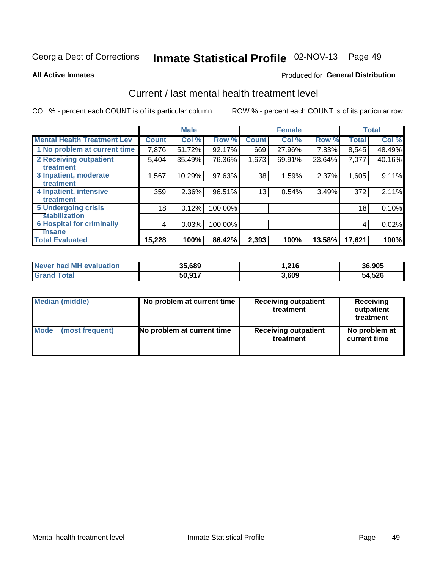# Inmate Statistical Profile 02-NOV-13 Page 49

#### **All Active Inmates**

#### **Produced for General Distribution**

### Current / last mental health treatment level

COL % - percent each COUNT is of its particular column

|                                    |              | <b>Male</b> |         |              | <b>Female</b> |        |              | <b>Total</b> |
|------------------------------------|--------------|-------------|---------|--------------|---------------|--------|--------------|--------------|
| <b>Mental Health Treatment Lev</b> | <b>Count</b> | Col %       | Row %   | <b>Count</b> | Col %         | Row %  | <b>Total</b> | Col %        |
| 1 No problem at current time       | 7,876        | 51.72%      | 92.17%  | 669          | 27.96%        | 7.83%  | 8,545        | 48.49%       |
| 2 Receiving outpatient             | 5,404        | 35.49%      | 76.36%  | 1,673        | 69.91%        | 23.64% | 7,077        | 40.16%       |
| <b>Treatment</b>                   |              |             |         |              |               |        |              |              |
| 3 Inpatient, moderate              | 1,567        | 10.29%      | 97.63%  | 38           | 1.59%         | 2.37%  | 1,605        | 9.11%        |
| <b>Treatment</b>                   |              |             |         |              |               |        |              |              |
| 4 Inpatient, intensive             | 359          | 2.36%       | 96.51%  | 13           | 0.54%         | 3.49%  | 372          | 2.11%        |
| Treatment                          |              |             |         |              |               |        |              |              |
| <b>5 Undergoing crisis</b>         | 18           | 0.12%       | 100.00% |              |               |        | 18           | 0.10%        |
| <b>Stabilization</b>               |              |             |         |              |               |        |              |              |
| <b>6 Hospital for criminally</b>   | 4            | 0.03%       | 100.00% |              |               |        | 4            | 0.02%        |
| <b>Tinsane</b>                     |              |             |         |              |               |        |              |              |
| <b>Total Evaluated</b>             | 15,228       | 100%        | 86.42%  | 2,393        | 100%          | 13.58% | 17,621       | 100%         |

| Never had MH evaluation | 35,689 | 1,216 | 36,905 |
|-------------------------|--------|-------|--------|
| <b>Grand Total</b>      | 50,917 | 3,609 | 54,526 |

| Median (middle) | No problem at current time | <b>Receiving outpatient</b><br>treatment | <b>Receiving</b><br>outpatient<br>treatment |
|-----------------|----------------------------|------------------------------------------|---------------------------------------------|
| <b>Mode</b>     | No problem at current time | <b>Receiving outpatient</b>              | No problem at                               |
| (most frequent) |                            | treatment                                | current time                                |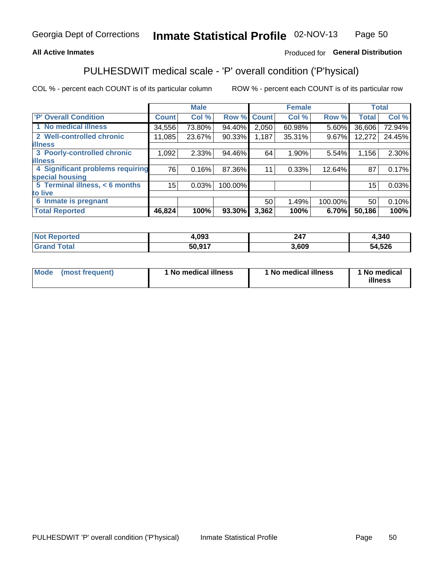#### **All Active Inmates**

### Produced for General Distribution

## PULHESDWIT medical scale - 'P' overall condition ('P'hysical)

COL % - percent each COUNT is of its particular column

|                                  |              | <b>Male</b> |         |              | <b>Female</b> |         |                 | <b>Total</b> |
|----------------------------------|--------------|-------------|---------|--------------|---------------|---------|-----------------|--------------|
| 'P' Overall Condition            | <b>Count</b> | Col %       | Row %   | <b>Count</b> | Col %         | Row %   | <b>Total</b>    | Col %        |
| 1 No medical illness             | 34,556       | 73.80%      | 94.40%  | 2,050        | 60.98%        | 5.60%   | 36,606          | 72.94%       |
| 2 Well-controlled chronic        | 11,085       | 23.67%      | 90.33%  | 1,187        | 35.31%        | 9.67%   | 12,272          | 24.45%       |
| <b>illness</b>                   |              |             |         |              |               |         |                 |              |
| 3 Poorly-controlled chronic      | 1,092        | $2.33\%$    | 94.46%  | 64           | 1.90%         | 5.54%   | 1,156           | 2.30%        |
| <b>illness</b>                   |              |             |         |              |               |         |                 |              |
| 4 Significant problems requiring | 76           | 0.16%       | 87.36%  | 11           | 0.33%         | 12.64%  | 87              | 0.17%        |
| special housing                  |              |             |         |              |               |         |                 |              |
| 5 Terminal illness, < 6 months   | 15           | 0.03%       | 100.00% |              |               |         | 15 <sup>1</sup> | 0.03%        |
| to live                          |              |             |         |              |               |         |                 |              |
| 6 Inmate is pregnant             |              |             |         | 50           | 1.49%         | 100.00% | 50              | 0.10%        |
| <b>Total Reported</b>            | 46,824       | 100%        | 93.30%  | 3,362        | 100%          | 6.70%   | 50,186          | 100%         |

| тео | .093          | ິ<br>-- | ,340       |
|-----|---------------|---------|------------|
|     | <b>50.017</b> | .609    | .526<br>54 |

| Mode | (most frequent) | 1 No medical illness | 1 No medical illness | 1 No medical<br>illness |
|------|-----------------|----------------------|----------------------|-------------------------|
|------|-----------------|----------------------|----------------------|-------------------------|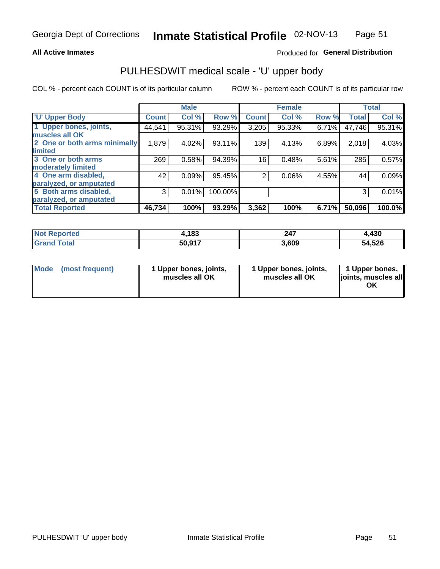#### **All Active Inmates**

### Produced for General Distribution

# PULHESDWIT medical scale - 'U' upper body

COL % - percent each COUNT is of its particular column

|                              |              | <b>Male</b> |         |                | <b>Female</b> |       |              | <b>Total</b> |
|------------------------------|--------------|-------------|---------|----------------|---------------|-------|--------------|--------------|
| <b>U' Upper Body</b>         | <b>Count</b> | Col %       | Row %   | <b>Count</b>   | Col %         | Row % | <b>Total</b> | Col %        |
| 1 Upper bones, joints,       | 44,541       | 95.31%      | 93.29%  | 3,205          | 95.33%        | 6.71% | 47,746       | 95.31%       |
| muscles all OK               |              |             |         |                |               |       |              |              |
| 2 One or both arms minimally | 1,879        | 4.02%       | 93.11%  | 139            | 4.13%         | 6.89% | 2,018        | 4.03%        |
| limited                      |              |             |         |                |               |       |              |              |
| 3 One or both arms           | 269          | 0.58%       | 94.39%  | 16             | 0.48%         | 5.61% | 285          | 0.57%        |
| <b>moderately limited</b>    |              |             |         |                |               |       |              |              |
| 4 One arm disabled,          | 42           | 0.09%       | 95.45%  | $\overline{2}$ | 0.06%         | 4.55% | 44           | 0.09%        |
| paralyzed, or amputated      |              |             |         |                |               |       |              |              |
| 5 Both arms disabled,        | 3            | 0.01%       | 100.00% |                |               |       | 3            | 0.01%        |
| paralyzed, or amputated      |              |             |         |                |               |       |              |              |
| <b>Total Reported</b>        | 46,734       | 100%        | 93.29%  | 3,362          | 100%          | 6.71% | 50,096       | 100.0%       |

| <b>Not Reported</b>   | 1,183  | 247   | 4,430  |
|-----------------------|--------|-------|--------|
| <b>Total</b><br>Grand | 50,917 | 3,609 | 54,526 |

| Mode (most frequent) | 1 Upper bones, joints,<br>muscles all OK | 1 Upper bones, joints,<br>muscles all OK | 1 Upper bones,<br>joints, muscles all<br>ΟK |
|----------------------|------------------------------------------|------------------------------------------|---------------------------------------------|
|----------------------|------------------------------------------|------------------------------------------|---------------------------------------------|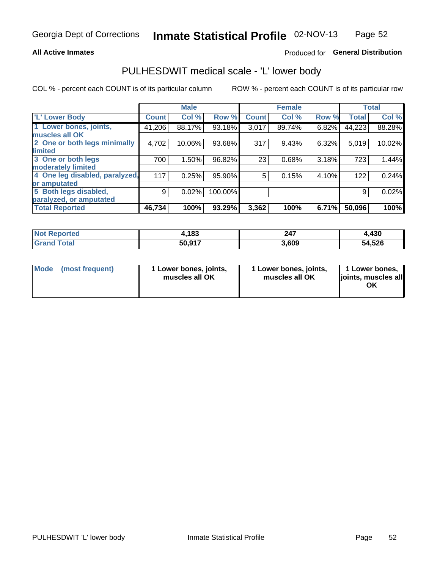#### **All Active Inmates**

### Produced for General Distribution

### PULHESDWIT medical scale - 'L' lower body

COL % - percent each COUNT is of its particular column

|                                |              | <b>Male</b> |         |              | <b>Female</b> |       |              | <b>Total</b> |
|--------------------------------|--------------|-------------|---------|--------------|---------------|-------|--------------|--------------|
| 'L' Lower Body                 | <b>Count</b> | Col %       | Row %   | <b>Count</b> | Col %         | Row % | <b>Total</b> | Col %        |
| 1 Lower bones, joints,         | 41,206       | 88.17%      | 93.18%  | 3,017        | 89.74%        | 6.82% | 44,223       | 88.28%       |
| muscles all OK                 |              |             |         |              |               |       |              |              |
| 2 One or both legs minimally   | 4,702        | 10.06%      | 93.68%  | 317          | 9.43%         | 6.32% | 5,019        | 10.02%       |
| limited                        |              |             |         |              |               |       |              |              |
| 3 One or both legs             | 700          | 1.50%       | 96.82%  | 23           | 0.68%         | 3.18% | 723          | 1.44%        |
| moderately limited             |              |             |         |              |               |       |              |              |
| 4 One leg disabled, paralyzed, | 117          | 0.25%       | 95.90%  | 5            | 0.15%         | 4.10% | 122          | 0.24%        |
| or amputated                   |              |             |         |              |               |       |              |              |
| 5 Both legs disabled,          | 9            | 0.02%       | 100.00% |              |               |       | 9            | 0.02%        |
| paralyzed, or amputated        |              |             |         |              |               |       |              |              |
| <b>Total Reported</b>          | 46,734       | 100%        | 93.29%  | 3,362        | 100%          | 6.71% | 50,096       | 100%         |

| <b>Not Reported</b>   | 1,183  | 247   | 4,430  |
|-----------------------|--------|-------|--------|
| <b>Total</b><br>Grand | 50,917 | 3,609 | 54,526 |

|  | Mode (most frequent) | 1 Lower bones, joints,<br>muscles all OK | 1 Lower bones, joints,<br>muscles all OK | 1 Lower bones,<br>joints, muscles all<br>ΟK |
|--|----------------------|------------------------------------------|------------------------------------------|---------------------------------------------|
|--|----------------------|------------------------------------------|------------------------------------------|---------------------------------------------|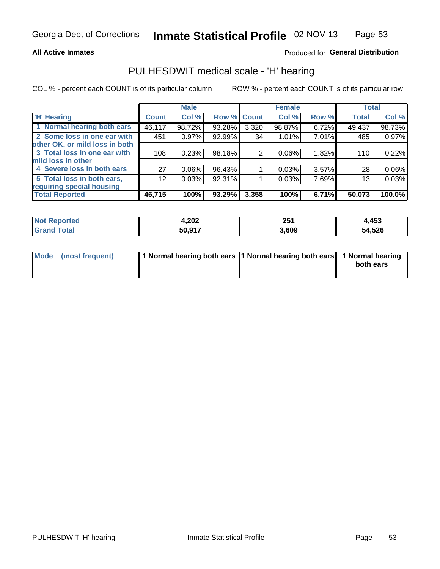#### **All Active Inmates**

### Produced for General Distribution

### PULHESDWIT medical scale - 'H' hearing

COL % - percent each COUNT is of its particular column

|                                |                 | <b>Male</b> |                    |       | <b>Female</b> |          | <b>Total</b> |          |
|--------------------------------|-----------------|-------------|--------------------|-------|---------------|----------|--------------|----------|
| <b>H' Hearing</b>              | <b>Count</b>    | Col %       | <b>Row % Count</b> |       | Col %         | Row %    | <b>Total</b> | Col %    |
| 1 Normal hearing both ears     | 46,117          | 98.72%      | 93.28%             | 3,320 | 98.87%        | 6.72%    | 49,437       | 98.73%   |
| 2 Some loss in one ear with    | 451             | 0.97%       | 92.99%             | 34    | 1.01%         | 7.01%    | 485          | 0.97%    |
| other OK, or mild loss in both |                 |             |                    |       |               |          |              |          |
| 3 Total loss in one ear with   | 108             | 0.23%       | 98.18%             | 2     | $0.06\%$      | 1.82%    | 110          | 0.22%    |
| mild loss in other             |                 |             |                    |       |               |          |              |          |
| 4 Severe loss in both ears     | 27              | 0.06%       | 96.43%             |       | 0.03%         | $3.57\%$ | 28           | $0.06\%$ |
| 5 Total loss in both ears,     | 12 <sub>1</sub> | 0.03%       | 92.31%             |       | 0.03%         | 7.69%    | 13           | 0.03%    |
| requiring special housing      |                 |             |                    |       |               |          |              |          |
| <b>Total Reported</b>          | 46,715          | 100%        | 93.29%             | 3,358 | 100%          | 6.71%    | 50,073       | 100.0%   |

| <b>Not</b>   | ົດດາ   | OE.   | 4,453  |
|--------------|--------|-------|--------|
| <b>orted</b> | 4.ZUZ  | ZJ I  |        |
| $F$ ntal     | 50,917 | 8,609 | 54,526 |

| Mode (most frequent) | 1 Normal hearing both ears 1 Normal hearing both ears 1 Normal hearing | both ears |
|----------------------|------------------------------------------------------------------------|-----------|
|                      |                                                                        |           |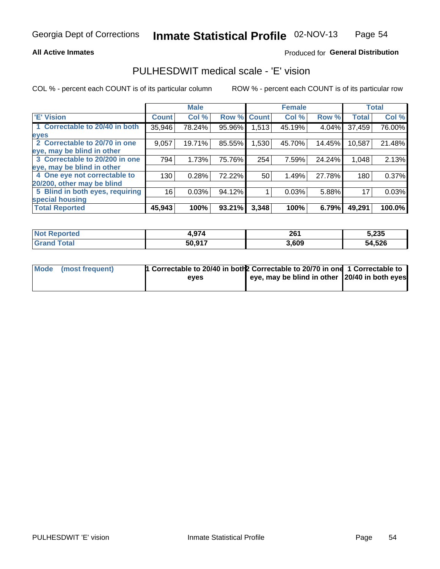#### **All Active Inmates**

### Produced for General Distribution

### PULHESDWIT medical scale - 'E' vision

COL % - percent each COUNT is of its particular column

|                                 |              | <b>Male</b> |        |              | <b>Female</b> |        |              | <b>Total</b> |
|---------------------------------|--------------|-------------|--------|--------------|---------------|--------|--------------|--------------|
| <b>E' Vision</b>                | <b>Count</b> | Col %       | Row %  | <b>Count</b> | Col %         | Row %  | <b>Total</b> | Col %        |
| 1 Correctable to 20/40 in both  | 35,946       | 78.24%      | 95.96% | 1,513        | 45.19%        | 4.04%  | 37,459       | 76.00%       |
| eyes                            |              |             |        |              |               |        |              |              |
| 2 Correctable to 20/70 in one   | 9,057        | 19.71%      | 85.55% | 1,530        | 45.70%        | 14.45% | 10,587       | 21.48%       |
| eye, may be blind in other      |              |             |        |              |               |        |              |              |
| 3 Correctable to 20/200 in one  | 794          | 1.73%       | 75.76% | 254          | 7.59%         | 24.24% | 1,048        | 2.13%        |
| eye, may be blind in other      |              |             |        |              |               |        |              |              |
| 4 One eye not correctable to    | 130          | 0.28%       | 72.22% | 50           | 1.49%         | 27.78% | 180          | 0.37%        |
| 20/200, other may be blind      |              |             |        |              |               |        |              |              |
| 5 Blind in both eyes, requiring | 16           | 0.03%       | 94.12% |              | 0.03%         | 5.88%  | 17           | 0.03%        |
| special housing                 |              |             |        |              |               |        |              |              |
| <b>Total Reported</b>           | 45,943       | 100%        | 93.21% | 3,348        | 100%          | 6.79%  | 49,291       | 100.0%       |

| <b>Not Reported</b> | 4,974  | 261   | 5,235  |
|---------------------|--------|-------|--------|
| <b>Grand Total</b>  | 50,917 | 3,609 | 54,526 |

| Mode (most frequent) | <sup>1</sup> Correctable to 20/40 in both 2 Correctable to 20/70 in one 1 Correctable to |                                               |  |
|----------------------|------------------------------------------------------------------------------------------|-----------------------------------------------|--|
|                      | eves                                                                                     | eye, may be blind in other 20/40 in both eyes |  |
|                      |                                                                                          |                                               |  |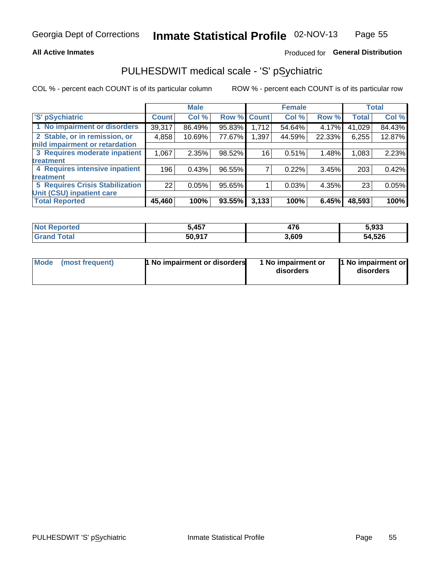#### **All Active Inmates**

### Produced for General Distribution

## PULHESDWIT medical scale - 'S' pSychiatric

COL % - percent each COUNT is of its particular column

|                                        |              | <b>Male</b> |        |              | <b>Female</b> |        |              | <b>Total</b> |
|----------------------------------------|--------------|-------------|--------|--------------|---------------|--------|--------------|--------------|
| 'S' pSychiatric                        | <b>Count</b> | Col %       | Row %  | <b>Count</b> | Col %         | Row %  | <b>Total</b> | Col %        |
| 1 No impairment or disorders           | 39,317       | 86.49%      | 95.83% | 1,712        | 54.64%        | 4.17%  | 41,029       | 84.43%       |
| 2 Stable, or in remission, or          | 4,858        | 10.69%      | 77.67% | 1,397        | 44.59%        | 22.33% | 6,255        | 12.87%       |
| mild impairment or retardation         |              |             |        |              |               |        |              |              |
| 3 Requires moderate inpatient          | 1,067        | 2.35%       | 98.52% | 16           | 0.51%         | 1.48%  | 1,083        | 2.23%        |
| treatment                              |              |             |        |              |               |        |              |              |
| 4 Requires intensive inpatient         | 196          | 0.43%       | 96.55% |              | 0.22%         | 3.45%  | 203          | 0.42%        |
| treatment                              |              |             |        |              |               |        |              |              |
| <b>5 Requires Crisis Stabilization</b> | 22           | 0.05%       | 95.65% |              | 0.03%         | 4.35%  | 23           | 0.05%        |
| Unit (CSU) inpatient care              |              |             |        |              |               |        |              |              |
| <b>Total Reported</b>                  | 45,460       | 100%        | 93.55% | 3,133        | 100%          | 6.45%  | 48,593       | 100%         |

| <b>Not Reported</b> | <b>A57</b><br>וט+ | ים<br>$\mathbf{H}$ | 5,933  |
|---------------------|-------------------|--------------------|--------|
| <b>Total</b>        | 50,917            | 3,609              | 54,526 |

| Mode<br>1 No impairment or disorders<br>(most frequent) | 1 No impairment or<br>disorders | 1 No impairment or<br>disorders |
|---------------------------------------------------------|---------------------------------|---------------------------------|
|---------------------------------------------------------|---------------------------------|---------------------------------|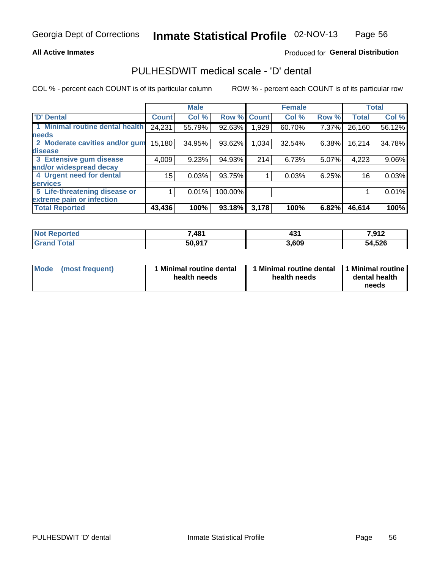#### **All Active Inmates**

### Produced for General Distribution

## PULHESDWIT medical scale - 'D' dental

COL % - percent each COUNT is of its particular column

|                                 |              | <b>Male</b> |         |              | <b>Female</b> |       |              | <b>Total</b> |
|---------------------------------|--------------|-------------|---------|--------------|---------------|-------|--------------|--------------|
| <b>D' Dental</b>                | <b>Count</b> | Col %       | Row %   | <b>Count</b> | Col %         | Row % | <b>Total</b> | Col %        |
| 1 Minimal routine dental health | 24,231       | 55.79%      | 92.63%  | ∣ 929. ا     | 60.70%        | 7.37% | 26,160       | 56.12%       |
| <b>needs</b>                    |              |             |         |              |               |       |              |              |
| 2 Moderate cavities and/or gum  | 15,180       | 34.95%      | 93.62%  | 1,034        | 32.54%        | 6.38% | 16,214       | 34.78%       |
| disease                         |              |             |         |              |               |       |              |              |
| 3 Extensive gum disease         | 4,009        | 9.23%       | 94.93%  | 214          | 6.73%         | 5.07% | 4,223        | 9.06%        |
| and/or widespread decay         |              |             |         |              |               |       |              |              |
| 4 Urgent need for dental        | 15           | 0.03%       | 93.75%  |              | 0.03%         | 6.25% | 16           | 0.03%        |
| <b>services</b>                 |              |             |         |              |               |       |              |              |
| 5 Life-threatening disease or   |              | 0.01%       | 100.00% |              |               |       |              | 0.01%        |
| extreme pain or infection       |              |             |         |              |               |       |              |              |
| <b>Total Reported</b>           | 43,436       | 100%        | 93.18%  | 3,178        | 100%          | 6.82% | 46,614       | 100%         |

| <b>Not Reported</b>           | ,481   | $\overline{\phantom{a}}$<br>- 7 | 7,912  |
|-------------------------------|--------|---------------------------------|--------|
| <b>Total</b><br><b>ˈGrand</b> | 50,917 | 3,609                           | 54,526 |

| 1 Minimal routine dental<br>Mode<br>(most frequent)<br>health needs | 1 Minimal routine dental 1 Minimal routine<br>health needs | dental health<br>needs |
|---------------------------------------------------------------------|------------------------------------------------------------|------------------------|
|---------------------------------------------------------------------|------------------------------------------------------------|------------------------|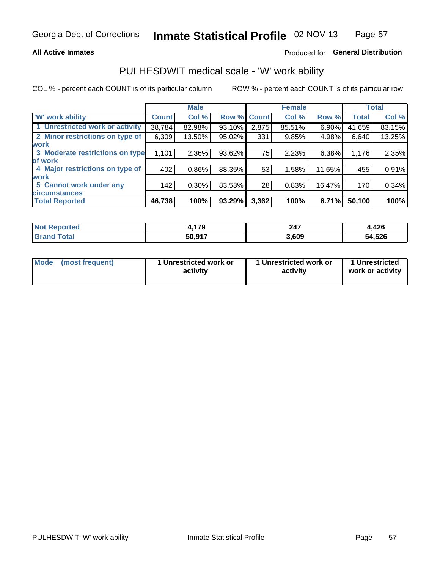#### **All Active Inmates**

### Produced for General Distribution

### PULHESDWIT medical scale - 'W' work ability

COL % - percent each COUNT is of its particular column

|                                 |              | <b>Male</b> |             |       | <b>Female</b> |        |              | <b>Total</b> |
|---------------------------------|--------------|-------------|-------------|-------|---------------|--------|--------------|--------------|
| <b>W' work ability</b>          | <b>Count</b> | Col %       | Row % Count |       | Col %         | Row %  | <b>Total</b> | Col %        |
| 1 Unrestricted work or activity | 38,784       | 82.98%      | 93.10%      | 2,875 | 85.51%        | 6.90%  | 41,659       | 83.15%       |
| 2 Minor restrictions on type of | 6,309        | 13.50%      | 95.02%      | 331   | 9.85%         | 4.98%  | 6,640        | 13.25%       |
| <b>work</b>                     |              |             |             |       |               |        |              |              |
| 3 Moderate restrictions on type | 1,101        | $2.36\%$    | 93.62%      | 75    | 2.23%         | 6.38%  | 1,176        | 2.35%        |
| lof work                        |              |             |             |       |               |        |              |              |
| 4 Major restrictions on type of | 402          | $0.86\%$    | 88.35%      | 53    | 1.58%         | 11.65% | 455          | 0.91%        |
| <b>work</b>                     |              |             |             |       |               |        |              |              |
| 5 Cannot work under any         | 142          | $0.30\%$    | 83.53%      | 28    | 0.83%         | 16.47% | 170          | 0.34%        |
| <b>circumstances</b>            |              |             |             |       |               |        |              |              |
| <b>Total Reported</b>           | 46,738       | 100%        | 93.29%      | 3,362 | 100%          | 6.71%  | 50,100       | 100%         |

| <b>Not Reported</b> | 17Q<br>. | 247   | .426   |
|---------------------|----------|-------|--------|
| Total<br>Grand      | 50,917   | 3,609 | 54,526 |

| Mode            | 1 Unrestricted work or | 1 Unrestricted work or | 1 Unrestricted   |
|-----------------|------------------------|------------------------|------------------|
| (most frequent) | activity               | activity               | work or activity |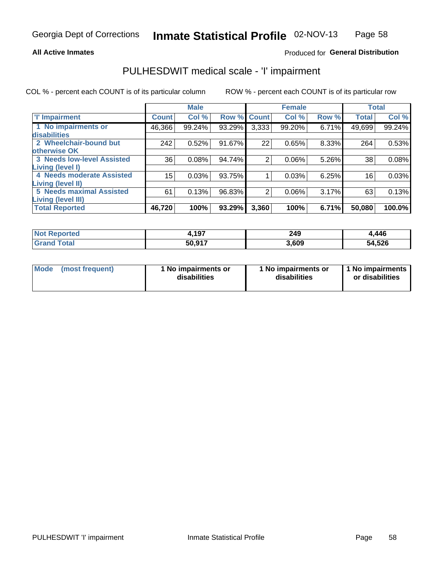#### **All Active Inmates**

#### Produced for General Distribution

## PULHESDWIT medical scale - 'I' impairment

COL % - percent each COUNT is of its particular column ROW % - percent each COUNT is of its particular row

|                                   |              | <b>Male</b> |             |                | <b>Female</b> |       |              | <b>Total</b> |
|-----------------------------------|--------------|-------------|-------------|----------------|---------------|-------|--------------|--------------|
| 'l' Impairment                    | <b>Count</b> | Col %       | Row % Count |                | Col %         | Row % | <b>Total</b> | Col %        |
| 1 No impairments or               | 46,366       | 99.24%      | 93.29%      | 3,333          | 99.20%        | 6.71% | 49,699       | 99.24%       |
| disabilities                      |              |             |             |                |               |       |              |              |
| 2 Wheelchair-bound but            | 242          | 0.52%       | 91.67%      | 22             | 0.65%         | 8.33% | 264          | 0.53%        |
| otherwise OK                      |              |             |             |                |               |       |              |              |
| <b>3 Needs low-level Assisted</b> | 36           | 0.08%       | 94.74%      | $\overline{2}$ | 0.06%         | 5.26% | 38           | 0.08%        |
| Living (level I)                  |              |             |             |                |               |       |              |              |
| 4 Needs moderate Assisted         | 15           | 0.03%       | 93.75%      |                | 0.03%         | 6.25% | 16           | 0.03%        |
| Living (level II)                 |              |             |             |                |               |       |              |              |
| <b>5 Needs maximal Assisted</b>   | 61           | 0.13%       | 96.83%      | $\overline{2}$ | 0.06%         | 3.17% | 63           | 0.13%        |
| <b>Living (level III)</b>         |              |             |             |                |               |       |              |              |
| <b>Total Reported</b>             | 46,720       | 100%        | 93.29%      | 3,360          | 100%          | 6.71% | 50,080       | 100.0%       |

| <b>Not Reported</b> | 1,197  | 249<br>$\sim$ | 4,446  |
|---------------------|--------|---------------|--------|
| Total               | 50,917 | 3,609         | 54,526 |

| <b>Mode</b> | (most frequent) | <b>No impairments or</b><br>disabilities | 1 No impairments or<br>disabilities | 1 No impairments<br>or disabilities |
|-------------|-----------------|------------------------------------------|-------------------------------------|-------------------------------------|
|-------------|-----------------|------------------------------------------|-------------------------------------|-------------------------------------|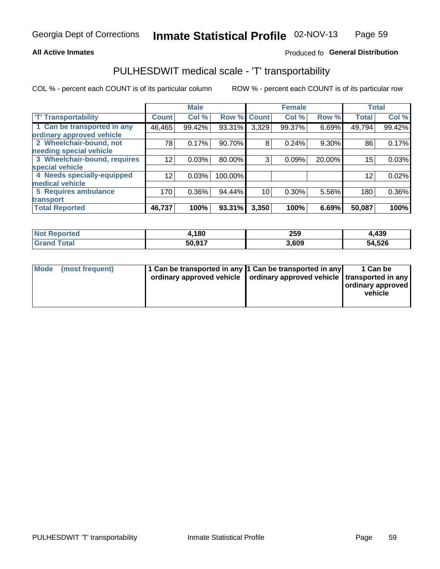#### **All Active Inmates**

### Produced fo General Distribution

### PULHESDWIT medical scale - 'T' transportability

COL % - percent each COUNT is of its particular column

|                              |                 | <b>Male</b> |         |              | <b>Female</b> |        |              | <b>Total</b> |
|------------------------------|-----------------|-------------|---------|--------------|---------------|--------|--------------|--------------|
| <b>T' Transportability</b>   | <b>Count</b>    | Col %       | Row %   | <b>Count</b> | Col %         | Row %  | <b>Total</b> | Col %        |
| 1 Can be transported in any  | 46,465          | 99.42%      | 93.31%  | 3,329        | 99.37%        | 6.69%  | 49,794       | 99.42%       |
| ordinary approved vehicle    |                 |             |         |              |               |        |              |              |
| 2 Wheelchair-bound, not      | 78              | 0.17%       | 90.70%  | 8            | 0.24%         | 9.30%  | 86           | 0.17%        |
| needing special vehicle      |                 |             |         |              |               |        |              |              |
| 3 Wheelchair-bound, requires | 12              | 0.03%       | 80.00%  | 3            | 0.09%         | 20.00% | 15           | 0.03%        |
| special vehicle              |                 |             |         |              |               |        |              |              |
| 4 Needs specially-equipped   | 12 <sup>°</sup> | 0.03%       | 100.00% |              |               |        | 12           | 0.02%        |
| medical vehicle              |                 |             |         |              |               |        |              |              |
| <b>5 Requires ambulance</b>  | 170             | 0.36%       | 94.44%  | 10           | 0.30%         | 5.56%  | 180          | $0.36\%$     |
| transport                    |                 |             |         |              |               |        |              |              |
| <b>Total Reported</b>        | 46,737          | 100%        | 93.31%  | 3,350        | 100%          | 6.69%  | 50,087       | 100%         |

| orted       | ,180   | 259   | 4,439  |
|-------------|--------|-------|--------|
| <b>otal</b> | 50.917 | 3,609 | 54,526 |

|  | Mode (most frequent) | 1 Can be transported in any 1 Can be transported in any<br>ordinary approved vehicle   ordinary approved vehicle   transported in any |  | 1 Can be<br>  ordinary approved  <br>vehicle |
|--|----------------------|---------------------------------------------------------------------------------------------------------------------------------------|--|----------------------------------------------|
|--|----------------------|---------------------------------------------------------------------------------------------------------------------------------------|--|----------------------------------------------|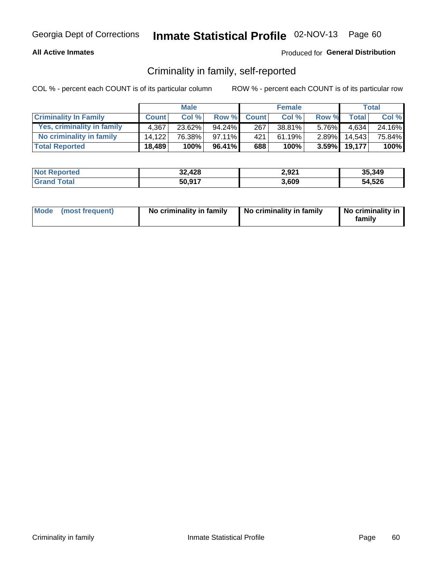#### **All Active Inmates**

### Produced for General Distribution

### Criminality in family, self-reported

COL % - percent each COUNT is of its particular column

|                              |              | <b>Male</b> |           |              | <b>Female</b> |          |              | Total  |
|------------------------------|--------------|-------------|-----------|--------------|---------------|----------|--------------|--------|
| <b>Criminality In Family</b> | <b>Count</b> | Col%        | Row %     | <b>Count</b> | Col %         | Row %    | <b>Total</b> | Col %  |
| Yes, criminality in family   | 4.367        | 23.62%      | 94.24%    | 267          | 38.81%        | $5.76\%$ | 4.634        | 24.16% |
| No criminality in family     | 14.122       | 76.38%      | $97.11\%$ | 421          | 61.19%        | $2.89\%$ | 14.543       | 75.84% |
| <b>Total Reported</b>        | 18,489       | 100%        | 96.41%    | 688          | 100%          | $3.59\%$ | 19,177       | 100%   |

| <b>Not Reported</b> | 32,428 | 2,921 | 35.349 |
|---------------------|--------|-------|--------|
| <b>Srand Total</b>  | 50,917 | 3,609 | 54,526 |

|  | Mode (most frequent) | No criminality in family | No criminality in family | No criminality in<br>family |
|--|----------------------|--------------------------|--------------------------|-----------------------------|
|--|----------------------|--------------------------|--------------------------|-----------------------------|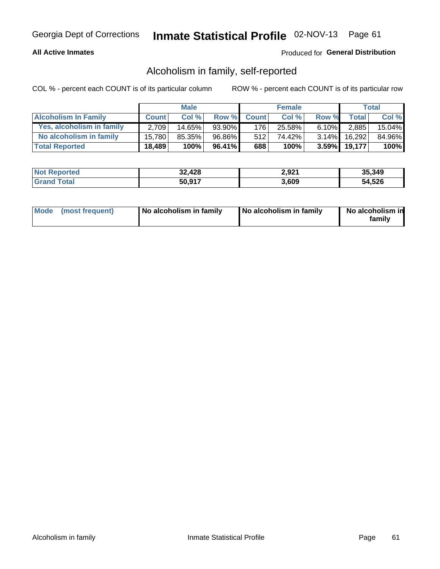#### **All Active Inmates**

### Produced for General Distribution

### Alcoholism in family, self-reported

COL % - percent each COUNT is of its particular column

|                             |              | <b>Male</b> |        |              | <b>Female</b> |          |              | Total  |
|-----------------------------|--------------|-------------|--------|--------------|---------------|----------|--------------|--------|
| <b>Alcoholism In Family</b> | <b>Count</b> | Col%        | Row %  | <b>Count</b> | Col %         | Row %    | Total i      | Col %  |
| Yes, alcoholism in family   | 2.709        | 14.65%      | 93.90% | 176          | 25.58%        | $6.10\%$ | 2,885        | 15.04% |
| No alcoholism in family     | 15.780       | 85.35%      | 96.86% | 512          | 74.42%        | $3.14\%$ | 16,292       | 84.96% |
| <b>Total Reported</b>       | 18,489       | 100%        | 96.41% | 688          | 100%          |          | 3.59% 19,177 | 100%   |

| <b>Not Reported</b> | 32,428 | 2,921 | 35.349 |
|---------------------|--------|-------|--------|
| Tota                | 50,917 | 3,609 | 54,526 |

|  | Mode (most frequent) | No alcoholism in family | No alcoholism in family | No alcoholism in<br>family |
|--|----------------------|-------------------------|-------------------------|----------------------------|
|--|----------------------|-------------------------|-------------------------|----------------------------|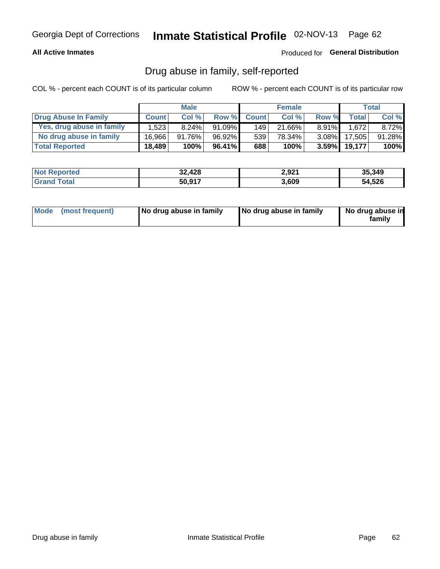#### **All Active Inmates**

#### Produced for General Distribution

### Drug abuse in family, self-reported

COL % - percent each COUNT is of its particular column

|                           |              | <b>Male</b> |        |                  | <b>Female</b> |          |        | <b>Total</b> |
|---------------------------|--------------|-------------|--------|------------------|---------------|----------|--------|--------------|
| Drug Abuse In Family      | <b>Count</b> | Col%        | Row %  | <b>Count</b>     | Col%          | Row %    | Total  | Col %        |
| Yes, drug abuse in family | 1,523        | $8.24\%$    | 91.09% | 149              | 21.66%        | $8.91\%$ | 1.672  | $8.72\%$     |
| No drug abuse in family   | 16.966       | 91.76%      | 96.92% | 539 <sup>1</sup> | 78.34%        | $3.08\%$ | 17,505 | 91.28%       |
| <b>Total Reported</b>     | 18,489       | 100%        | 96.41% | 688              | 100%          | $3.59\%$ | 19,177 | $100\%$      |

| <b>Not Reported</b> | 32,428 | 2,921 | 35.349 |
|---------------------|--------|-------|--------|
| <b>Srand Total</b>  | 50,917 | 3,609 | 54,526 |

|  | Mode (most frequent) | No drug abuse in family | No drug abuse in family | No drug abuse in<br>familv |
|--|----------------------|-------------------------|-------------------------|----------------------------|
|--|----------------------|-------------------------|-------------------------|----------------------------|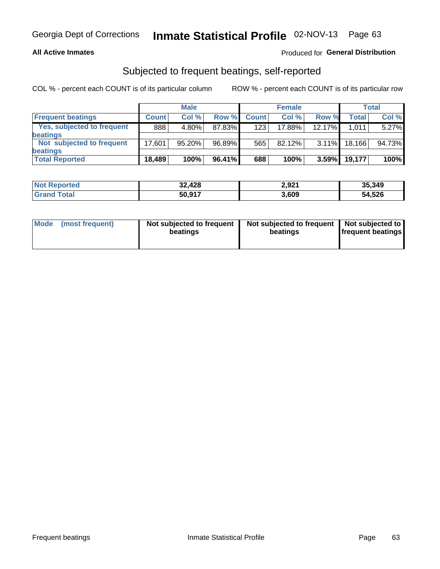#### **All Active Inmates**

#### Produced for General Distribution

### Subjected to frequent beatings, self-reported

COL % - percent each COUNT is of its particular column

|                            |              | <b>Male</b> |        |              | <b>Female</b> |          |        | Total  |
|----------------------------|--------------|-------------|--------|--------------|---------------|----------|--------|--------|
| <b>Frequent beatings</b>   | <b>Count</b> | Col %       | Row %  | <b>Count</b> | Col %         | Row %    | Total  | Col %  |
| Yes, subjected to frequent | 888          | $4.80\%$    | 87.83% | 123          | $17.88\%$     | 12.17%   | 1.011  | 5.27%  |
| <b>beatings</b>            |              |             |        |              |               |          |        |        |
| Not subjected to frequent  | 17.601       | 95.20%      | 96.89% | 565          | $82.12\%$     | $3.11\%$ | 18.166 | 94.73% |
| <b>beatings</b>            |              |             |        |              |               |          |        |        |
| <b>Total Reported</b>      | 18,489       | 100%        | 96.41% | 688          | 100%          | 3.59%    | 19,177 | 100%   |

| <b>Not Reported</b> | 32,428 | 2,921 | 35,349 |
|---------------------|--------|-------|--------|
| <b>Grand Total</b>  | 50,917 | 3,609 | 54,526 |

| Mode | (most frequent) | Not subjected to frequent<br>beatings | Not subjected to frequent   Not subjected to<br>beatings | <b>frequent beatings</b> |
|------|-----------------|---------------------------------------|----------------------------------------------------------|--------------------------|
|      |                 |                                       |                                                          |                          |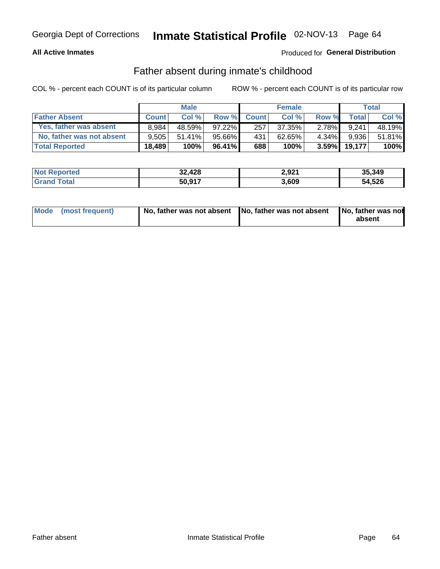#### **All Active Inmates**

### Produced for General Distribution

### Father absent during inmate's childhood

COL % - percent each COUNT is of its particular column

|                           |              | <b>Male</b> |           |              | <b>Female</b> |          |        | Total  |
|---------------------------|--------------|-------------|-----------|--------------|---------------|----------|--------|--------|
| <b>Father Absent</b>      | <b>Count</b> | Col%        | Row %     | <b>Count</b> | Col %         | Row %    | Total  | Col %  |
| Yes, father was absent    | 8.984        | 48.59%      | $97.22\%$ | 257          | 37.35%        | 2.78%I   | 9.241  | 48.19% |
| No, father was not absent | 9.505        | $51.41\%$   | 95.66%    | 431          | 62.65%        | $4.34\%$ | 9,936  | 51.81% |
| <b>Total Reported</b>     | 18,489       | 100%        | $96.41\%$ | 688          | 100%          | $3.59\%$ | 19,177 | 100%   |

| <b>Not Reported</b> | 32,428 | 2,921 | 35,349 |
|---------------------|--------|-------|--------|
| <b>Srand Total</b>  | 50,917 | 3,609 | 54,526 |

|  | Mode (most frequent) | No, father was not absent No, father was not absent |  | No, father was not<br>absent |
|--|----------------------|-----------------------------------------------------|--|------------------------------|
|--|----------------------|-----------------------------------------------------|--|------------------------------|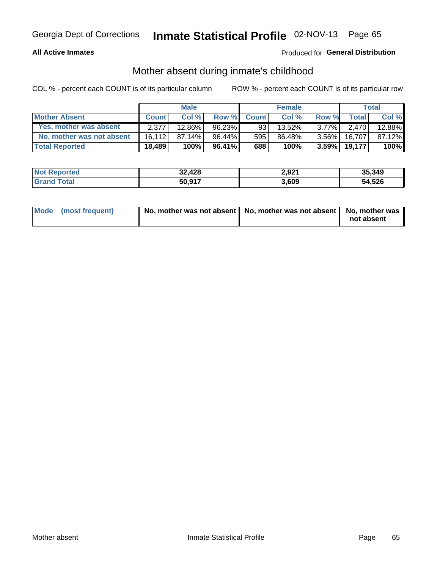#### **All Active Inmates**

### Produced for General Distribution

### Mother absent during inmate's childhood

COL % - percent each COUNT is of its particular column

|                           | <b>Male</b>  |         |           | <b>Female</b> |        |          | Total        |        |
|---------------------------|--------------|---------|-----------|---------------|--------|----------|--------------|--------|
| <b>Mother Absent</b>      | <b>Count</b> | Col%    | Row %     | <b>Count</b>  | Col %  | Row %    | <b>Total</b> | Col %  |
| Yes, mother was absent    | 2.377        | 12.86%  | 96.23%    | 93            | 13.52% | $3.77\%$ | 2.470        | 12.88% |
| No, mother was not absent | 16.112       | 87.14%  | 96.44%    | 595           | 86.48% | $3.56\%$ | 16.707       | 87.12% |
| <b>Total Reported</b>     | 18,489       | $100\%$ | $96.41\%$ | 688           | 100%   | $3.59\%$ | 19,177       | 100%   |

| <b>Not Reported</b> | 32,428 | 2,921 | 35.349 |
|---------------------|--------|-------|--------|
| Tota                | 50,917 | 3,609 | 54,526 |

| Mode (most frequent) | No, mother was not absent   No, mother was not absent   No, mother was | not absent |
|----------------------|------------------------------------------------------------------------|------------|
|                      |                                                                        |            |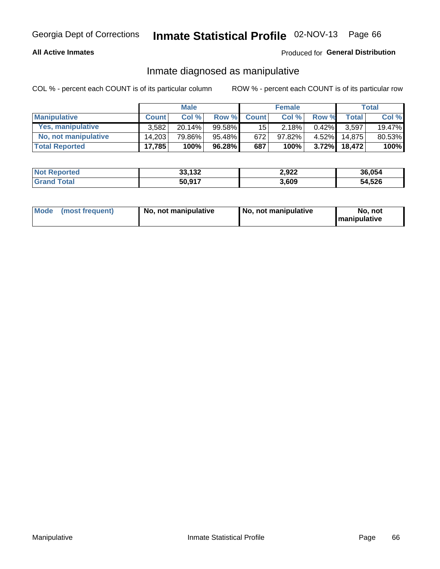#### **All Active Inmates**

### Produced for General Distribution

### Inmate diagnosed as manipulative

COL % - percent each COUNT is of its particular column

|                       | <b>Male</b>  |           |           | <b>Female</b>   |        |          | Total  |        |
|-----------------------|--------------|-----------|-----------|-----------------|--------|----------|--------|--------|
| <b>Manipulative</b>   | <b>Count</b> | Col%      | Row %     | <b>Count</b>    | Col%   | Row %    | Total  | Col %  |
| Yes, manipulative     | 3.582        | $20.14\%$ | 99.58%    | 15 <sup>1</sup> | 2.18%  | $0.42\%$ | 3.597  | 19.47% |
| No, not manipulative  | 14.203       | 79.86%    | 95.48%    | 672             | 97.82% | $4.52\%$ | 14.875 | 80.53% |
| <b>Total Reported</b> | 17,785       | 100%      | $96.28\%$ | 687             | 100%   | $3.72\%$ | 18.472 | 100%   |

| <b>Not Reported</b>      | 33,132 | 2,922 | 36,054 |
|--------------------------|--------|-------|--------|
| <b>∣Grand T</b><br>Total | 50,917 | 3,609 | 54,526 |

|  | Mode (most frequent) | No. not manipulative | No, not manipulative | No. not<br><b>I</b> manipulative |
|--|----------------------|----------------------|----------------------|----------------------------------|
|--|----------------------|----------------------|----------------------|----------------------------------|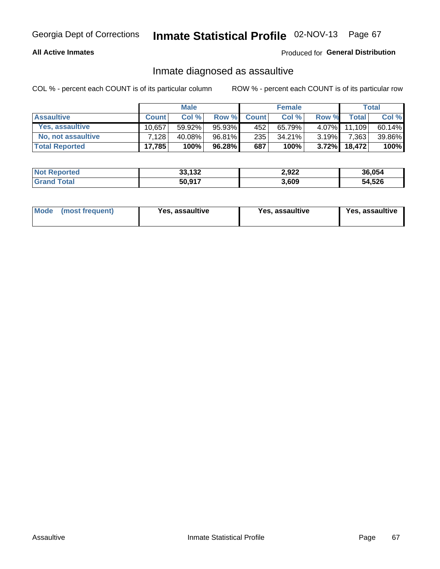#### **All Active Inmates**

Produced for General Distribution

### Inmate diagnosed as assaultive

COL % - percent each COUNT is of its particular column

|                       |              | <b>Male</b> |         |              | <b>Female</b> |          |              | Total  |
|-----------------------|--------------|-------------|---------|--------------|---------------|----------|--------------|--------|
| <b>Assaultive</b>     | <b>Count</b> | Col%        | Row %   | <b>Count</b> | Col %         | Row %    | <b>Total</b> | Col %  |
| Yes, assaultive       | 10.657       | 59.92%      | 95.93%  | 452          | 65.79%        | $4.07\%$ | 11.109       | 60.14% |
| No, not assaultive    | 7.128        | 40.08%      | 96.81%I | 235          | 34.21%        | $3.19\%$ | 7,363        | 39.86% |
| <b>Total Reported</b> | 17,785       | 100%        | 96.28%  | 687          | 100%          | $3.72\%$ | 18,472       | 100%   |

| <b>Not Reported</b> | 33,132 | 2,922 | 36.054 |
|---------------------|--------|-------|--------|
| <b>Grand Total</b>  | 50,917 | 3,609 | 54,526 |

| Mode<br>(most frequent) | Yes, assaultive | Yes, assaultive | <b>Yes, assaultive</b> |
|-------------------------|-----------------|-----------------|------------------------|
|-------------------------|-----------------|-----------------|------------------------|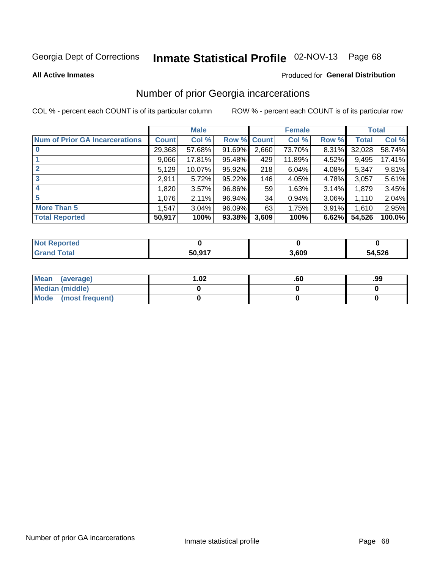# Inmate Statistical Profile 02-NOV-13 Page 68

#### **All Active Inmates**

#### **Produced for General Distribution**

### Number of prior Georgia incarcerations

COL % - percent each COUNT is of its particular column

|                                       |              | <b>Male</b> |             |                 | <b>Female</b> |       |        | <b>Total</b> |
|---------------------------------------|--------------|-------------|-------------|-----------------|---------------|-------|--------|--------------|
| <b>Num of Prior GA Incarcerations</b> | <b>Count</b> | Col %       | Row % Count |                 | Col %         | Row % | Total  | Col %        |
| $\bf{0}$                              | 29,368       | 57.68%      | 91.69%      | 2,660           | 73.70%        | 8.31% | 32,028 | 58.74%       |
|                                       | 9,066        | 17.81%      | 95.48%      | 429             | 11.89%        | 4.52% | 9,495  | 17.41%       |
| $\mathbf{2}$                          | 5,129        | 10.07%      | $95.92\%$   | 218             | 6.04%         | 4.08% | 5,347  | 9.81%        |
| 3                                     | 2,911        | 5.72%       | $95.22\%$   | 146             | 4.05%         | 4.78% | 3,057  | 5.61%        |
| $\boldsymbol{4}$                      | 1,820        | 3.57%       | 96.86%      | 59 <sub>1</sub> | 1.63%         | 3.14% | 1,879  | 3.45%        |
| 5                                     | 1,076        | 2.11%       | 96.94%      | 34              | 0.94%         | 3.06% | 1,110  | 2.04%        |
| <b>More Than 5</b>                    | 1,547        | 3.04%       | $96.09\%$   | 63              | 1.75%         | 3.91% | 1,610  | 2.95%        |
| <b>Total Reported</b>                 | 50,917       | 100%        | 93.38%      | 3,609           | 100%          | 6.62% | 54,526 | 100.0%       |

| <b>Not</b><br>Reported  |        |       |        |
|-------------------------|--------|-------|--------|
| Total<br><b>'</b> Gran∟ | 50,917 | 3,609 | 54,526 |

| Mean (average)       | $\overline{.02}$ | .ou | .99 |
|----------------------|------------------|-----|-----|
| Median (middle)      |                  |     |     |
| Mode (most frequent) |                  |     |     |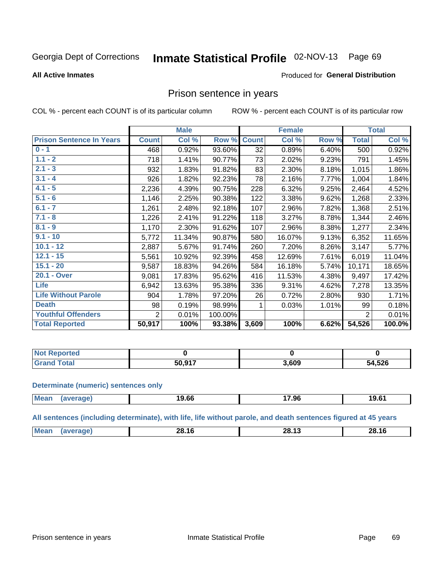#### Inmate Statistical Profile 02-NOV-13 Page 69

#### **All Active Inmates**

#### Produced for General Distribution

### Prison sentence in years

COL % - percent each COUNT is of its particular column

ROW % - percent each COUNT is of its particular row

|                                 | <b>Male</b>  |        |         | <b>Female</b>   |        |       | <b>Total</b>   |        |
|---------------------------------|--------------|--------|---------|-----------------|--------|-------|----------------|--------|
| <b>Prison Sentence In Years</b> | <b>Count</b> | Col %  | Row %   | <b>Count</b>    | Col %  | Row % | <b>Total</b>   | Col %  |
| $0 - 1$                         | 468          | 0.92%  | 93.60%  | $\overline{32}$ | 0.89%  | 6.40% | 500            | 0.92%  |
| $1.1 - 2$                       | 718          | 1.41%  | 90.77%  | 73              | 2.02%  | 9.23% | 791            | 1.45%  |
| $2.1 - 3$                       | 932          | 1.83%  | 91.82%  | 83              | 2.30%  | 8.18% | 1,015          | 1.86%  |
| $3.1 - 4$                       | 926          | 1.82%  | 92.23%  | 78              | 2.16%  | 7.77% | 1,004          | 1.84%  |
| $4.1 - 5$                       | 2,236        | 4.39%  | 90.75%  | 228             | 6.32%  | 9.25% | 2,464          | 4.52%  |
| $5.1 - 6$                       | 1,146        | 2.25%  | 90.38%  | 122             | 3.38%  | 9.62% | 1,268          | 2.33%  |
| $6.1 - 7$                       | 1,261        | 2.48%  | 92.18%  | 107             | 2.96%  | 7.82% | 1,368          | 2.51%  |
| $7.1 - 8$                       | 1,226        | 2.41%  | 91.22%  | 118             | 3.27%  | 8.78% | 1,344          | 2.46%  |
| $8.1 - 9$                       | 1,170        | 2.30%  | 91.62%  | 107             | 2.96%  | 8.38% | 1,277          | 2.34%  |
| $9.1 - 10$                      | 5,772        | 11.34% | 90.87%  | 580             | 16.07% | 9.13% | 6,352          | 11.65% |
| $10.1 - 12$                     | 2,887        | 5.67%  | 91.74%  | 260             | 7.20%  | 8.26% | 3,147          | 5.77%  |
| $12.1 - 15$                     | 5,561        | 10.92% | 92.39%  | 458             | 12.69% | 7.61% | 6,019          | 11.04% |
| $15.1 - 20$                     | 9,587        | 18.83% | 94.26%  | 584             | 16.18% | 5.74% | 10,171         | 18.65% |
| 20.1 - Over                     | 9,081        | 17.83% | 95.62%  | 416             | 11.53% | 4.38% | 9,497          | 17.42% |
| <b>Life</b>                     | 6,942        | 13.63% | 95.38%  | 336             | 9.31%  | 4.62% | 7,278          | 13.35% |
| <b>Life Without Parole</b>      | 904          | 1.78%  | 97.20%  | 26              | 0.72%  | 2.80% | 930            | 1.71%  |
| <b>Death</b>                    | 98           | 0.19%  | 98.99%  |                 | 0.03%  | 1.01% | 99             | 0.18%  |
| <b>Youthful Offenders</b>       | 2            | 0.01%  | 100.00% |                 |        |       | $\overline{2}$ | 0.01%  |
| <b>Total Reported</b>           | 50,917       | 100%   | 93.38%  | 3,609           | 100%   | 6.62% | 54,526         | 100.0% |

| <b>Not Reported</b> |        |       |        |
|---------------------|--------|-------|--------|
| $\sim$<br>$C$ r     | 50.917 | 3,609 | 54,526 |

#### **Determinate (numeric) sentences only**

| Mean | ממו | 19.66 | 17.96 | .<br>רס.פ. |
|------|-----|-------|-------|------------|
|      |     |       |       |            |

All sentences (including determinate), with life, life without parole, and death sentences figured at 45 years

| Me | . .<br>28.<br>16<br>____ | . .<br>28.<br>.<br>____ | $\overline{ }$<br>28.<br>16<br>____ |
|----|--------------------------|-------------------------|-------------------------------------|
|    |                          |                         |                                     |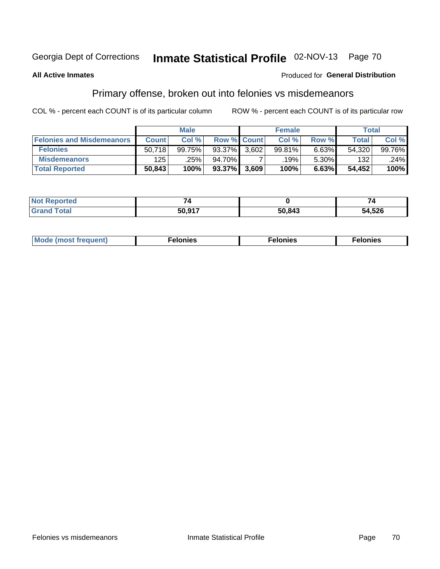# Inmate Statistical Profile 02-NOV-13 Page 70

#### **All Active Inmates**

#### **Produced for General Distribution**

### Primary offense, broken out into felonies vs misdemeanors

COL % - percent each COUNT is of its particular column

|                                  | <b>Male</b>  |        |        | <b>Female</b>      |                   |       | Total  |        |
|----------------------------------|--------------|--------|--------|--------------------|-------------------|-------|--------|--------|
| <b>Felonies and Misdemeanors</b> | <b>Count</b> | Col%   |        | <b>Row % Count</b> | Col%              | Row % | Total, | Col %  |
| <b>Felonies</b>                  | 50.718       | 99.75% | 93.37% | 3.602              | 99.81%            | 6.63% | 54,320 | 99.76% |
| <b>Misdemeanors</b>              | 125          | .25%   | 94.70% |                    | .19% <sup>'</sup> | 5.30% | 132    | .24%   |
| <b>Total Reported</b>            | 50,843       | 100%   | 93.37% | 3,609              | 100%              | 6.63% | 54,452 | 100%   |

| Not<br>'ted | _      |        | -      |  |
|-------------|--------|--------|--------|--|
| ⊺otar       | 50 917 | 50,843 | 54,526 |  |

| Mo | ____ | 11 C.S<br>. | onies<br>. |
|----|------|-------------|------------|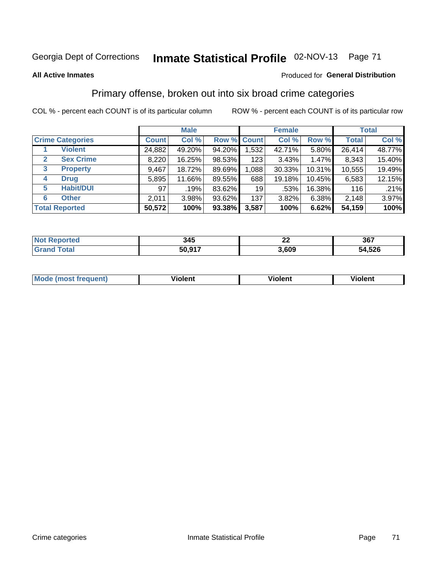## Georgia Dept of Corrections **Inmate Statistical Profile** 02-NOV-13 Page 71

#### **All Active Inmates**

#### Produced for **General Distribution**

### Primary offense, broken out into six broad crime categories

COL % - percent each COUNT is of its particular column ROW % - percent each COUNT is of its particular row

|                                 | <b>Male</b>  |        |           | <b>Female</b>      |        |        | <b>Total</b> |        |
|---------------------------------|--------------|--------|-----------|--------------------|--------|--------|--------------|--------|
| <b>Crime Categories</b>         | <b>Count</b> | Col %  |           | <b>Row % Count</b> | Col %  | Row %  | <b>Total</b> | Col %  |
| <b>Violent</b>                  | 24,882       | 49.20% | 94.20%    | 1,532              | 42.71% | 5.80%  | 26,414       | 48.77% |
| <b>Sex Crime</b><br>2           | 8,220        | 16.25% | 98.53%    | 123                | 3.43%  | 1.47%  | 8,343        | 15.40% |
| $\mathbf{3}$<br><b>Property</b> | 9,467        | 18.72% | 89.69%    | 1,088              | 30.33% | 10.31% | 10,555       | 19.49% |
| <b>Drug</b><br>4                | 5,895        | 11.66% | 89.55%    | 688                | 19.18% | 10.45% | 6,583        | 12.15% |
| <b>Habit/DUI</b><br>5           | 97           | .19%   | 83.62%    | 19                 | .53%   | 16.38% | 116          | .21%   |
| <b>Other</b><br>6               | 2,011        | 3.98%  | 93.62%    | 137                | 3.82%  | 6.38%  | 2,148        | 3.97%  |
| <b>Total Reported</b>           | 50,572       | 100%   | $93.38\%$ | 3,587              | 100%   | 6.62%  | 54,159       | 100%   |

| <b>orted</b><br>NO | 345    | ^^<br>-- | 367          |  |  |
|--------------------|--------|----------|--------------|--|--|
| $F$ ntal           | 50,917 | ,609     | 54,526<br>54 |  |  |

| Mo<br>uent)<br>nos | .<br>/iolent | <br>Violent | - --<br><b>Tiolent</b> |
|--------------------|--------------|-------------|------------------------|
|                    |              |             |                        |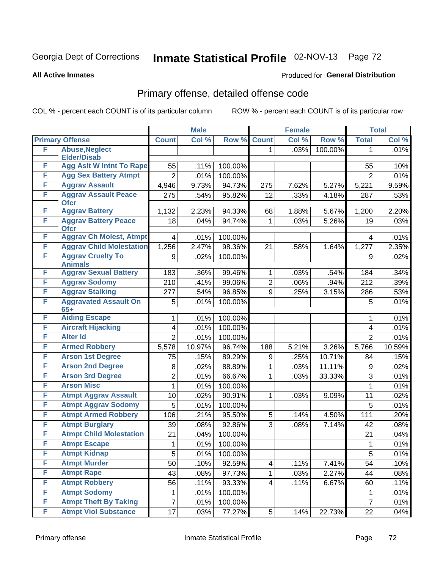## Georgia Dept of Corrections **Inmate Statistical Profile** 02-NOV-13 Page 72

#### **All Active Inmates**

#### Produced for **General Distribution**

## Primary offense, detailed offense code

COL % - percent each COUNT is of its particular column ROW % - percent each COUNT is of its particular row

|   |                                            | <b>Male</b>    |        | <b>Female</b> |                |       | <b>Total</b> |                |        |
|---|--------------------------------------------|----------------|--------|---------------|----------------|-------|--------------|----------------|--------|
|   | <b>Primary Offense</b>                     | <b>Count</b>   | Col %  | Row %         | <b>Count</b>   | Col % | Row %        | <b>Total</b>   | Col %  |
| F | <b>Abuse, Neglect</b>                      |                |        |               | 1.             | .03%  | 100.00%      | 1              | .01%   |
|   | <b>Elder/Disab</b>                         |                |        |               |                |       |              |                |        |
| F | <b>Agg Aslt W Intnt To Rape</b>            | 55             | .11%   | 100.00%       |                |       |              | 55             | .10%   |
| F | <b>Agg Sex Battery Atmpt</b>               | $\overline{2}$ | .01%   | 100.00%       |                |       |              | $\overline{2}$ | .01%   |
| F | <b>Aggrav Assault</b>                      | 4,946          | 9.73%  | 94.73%        | 275            | 7.62% | 5.27%        | 5,221          | 9.59%  |
| F | <b>Aggrav Assault Peace</b><br><b>Ofcr</b> | 275            | .54%   | 95.82%        | 12             | .33%  | 4.18%        | 287            | .53%   |
| F | <b>Aggrav Battery</b>                      | 1,132          | 2.23%  | 94.33%        | 68             | 1.88% | 5.67%        | 1,200          | 2.20%  |
| F | <b>Aggrav Battery Peace</b><br><b>Ofcr</b> | 18             | .04%   | 94.74%        | 1              | .03%  | 5.26%        | 19             | .03%   |
| F | <b>Aggrav Ch Molest, Atmpt</b>             | 4              | .01%   | 100.00%       |                |       |              | 4              | .01%   |
| F | <b>Aggrav Child Molestation</b>            | 1,256          | 2.47%  | 98.36%        | 21             | .58%  | 1.64%        | 1,277          | 2.35%  |
| F | <b>Aggrav Cruelty To</b>                   | 9              | .02%   | 100.00%       |                |       |              | 9              | .02%   |
|   | <b>Animals</b>                             |                |        |               |                |       |              |                |        |
| F | <b>Aggrav Sexual Battery</b>               | 183            | .36%   | 99.46%        | 1              | .03%  | .54%         | 184            | .34%   |
| F | <b>Aggrav Sodomy</b>                       | 210            | .41%   | 99.06%        | $\overline{2}$ | .06%  | .94%         | 212            | .39%   |
| F | <b>Aggrav Stalking</b>                     | 277            | .54%   | 96.85%        | 9              | .25%  | 3.15%        | 286            | .53%   |
| F | <b>Aggravated Assault On</b><br>$65+$      | 5              | .01%   | 100.00%       |                |       |              | 5              | .01%   |
| F | <b>Aiding Escape</b>                       | 1              | .01%   | 100.00%       |                |       |              | 1              | .01%   |
| F | <b>Aircraft Hijacking</b>                  | 4              | .01%   | 100.00%       |                |       |              | 4              | .01%   |
| F | <b>Alter Id</b>                            | $\overline{2}$ | .01%   | 100.00%       |                |       |              | $\overline{2}$ | .01%   |
| F | <b>Armed Robbery</b>                       | 5,578          | 10.97% | 96.74%        | 188            | 5.21% | 3.26%        | 5,766          | 10.59% |
| F | <b>Arson 1st Degree</b>                    | 75             | .15%   | 89.29%        | 9              | .25%  | 10.71%       | 84             | .15%   |
| F | <b>Arson 2nd Degree</b>                    | 8              | .02%   | 88.89%        | 1              | .03%  | 11.11%       | 9              | .02%   |
| F | <b>Arson 3rd Degree</b>                    | $\overline{2}$ | .01%   | 66.67%        | 1              | .03%  | 33.33%       | 3              | .01%   |
| F | <b>Arson Misc</b>                          | 1              | .01%   | 100.00%       |                |       |              | 1              | .01%   |
| F | <b>Atmpt Aggrav Assault</b>                | 10             | .02%   | 90.91%        | 1              | .03%  | 9.09%        | 11             | .02%   |
| F | <b>Atmpt Aggrav Sodomy</b>                 | 5              | .01%   | 100.00%       |                |       |              | 5              | .01%   |
| F | <b>Atmpt Armed Robbery</b>                 | 106            | .21%   | 95.50%        | 5              | .14%  | 4.50%        | 111            | .20%   |
| F | <b>Atmpt Burglary</b>                      | 39             | .08%   | 92.86%        | 3              | .08%  | 7.14%        | 42             | .08%   |
| F | <b>Atmpt Child Molestation</b>             | 21             | .04%   | 100.00%       |                |       |              | 21             | .04%   |
| F | <b>Atmpt Escape</b>                        | 1              | .01%   | 100.00%       |                |       |              | 1              | .01%   |
| F | <b>Atmpt Kidnap</b>                        | 5              | .01%   | 100.00%       |                |       |              | 5              | .01%   |
| F | <b>Atmpt Murder</b>                        | 50             | .10%   | 92.59%        | 4              | .11%  | 7.41%        | 54             | .10%   |
| F | <b>Atmpt Rape</b>                          | 43             | .08%   | 97.73%        | $\mathbf{1}$   | .03%  | 2.27%        | 44             | .08%   |
| F | <b>Atmpt Robbery</b>                       | 56             | .11%   | 93.33%        | 4              | .11%  | 6.67%        | 60             | .11%   |
| F | <b>Atmpt Sodomy</b>                        | 1              | .01%   | 100.00%       |                |       |              | 1              | .01%   |
| F | <b>Atmpt Theft By Taking</b>               | 7              | .01%   | 100.00%       |                |       |              | $\overline{7}$ | .01%   |
| F | <b>Atmpt Viol Substance</b>                | 17             | .03%   | 77.27%        | 5 <sup>1</sup> | .14%  | 22.73%       | 22             | .04%   |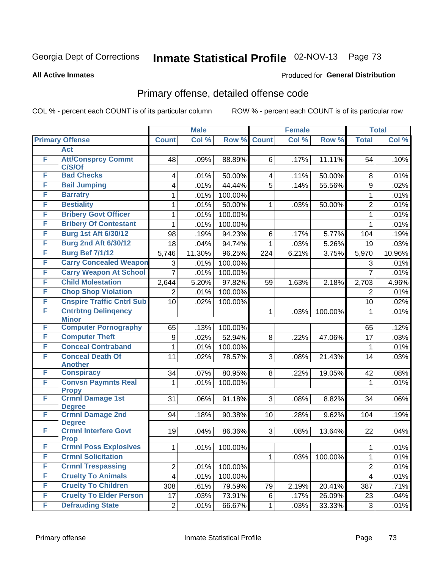#### **All Active Inmates**

#### Produced for **General Distribution**

### Primary offense, detailed offense code

|   |                                            |                         | <b>Male</b> |         |                | <b>Female</b> |         |                | <b>Total</b> |
|---|--------------------------------------------|-------------------------|-------------|---------|----------------|---------------|---------|----------------|--------------|
|   | <b>Primary Offense</b>                     | <b>Count</b>            | Col %       | Row %   | <b>Count</b>   | Col %         | Row %   | <b>Total</b>   | Col %        |
|   | <b>Act</b>                                 |                         |             |         |                |               |         |                |              |
| F | <b>Att/Consprcy Commt</b><br>C/S/Of        | 48                      | .09%        | 88.89%  | 6              | .17%          | 11.11%  | 54             | .10%         |
| F | <b>Bad Checks</b>                          | 4                       | .01%        | 50.00%  | 4              | .11%          | 50.00%  | 8              | .01%         |
| F | <b>Bail Jumping</b>                        | 4                       | .01%        | 44.44%  | $\overline{5}$ | .14%          | 55.56%  | 9              | .02%         |
| F | <b>Barratry</b>                            | 1                       | .01%        | 100.00% |                |               |         | 1              | .01%         |
| F | <b>Bestiality</b>                          | 1                       | .01%        | 50.00%  | 1              | .03%          | 50.00%  | $\overline{2}$ | .01%         |
| F | <b>Bribery Govt Officer</b>                | 1                       | .01%        | 100.00% |                |               |         | $\mathbf{1}$   | .01%         |
| F | <b>Bribery Of Contestant</b>               | 1                       | .01%        | 100.00% |                |               |         | $\mathbf{1}$   | .01%         |
| F | <b>Burg 1st Aft 6/30/12</b>                | 98                      | .19%        | 94.23%  | 6              | .17%          | 5.77%   | 104            | .19%         |
| F | <b>Burg 2nd Aft 6/30/12</b>                | 18                      | .04%        | 94.74%  | 1              | .03%          | 5.26%   | 19             | .03%         |
| F | <b>Burg Bef 7/1/12</b>                     | 5,746                   | 11.30%      | 96.25%  | 224            | 6.21%         | 3.75%   | 5,970          | 10.96%       |
| F | <b>Carry Concealed Weapon</b>              | 3                       | .01%        | 100.00% |                |               |         | 3              | .01%         |
| F | <b>Carry Weapon At School</b>              | $\overline{7}$          | .01%        | 100.00% |                |               |         | $\overline{7}$ | .01%         |
| F | <b>Child Molestation</b>                   | 2,644                   | 5.20%       | 97.82%  | 59             | 1.63%         | 2.18%   | 2,703          | 4.96%        |
| F | <b>Chop Shop Violation</b>                 | 2                       | .01%        | 100.00% |                |               |         | $\overline{2}$ | .01%         |
| F | <b>Cnspire Traffic Cntrl Sub</b>           | 10                      | .02%        | 100.00% |                |               |         | 10             | .02%         |
| F | <b>Cntrbtng Delingency</b><br><b>Minor</b> |                         |             |         | 1              | .03%          | 100.00% | 1              | .01%         |
| F | <b>Computer Pornography</b>                | 65                      | .13%        | 100.00% |                |               |         | 65             | .12%         |
| F | <b>Computer Theft</b>                      | 9                       | .02%        | 52.94%  | 8              | .22%          | 47.06%  | 17             | .03%         |
| F | <b>Conceal Contraband</b>                  | 1                       | .01%        | 100.00% |                |               |         | $\mathbf{1}$   | .01%         |
| F | <b>Conceal Death Of</b><br><b>Another</b>  | 11                      | .02%        | 78.57%  | 3              | .08%          | 21.43%  | 14             | .03%         |
| F | <b>Conspiracy</b>                          | 34                      | .07%        | 80.95%  | 8              | .22%          | 19.05%  | 42             | .08%         |
| F | <b>Convsn Paymnts Real</b>                 | 1                       | .01%        | 100.00% |                |               |         | $\mathbf{1}$   | .01%         |
|   | <b>Propy</b>                               |                         |             |         |                |               |         |                |              |
| F | <b>Crmnl Damage 1st</b><br><b>Degree</b>   | 31                      | .06%        | 91.18%  | 3 <sup>1</sup> | .08%          | 8.82%   | 34             | .06%         |
| F | <b>Crmnl Damage 2nd</b>                    | 94                      | .18%        | 90.38%  | 10             | .28%          | 9.62%   | 104            | .19%         |
|   | <b>Degree</b>                              |                         |             |         |                |               |         |                |              |
| F | <b>Crmnl Interfere Govt</b><br><b>Prop</b> | 19                      | .04%        | 86.36%  | 3 <sup>1</sup> | .08%          | 13.64%  | 22             | .04%         |
| F | <b>Crmnl Poss Explosives</b>               | $\mathbf{1}$            | .01%        | 100.00% |                |               |         | $\mathbf{1}$   | .01%         |
| F | <b>Crmnl Solicitation</b>                  |                         |             |         | 1              | .03%          | 100.00% | 1              | .01%         |
| F | <b>Crmnl Trespassing</b>                   | $\overline{c}$          | .01%        | 100.00% |                |               |         | $\overline{2}$ | .01%         |
| F | <b>Cruelty To Animals</b>                  | $\overline{\mathbf{4}}$ | .01%        | 100.00% |                |               |         | 4              | .01%         |
| F | <b>Cruelty To Children</b>                 | 308                     | .61%        | 79.59%  | 79             | 2.19%         | 20.41%  | 387            | .71%         |
| F | <b>Cruelty To Elder Person</b>             | 17                      | .03%        | 73.91%  | 6              | .17%          | 26.09%  | 23             | .04%         |
| F | <b>Defrauding State</b>                    | $\overline{2}$          | .01%        | 66.67%  | $\mathbf 1$    | .03%          | 33.33%  | 3              | .01%         |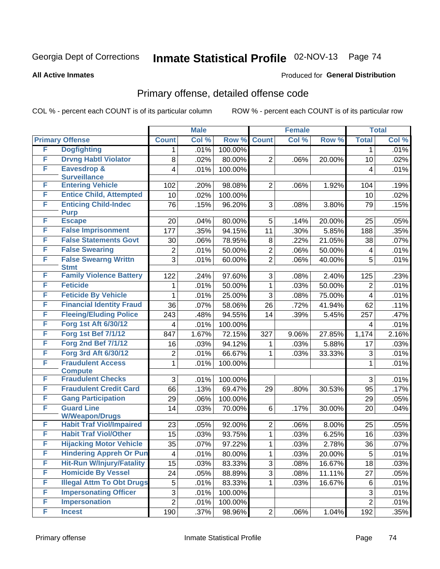#### **All Active Inmates**

#### Produced for **General Distribution**

### Primary offense, detailed offense code

|   |                                            |                | <b>Male</b> |         |                | <b>Female</b> |        |                | <b>Total</b> |
|---|--------------------------------------------|----------------|-------------|---------|----------------|---------------|--------|----------------|--------------|
|   | <b>Primary Offense</b>                     | <b>Count</b>   | Col %       | Row %   | <b>Count</b>   | Col %         | Row %  | <b>Total</b>   | Col %        |
| F | <b>Dogfighting</b>                         | 1              | .01%        | 100.00% |                |               |        | 1              | .01%         |
| F | <b>Drvng Habtl Violator</b>                | 8              | .02%        | 80.00%  | $\overline{2}$ | .06%          | 20.00% | 10             | .02%         |
| F | <b>Eavesdrop &amp;</b>                     | 4              | .01%        | 100.00% |                |               |        | 4              | .01%         |
|   | <b>Surveillance</b>                        |                |             |         |                |               |        |                |              |
| F | <b>Entering Vehicle</b>                    | 102            | .20%        | 98.08%  | $\overline{2}$ | .06%          | 1.92%  | 104            | .19%         |
| F | <b>Entice Child, Attempted</b>             | 10             | .02%        | 100.00% |                |               |        | 10             | .02%         |
| F | <b>Enticing Child-Indec</b><br><b>Purp</b> | 76             | .15%        | 96.20%  | 3              | .08%          | 3.80%  | 79             | .15%         |
| F | <b>Escape</b>                              | 20             | .04%        | 80.00%  | 5              | .14%          | 20.00% | 25             | .05%         |
| F | <b>False Imprisonment</b>                  | 177            | .35%        | 94.15%  | 11             | .30%          | 5.85%  | 188            | .35%         |
| F | <b>False Statements Govt</b>               | 30             | .06%        | 78.95%  | 8              | .22%          | 21.05% | 38             | .07%         |
| F | <b>False Swearing</b>                      | 2              | .01%        | 50.00%  | $\overline{2}$ | .06%          | 50.00% | 4              | .01%         |
| F | <b>False Swearng Writtn</b>                | $\overline{3}$ | .01%        | 60.00%  | $\overline{2}$ | .06%          | 40.00% | 5              | .01%         |
|   | <b>Stmt</b>                                |                |             |         |                |               |        |                |              |
| F | <b>Family Violence Battery</b>             | 122            | .24%        | 97.60%  | 3              | .08%          | 2.40%  | 125            | .23%         |
| F | <b>Feticide</b>                            | 1              | .01%        | 50.00%  | $\mathbf{1}$   | .03%          | 50.00% | $\overline{2}$ | .01%         |
| F | <b>Feticide By Vehicle</b>                 | 1              | .01%        | 25.00%  | 3              | .08%          | 75.00% | 4              | .01%         |
| F | <b>Financial Identity Fraud</b>            | 36             | .07%        | 58.06%  | 26             | .72%          | 41.94% | 62             | .11%         |
| F | <b>Fleeing/Eluding Police</b>              | 243            | .48%        | 94.55%  | 14             | .39%          | 5.45%  | 257            | .47%         |
| F | <b>Forg 1st Aft 6/30/12</b>                | 4              | .01%        | 100.00% |                |               |        | 4              | .01%         |
| F | <b>Forg 1st Bef 7/1/12</b>                 | 847            | 1.67%       | 72.15%  | 327            | 9.06%         | 27.85% | 1,174          | 2.16%        |
| F | <b>Forg 2nd Bef 7/1/12</b>                 | 16             | .03%        | 94.12%  | 1              | .03%          | 5.88%  | 17             | .03%         |
| F | Forg 3rd Aft 6/30/12                       | 2              | .01%        | 66.67%  | 1              | .03%          | 33.33% | 3              | .01%         |
| F | <b>Fraudulent Access</b>                   | 1              | .01%        | 100.00% |                |               |        | 1              | .01%         |
|   | <b>Compute</b>                             |                |             |         |                |               |        |                |              |
| F | <b>Fraudulent Checks</b>                   | 3              | .01%        | 100.00% |                |               |        | 3              | .01%         |
| F | <b>Fraudulent Credit Card</b>              | 66             | .13%        | 69.47%  | 29             | .80%          | 30.53% | 95             | .17%         |
| F | <b>Gang Participation</b>                  | 29             | .06%        | 100.00% |                |               |        | 29             | .05%         |
| F | <b>Guard Line</b><br><b>W/Weapon/Drugs</b> | 14             | .03%        | 70.00%  | 6              | .17%          | 30.00% | 20             | .04%         |
| F | <b>Habit Traf Viol/Impaired</b>            | 23             | .05%        | 92.00%  | $\overline{2}$ | .06%          | 8.00%  | 25             | .05%         |
| F | <b>Habit Traf Viol/Other</b>               | 15             | .03%        | 93.75%  | $\mathbf{1}$   | .03%          | 6.25%  | 16             | .03%         |
| F | <b>Hijacking Motor Vehicle</b>             | 35             | .07%        | 97.22%  | $\mathbf 1$    | .03%          | 2.78%  | 36             | .07%         |
| F | <b>Hindering Appreh Or Pun</b>             | 4              | .01%        | 80.00%  | 1              | .03%          | 20.00% | 5              | .01%         |
| F | <b>Hit-Run W/Injury/Fatality</b>           | 15             | .03%        | 83.33%  | 3              | .08%          | 16.67% | 18             | .03%         |
| F | <b>Homicide By Vessel</b>                  | 24             | .05%        | 88.89%  | $\overline{3}$ | .08%          | 11.11% | 27             | .05%         |
| F | <b>Illegal Attm To Obt Drugs</b>           | 5              | .01%        | 83.33%  | 1              | .03%          | 16.67% | 6              | .01%         |
| F | <b>Impersonating Officer</b>               | 3              | .01%        | 100.00% |                |               |        | 3              | .01%         |
| F | <b>Impersonation</b>                       | $\overline{2}$ | .01%        | 100.00% |                |               |        | $\overline{2}$ | .01%         |
| F | <b>Incest</b>                              | 190            | .37%        | 98.96%  | $2\vert$       | .06%          | 1.04%  | 192            | .35%         |
|   |                                            |                |             |         |                |               |        |                |              |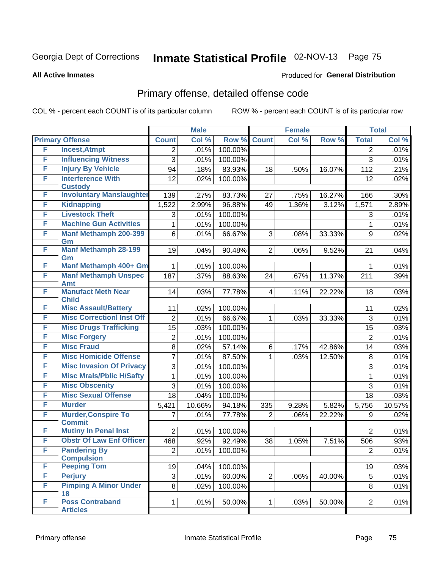#### **All Active Inmates**

#### Produced for **General Distribution**

### Primary offense, detailed offense code

|   |                                          |                 | <b>Male</b> |         |                         | <b>Female</b> |        |                | <b>Total</b> |
|---|------------------------------------------|-----------------|-------------|---------|-------------------------|---------------|--------|----------------|--------------|
|   | <b>Primary Offense</b>                   | <b>Count</b>    | Col %       | Row %   | <b>Count</b>            | Col %         | Row %  | <b>Total</b>   | Col %        |
| F | <b>Incest, Atmpt</b>                     | 2               | .01%        | 100.00% |                         |               |        | $\overline{2}$ | .01%         |
| F | <b>Influencing Witness</b>               | 3               | .01%        | 100.00% |                         |               |        | 3              | .01%         |
| F | <b>Injury By Vehicle</b>                 | 94              | .18%        | 83.93%  | 18                      | .50%          | 16.07% | 112            | .21%         |
| F | <b>Interference With</b>                 | 12              | .02%        | 100.00% |                         |               |        | 12             | .02%         |
|   | <b>Custody</b>                           |                 |             |         |                         |               |        |                |              |
| F | <b>Involuntary Manslaughter</b>          | 139             | .27%        | 83.73%  | 27                      | .75%          | 16.27% | 166            | .30%         |
| F | <b>Kidnapping</b>                        | 1,522           | 2.99%       | 96.88%  | 49                      | 1.36%         | 3.12%  | 1,571          | 2.89%        |
| F | <b>Livestock Theft</b>                   | 3               | .01%        | 100.00% |                         |               |        | 3              | .01%         |
| F | <b>Machine Gun Activities</b>            | 1               | .01%        | 100.00% |                         |               |        | $\mathbf{1}$   | .01%         |
| F | <b>Manf Methamph 200-399</b><br>Gm       | 6               | .01%        | 66.67%  | 3                       | .08%          | 33.33% | 9              | .02%         |
| F | <b>Manf Methamph 28-199</b>              | 19              | .04%        | 90.48%  | $\overline{2}$          | .06%          | 9.52%  | 21             | .04%         |
|   | Gm                                       |                 |             |         |                         |               |        |                |              |
| F | Manf Methamph 400+ Gm                    | 1               | .01%        | 100.00% |                         |               |        | 1              | .01%         |
| F | <b>Manf Methamph Unspec</b>              | 187             | .37%        | 88.63%  | 24                      | .67%          | 11.37% | 211            | .39%         |
| F | <b>Amt</b><br><b>Manufact Meth Near</b>  | 14              |             |         |                         |               |        |                |              |
|   | <b>Child</b>                             |                 | .03%        | 77.78%  | $\overline{\mathbf{4}}$ | .11%          | 22.22% | 18             | .03%         |
| F | <b>Misc Assault/Battery</b>              | 11              | .02%        | 100.00% |                         |               |        | 11             | .02%         |
| F | <b>Misc CorrectionI Inst Off</b>         | $\overline{2}$  | .01%        | 66.67%  | $\mathbf 1$             | .03%          | 33.33% | 3              | .01%         |
| F | <b>Misc Drugs Trafficking</b>            | $\overline{15}$ | .03%        | 100.00% |                         |               |        | 15             | .03%         |
| F | <b>Misc Forgery</b>                      | $\overline{c}$  | .01%        | 100.00% |                         |               |        | $\overline{2}$ | .01%         |
| F | <b>Misc Fraud</b>                        | 8               | .02%        | 57.14%  | 6                       | .17%          | 42.86% | 14             | .03%         |
| F | <b>Misc Homicide Offense</b>             | $\overline{7}$  | .01%        | 87.50%  | $\mathbf 1$             | .03%          | 12.50% | 8              | .01%         |
| F | <b>Misc Invasion Of Privacy</b>          | $\overline{3}$  | .01%        | 100.00% |                         |               |        | 3              | .01%         |
| F | <b>Misc Mrals/Pblic H/Safty</b>          | 1               | .01%        | 100.00% |                         |               |        | $\mathbf{1}$   | .01%         |
| F | <b>Misc Obscenity</b>                    | 3               | .01%        | 100.00% |                         |               |        | 3              | .01%         |
| F | <b>Misc Sexual Offense</b>               | 18              | .04%        | 100.00% |                         |               |        | 18             | .03%         |
| F | <b>Murder</b>                            | 5,421           | 10.66%      | 94.18%  | 335                     | 9.28%         | 5.82%  | 5,756          | 10.57%       |
| F | <b>Murder, Conspire To</b>               | 7               | .01%        | 77.78%  | $\overline{2}$          | .06%          | 22.22% | 9              | .02%         |
|   | <b>Commit</b>                            |                 |             |         |                         |               |        |                |              |
| F | <b>Mutiny In Penal Inst</b>              | $\overline{2}$  | .01%        | 100.00% |                         |               |        | $\overline{2}$ | .01%         |
| F | <b>Obstr Of Law Enf Officer</b>          | 468             | .92%        | 92.49%  | 38                      | 1.05%         | 7.51%  | 506            | .93%         |
| F | <b>Pandering By</b><br><b>Compulsion</b> | 2               | .01%        | 100.00% |                         |               |        | 2 <sup>1</sup> | .01%         |
| F | <b>Peeping Tom</b>                       | 19              | .04%        | 100.00% |                         |               |        | 19             | .03%         |
| F | <b>Perjury</b>                           | 3               | .01%        | 60.00%  | $\overline{2}$          | .06%          | 40.00% | 5              | .01%         |
| F | <b>Pimping A Minor Under</b>             | 8               | .02%        | 100.00% |                         |               |        | 8              | .01%         |
|   | 18                                       |                 |             |         |                         |               |        |                |              |
| F | <b>Poss Contraband</b>                   | $\mathbf{1}$    | .01%        | 50.00%  | 1                       | .03%          | 50.00% | $\overline{2}$ | .01%         |
|   | <b>Articles</b>                          |                 |             |         |                         |               |        |                |              |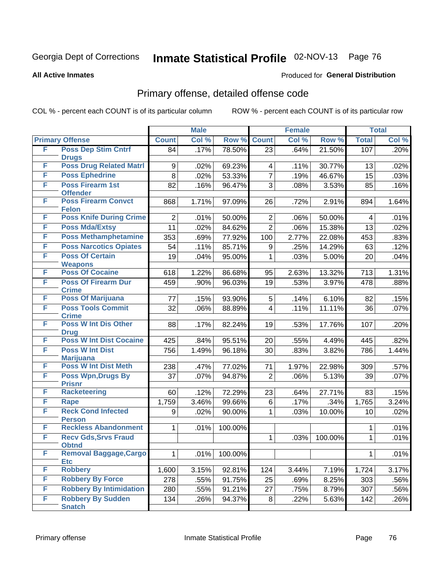**All Active Inmates**

#### Produced for **General Distribution**

### Primary offense, detailed offense code

|   |                                                 |                | <b>Male</b> |         |                 | <b>Female</b> |         |              | <b>Total</b> |
|---|-------------------------------------------------|----------------|-------------|---------|-----------------|---------------|---------|--------------|--------------|
|   | <b>Primary Offense</b>                          | <b>Count</b>   | Col %       | Row %   | <b>Count</b>    | Col %         | Row %   | <b>Total</b> | Col %        |
| F | <b>Poss Dep Stim Cntrf</b>                      | 84             | .17%        | 78.50%  | $\overline{23}$ | .64%          | 21.50%  | 107          | .20%         |
|   | <b>Drugs</b>                                    |                |             |         |                 |               |         |              |              |
| F | <b>Poss Drug Related Matri</b>                  | 9              | .02%        | 69.23%  | 4               | .11%          | 30.77%  | 13           | .02%         |
| F | <b>Poss Ephedrine</b>                           | 8              | .02%        | 53.33%  | $\overline{7}$  | .19%          | 46.67%  | 15           | .03%         |
| F | <b>Poss Firearm 1st</b><br><b>Offender</b>      | 82             | .16%        | 96.47%  | 3               | .08%          | 3.53%   | 85           | .16%         |
| F | <b>Poss Firearm Convct</b>                      | 868            | 1.71%       | 97.09%  | 26              | .72%          | 2.91%   | 894          | 1.64%        |
|   | <b>Felon</b>                                    |                |             |         |                 |               |         |              |              |
| F | <b>Poss Knife During Crime</b>                  | $\overline{2}$ | .01%        | 50.00%  | $\overline{2}$  | .06%          | 50.00%  | 4            | .01%         |
| F | <b>Poss Mda/Extsy</b>                           | 11             | .02%        | 84.62%  | $\overline{2}$  | .06%          | 15.38%  | 13           | .02%         |
| F | <b>Poss Methamphetamine</b>                     | 353            | .69%        | 77.92%  | 100             | 2.77%         | 22.08%  | 453          | .83%         |
| F | <b>Poss Narcotics Opiates</b>                   | 54             | .11%        | 85.71%  | 9               | .25%          | 14.29%  | 63           | .12%         |
| F | <b>Poss Of Certain</b>                          | 19             | .04%        | 95.00%  | 1               | .03%          | 5.00%   | 20           | .04%         |
|   | <b>Weapons</b>                                  |                |             |         |                 |               |         |              |              |
| F | <b>Poss Of Cocaine</b>                          | 618            | 1.22%       | 86.68%  | 95              | 2.63%         | 13.32%  | 713          | 1.31%        |
| F | <b>Poss Of Firearm Dur</b><br><b>Crime</b>      | 459            | .90%        | 96.03%  | 19              | .53%          | 3.97%   | 478          | .88%         |
| F | <b>Poss Of Marijuana</b>                        | 77             | .15%        | 93.90%  | 5               | .14%          | 6.10%   | 82           | .15%         |
| F | <b>Poss Tools Commit</b>                        | 32             | .06%        | 88.89%  | 4               | .11%          | 11.11%  | 36           | .07%         |
|   | <b>Crime</b>                                    |                |             |         |                 |               |         |              |              |
| F | <b>Poss W Int Dis Other</b>                     | 88             | .17%        | 82.24%  | 19              | .53%          | 17.76%  | 107          | .20%         |
|   | <b>Drug</b>                                     |                |             |         |                 |               |         |              |              |
| F | <b>Poss W Int Dist Cocaine</b>                  | 425            | .84%        | 95.51%  | 20              | .55%          | 4.49%   | 445          | .82%         |
| F | <b>Poss W Int Dist</b>                          | 756            | 1.49%       | 96.18%  | 30              | .83%          | 3.82%   | 786          | 1.44%        |
| F | <b>Marijuana</b><br><b>Poss W Int Dist Meth</b> |                |             |         |                 |               |         |              |              |
| F | <b>Poss Wpn, Drugs By</b>                       | 238            | .47%        | 77.02%  | 71              | 1.97%         | 22.98%  | 309          | .57%         |
|   | <b>Prisnr</b>                                   | 37             | .07%        | 94.87%  | $\overline{2}$  | .06%          | 5.13%   | 39           | .07%         |
| F | <b>Racketeering</b>                             | 60             | .12%        | 72.29%  | 23              | .64%          | 27.71%  | 83           | .15%         |
| F | Rape                                            | 1,759          | 3.46%       | 99.66%  | 6               | .17%          | .34%    | 1,765        | 3.24%        |
| F | <b>Reck Cond Infected</b>                       | 9              | .02%        | 90.00%  | $\mathbf{1}$    | .03%          | 10.00%  | 10           | .02%         |
|   | <b>Person</b>                                   |                |             |         |                 |               |         |              |              |
| F | <b>Reckless Abandonment</b>                     | 1              | .01%        | 100.00% |                 |               |         | 1            | .01%         |
| F | <b>Recv Gds, Srvs Fraud</b>                     |                |             |         | 1               | .03%          | 100.00% | 1            | .01%         |
| F | <b>Obtnd</b>                                    |                |             |         |                 |               |         |              |              |
|   | <b>Removal Baggage, Cargo</b><br><b>Etc</b>     | 1              | .01%        | 100.00% |                 |               |         | 1            | .01%         |
| F | <b>Robbery</b>                                  | 1,600          | 3.15%       | 92.81%  | 124             | 3.44%         | 7.19%   | 1,724        | 3.17%        |
| F | <b>Robbery By Force</b>                         | 278            | .55%        | 91.75%  | 25              | .69%          | 8.25%   | 303          | .56%         |
| F | <b>Robbery By Intimidation</b>                  | 280            | .55%        | 91.21%  | 27              | .75%          | 8.79%   | 307          | .56%         |
| F | <b>Robbery By Sudden</b>                        | 134            | .26%        | 94.37%  | 8               | .22%          | 5.63%   | 142          | .26%         |
|   | <b>Snatch</b>                                   |                |             |         |                 |               |         |              |              |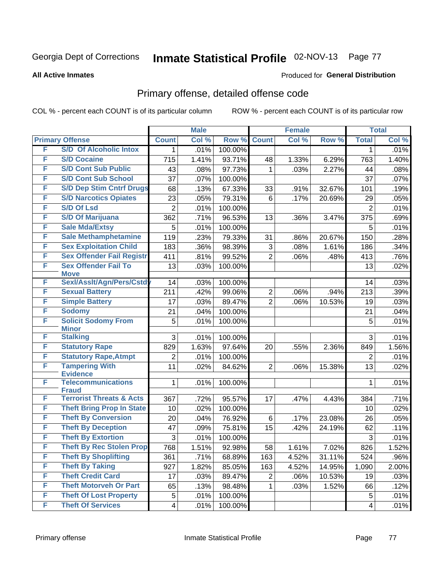#### **All Active Inmates**

#### Produced for **General Distribution**

### Primary offense, detailed offense code

|   |                                              |                | <b>Male</b> |         |                | <b>Female</b> |        |                | <b>Total</b> |
|---|----------------------------------------------|----------------|-------------|---------|----------------|---------------|--------|----------------|--------------|
|   | <b>Primary Offense</b>                       | <b>Count</b>   | Col %       | Row %   | <b>Count</b>   | Col %         | Row %  | <b>Total</b>   | Col %        |
| F | <b>S/D Of Alcoholic Intox</b>                | 1              | .01%        | 100.00% |                |               |        | 1              | .01%         |
| F | <b>S/D Cocaine</b>                           | 715            | 1.41%       | 93.71%  | 48             | 1.33%         | 6.29%  | 763            | 1.40%        |
| F | <b>S/D Cont Sub Public</b>                   | 43             | .08%        | 97.73%  | 1              | .03%          | 2.27%  | 44             | .08%         |
| F | <b>S/D Cont Sub School</b>                   | 37             | .07%        | 100.00% |                |               |        | 37             | .07%         |
| F | <b>S/D Dep Stim Cntrf Drugs</b>              | 68             | .13%        | 67.33%  | 33             | .91%          | 32.67% | 101            | .19%         |
| F | <b>S/D Narcotics Opiates</b>                 | 23             | .05%        | 79.31%  | 6              | .17%          | 20.69% | 29             | .05%         |
| F | <b>S/D Of Lsd</b>                            | $\overline{2}$ | .01%        | 100.00% |                |               |        | $\overline{2}$ | .01%         |
| F | <b>S/D Of Marijuana</b>                      | 362            | .71%        | 96.53%  | 13             | .36%          | 3.47%  | 375            | .69%         |
| F | <b>Sale Mda/Extsy</b>                        | 5              | .01%        | 100.00% |                |               |        | 5              | .01%         |
| F | <b>Sale Methamphetamine</b>                  | 119            | .23%        | 79.33%  | 31             | .86%          | 20.67% | 150            | .28%         |
| F | <b>Sex Exploitation Child</b>                | 183            | .36%        | 98.39%  | 3              | .08%          | 1.61%  | 186            | .34%         |
| F | <b>Sex Offender Fail Registr</b>             | 411            | .81%        | 99.52%  | $\overline{2}$ | .06%          | .48%   | 413            | .76%         |
| F | <b>Sex Offender Fail To</b><br><b>Move</b>   | 13             | .03%        | 100.00% |                |               |        | 13             | .02%         |
| F | Sexl/Asslt/Agn/Pers/Cstd                     | 14             | .03%        | 100.00% |                |               |        | 14             | .03%         |
| F | <b>Sexual Battery</b>                        | 211            | .42%        | 99.06%  | $\overline{c}$ | .06%          | .94%   | 213            | .39%         |
| F | <b>Simple Battery</b>                        | 17             | .03%        | 89.47%  | $\overline{2}$ | .06%          | 10.53% | 19             | .03%         |
| F | <b>Sodomy</b>                                | 21             | .04%        | 100.00% |                |               |        | 21             | .04%         |
| F | <b>Solicit Sodomy From</b>                   | 5              | .01%        | 100.00% |                |               |        | 5              | .01%         |
|   | <b>Minor</b>                                 |                |             |         |                |               |        |                |              |
| F | <b>Stalking</b>                              | 3              | .01%        | 100.00% |                |               |        | 3              | .01%         |
| F | <b>Statutory Rape</b>                        | 829            | 1.63%       | 97.64%  | 20             | .55%          | 2.36%  | 849            | 1.56%        |
| F | <b>Statutory Rape, Atmpt</b>                 | $\overline{2}$ | .01%        | 100.00% |                |               |        | $\overline{2}$ | .01%         |
| F | <b>Tampering With</b>                        | 11             | .02%        | 84.62%  | $\overline{2}$ | .06%          | 15.38% | 13             | .02%         |
| F | <b>Evidence</b><br><b>Telecommunications</b> | 1              | .01%        | 100.00% |                |               |        | 1              | .01%         |
|   | <b>Fraud</b>                                 |                |             |         |                |               |        |                |              |
| F | <b>Terrorist Threats &amp; Acts</b>          | 367            | .72%        | 95.57%  | 17             | .47%          | 4.43%  | 384            | .71%         |
| F | <b>Theft Bring Prop In State</b>             | 10             | .02%        | 100.00% |                |               |        | 10             | .02%         |
| F | <b>Theft By Conversion</b>                   | 20             | .04%        | 76.92%  | 6              | .17%          | 23.08% | 26             | .05%         |
| F | <b>Theft By Deception</b>                    | 47             | .09%        | 75.81%  | 15             | .42%          | 24.19% | 62             | .11%         |
| F | <b>Theft By Extortion</b>                    | 3              | .01%        | 100.00% |                |               |        | 3              | .01%         |
| F | <b>Theft By Rec Stolen Prop</b>              | 768            | 1.51%       | 92.98%  | 58             | 1.61%         | 7.02%  | 826            | 1.52%        |
| F | <b>Theft By Shoplifting</b>                  | 361            | .71%        | 68.89%  | 163            | 4.52%         | 31.11% | 524            | .96%         |
| F | <b>Theft By Taking</b>                       | 927            | 1.82%       | 85.05%  | 163            | 4.52%         | 14.95% | 1,090          | 2.00%        |
| F | <b>Theft Credit Card</b>                     | 17             | .03%        | 89.47%  | $\overline{2}$ | .06%          | 10.53% | 19             | .03%         |
| F | <b>Theft Motorveh Or Part</b>                | 65             | .13%        | 98.48%  | 1              | .03%          | 1.52%  | 66             | .12%         |
| F | <b>Theft Of Lost Property</b>                | $\mathbf 5$    | .01%        | 100.00% |                |               |        | 5              | .01%         |
| F | <b>Theft Of Services</b>                     | $\overline{4}$ | .01%        | 100.00% |                |               |        | 4              | .01%         |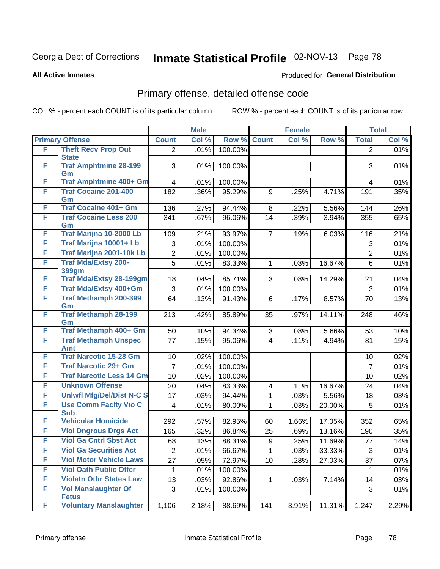#### **All Active Inmates**

#### Produced for **General Distribution**

### Primary offense, detailed offense code

|   |                                     |                | <b>Male</b> |         |                | <b>Female</b> |        |                | <b>Total</b> |
|---|-------------------------------------|----------------|-------------|---------|----------------|---------------|--------|----------------|--------------|
|   | <b>Primary Offense</b>              | <b>Count</b>   | Col %       | Row %   | <b>Count</b>   | Col %         | Row %  | <b>Total</b>   | Col %        |
| F | <b>Theft Recv Prop Out</b>          | $\overline{2}$ | .01%        | 100.00% |                |               |        | $\overline{2}$ | .01%         |
|   | <b>State</b>                        |                |             |         |                |               |        |                |              |
| F | <b>Traf Amphtmine 28-199</b><br>Gm  | 3              | .01%        | 100.00% |                |               |        | 3              | .01%         |
| F | <b>Traf Amphtmine 400+ Gm</b>       | 4              | .01%        | 100.00% |                |               |        | 4              | .01%         |
| F | <b>Traf Cocaine 201-400</b>         | 182            | .36%        | 95.29%  | 9              | .25%          | 4.71%  | 191            | .35%         |
|   | Gm                                  |                |             |         |                |               |        |                |              |
| F | <b>Traf Cocaine 401+ Gm</b>         | 136            | .27%        | 94.44%  | 8              | .22%          | 5.56%  | 144            | .26%         |
| F | <b>Traf Cocaine Less 200</b>        | 341            | .67%        | 96.06%  | 14             | .39%          | 3.94%  | 355            | .65%         |
|   | Gm                                  |                |             |         |                |               |        |                |              |
| F | Traf Marijna 10-2000 Lb             | 109            | .21%        | 93.97%  | $\overline{7}$ | .19%          | 6.03%  | 116            | .21%         |
| F | Traf Marijna 10001+ Lb              | 3              | .01%        | 100.00% |                |               |        | 3              | .01%         |
| F | Traf Marijna 2001-10k Lb            | $\overline{2}$ | .01%        | 100.00% |                |               |        | $\overline{2}$ | .01%         |
| F | <b>Traf Mda/Extsy 200-</b><br>399gm | 5              | .01%        | 83.33%  | 1              | .03%          | 16.67% | 6              | .01%         |
| F | <b>Traf Mda/Extsy 28-199gm</b>      | 18             | .04%        | 85.71%  | 3              | .08%          | 14.29% | 21             | .04%         |
| F | Traf Mda/Extsy 400+Gm               | 3              | .01%        | 100.00% |                |               |        | 3              | .01%         |
| F | Traf Methamph 200-399               | 64             | .13%        | 91.43%  | 6              | .17%          | 8.57%  | 70             | .13%         |
|   | Gm                                  |                |             |         |                |               |        |                |              |
| F | <b>Traf Methamph 28-199</b>         | 213            | .42%        | 85.89%  | 35             | .97%          | 14.11% | 248            | .46%         |
|   | Gm                                  |                |             |         |                |               |        |                |              |
| F | Traf Methamph 400+ Gm               | 50             | .10%        | 94.34%  | 3              | .08%          | 5.66%  | 53             | .10%         |
| F | <b>Traf Methamph Unspec</b><br>Amt  | 77             | .15%        | 95.06%  | $\overline{4}$ | .11%          | 4.94%  | 81             | .15%         |
| F | <b>Traf Narcotic 15-28 Gm</b>       | 10             | .02%        | 100.00% |                |               |        | 10             | .02%         |
| F | <b>Traf Narcotic 29+ Gm</b>         | 7              | .01%        | 100.00% |                |               |        | $\overline{7}$ | .01%         |
| F | <b>Traf Narcotic Less 14 Gm</b>     | 10             | .02%        | 100.00% |                |               |        | 10             | .02%         |
| F | <b>Unknown Offense</b>              | 20             | .04%        | 83.33%  | 4              | .11%          | 16.67% | 24             | .04%         |
| F | <b>Uniwfl Mfg/Del/Dist N-C S</b>    | 17             | .03%        | 94.44%  | 1              | .03%          | 5.56%  | 18             | .03%         |
| F | <b>Use Comm Facity Vio C</b>        | 4              | .01%        | 80.00%  | $\mathbf{1}$   | .03%          | 20.00% | 5              | .01%         |
|   | <b>Sub</b>                          |                |             |         |                |               |        |                |              |
| F | <b>Vehicular Homicide</b>           | 292            | .57%        | 82.95%  | 60             | 1.66%         | 17.05% | 352            | .65%         |
| F | <b>Viol Dngrous Drgs Act</b>        | 165            | .32%        | 86.84%  | 25             | .69%          | 13.16% | 190            | .35%         |
| F | <b>Viol Ga Cntrl Sbst Act</b>       | 68             | .13%        | 88.31%  | 9              | .25%          | 11.69% | 77             | .14%         |
| F | <b>Viol Ga Securities Act</b>       | $\overline{2}$ | .01%        | 66.67%  | $\mathbf{1}$   | .03%          | 33.33% | 3              | .01%         |
| F | <b>Viol Motor Vehicle Laws</b>      | 27             | .05%        | 72.97%  | 10             | .28%          | 27.03% | 37             | .07%         |
| F | <b>Viol Oath Public Offcr</b>       | 1              | .01%        | 100.00% |                |               |        | $\mathbf{1}$   | .01%         |
| F | <b>Violatn Othr States Law</b>      | 13             | .03%        | 92.86%  | 1              | .03%          | 7.14%  | 14             | .03%         |
| F | <b>Vol Manslaughter Of</b>          | 3              | .01%        | 100.00% |                |               |        | 3              | .01%         |
|   | <b>Fetus</b>                        |                |             |         |                |               |        |                |              |
| F | <b>Voluntary Manslaughter</b>       | 1,106          | 2.18%       | 88.69%  | 141            | 3.91%         | 11.31% | 1,247          | 2.29%        |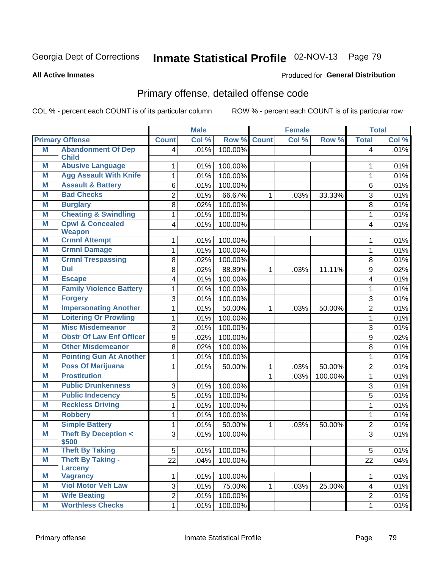#### **All Active Inmates**

#### Produced for **General Distribution**

### Primary offense, detailed offense code

|   |                                              |                 | <b>Male</b> |         | <b>Female</b> |       |         | <b>Total</b>   |       |
|---|----------------------------------------------|-----------------|-------------|---------|---------------|-------|---------|----------------|-------|
|   | <b>Primary Offense</b>                       | <b>Count</b>    | Col %       | Row %   | <b>Count</b>  | Col % | Row %   | <b>Total</b>   | Col % |
| M | <b>Abandonment Of Dep</b>                    | 4               | .01%        | 100.00% |               |       |         | $\overline{4}$ | .01%  |
|   | <b>Child</b>                                 |                 |             |         |               |       |         |                |       |
| M | <b>Abusive Language</b>                      | 1               | .01%        | 100.00% |               |       |         | 1              | .01%  |
| Μ | <b>Agg Assault With Knife</b>                | 1               | .01%        | 100.00% |               |       |         | 1              | .01%  |
| M | <b>Assault &amp; Battery</b>                 | 6               | .01%        | 100.00% |               |       |         | 6              | .01%  |
| M | <b>Bad Checks</b>                            | $\overline{2}$  | .01%        | 66.67%  | $\mathbf{1}$  | .03%  | 33.33%  | 3              | .01%  |
| Μ | <b>Burglary</b>                              | 8               | .02%        | 100.00% |               |       |         | 8              | .01%  |
| Μ | <b>Cheating &amp; Swindling</b>              | 1               | .01%        | 100.00% |               |       |         | 1              | .01%  |
| M | <b>Cpwl &amp; Concealed</b>                  | 4               | .01%        | 100.00% |               |       |         | $\overline{4}$ | .01%  |
| Μ | <b>Weapon</b><br><b>Crmnl Attempt</b>        |                 |             | 100.00% |               |       |         |                |       |
| M | <b>Crmnl Damage</b>                          | 1               | .01%        |         |               |       |         | 1              | .01%  |
|   |                                              | 1               | .01%        | 100.00% |               |       |         | 1              | .01%  |
| Μ | <b>Crmnl Trespassing</b>                     | 8               | .02%        | 100.00% |               |       |         | 8              | .01%  |
| M | Dui                                          | 8               | .02%        | 88.89%  | 1             | .03%  | 11.11%  | 9              | .02%  |
| Μ | <b>Escape</b>                                | 4               | .01%        | 100.00% |               |       |         | 4              | .01%  |
| M | <b>Family Violence Battery</b>               | 1               | .01%        | 100.00% |               |       |         | 1              | .01%  |
| Μ | <b>Forgery</b>                               | 3               | .01%        | 100.00% |               |       |         | 3              | .01%  |
| Μ | <b>Impersonating Another</b>                 | 1               | .01%        | 50.00%  | 1             | .03%  | 50.00%  | $\overline{2}$ | .01%  |
| Μ | <b>Loitering Or Prowling</b>                 | 1               | .01%        | 100.00% |               |       |         | 1              | .01%  |
| M | <b>Misc Misdemeanor</b>                      | 3               | .01%        | 100.00% |               |       |         | 3              | .01%  |
| M | <b>Obstr Of Law Enf Officer</b>              | 9               | .02%        | 100.00% |               |       |         | 9              | .02%  |
| M | <b>Other Misdemeanor</b>                     | 8               | .02%        | 100.00% |               |       |         | 8              | .01%  |
| Μ | <b>Pointing Gun At Another</b>               | 1               | .01%        | 100.00% |               |       |         | 1              | .01%  |
| M | <b>Poss Of Marijuana</b>                     | 1               | .01%        | 50.00%  | 1             | .03%  | 50.00%  | $\overline{2}$ | .01%  |
| Μ | <b>Prostitution</b>                          |                 |             |         | $\mathbf 1$   | .03%  | 100.00% | 1              | .01%  |
| M | <b>Public Drunkenness</b>                    | 3               | .01%        | 100.00% |               |       |         | 3              | .01%  |
| Μ | <b>Public Indecency</b>                      | $\overline{5}$  | .01%        | 100.00% |               |       |         | 5              | .01%  |
| M | <b>Reckless Driving</b>                      | 1               | .01%        | 100.00% |               |       |         | 1              | .01%  |
| M | <b>Robbery</b>                               | 1               | .01%        | 100.00% |               |       |         | 1              | .01%  |
| M | <b>Simple Battery</b>                        | 1               | .01%        | 50.00%  | 1.            | .03%  | 50.00%  | $\overline{2}$ | .01%  |
| Μ | <b>Theft By Deception &lt;</b>               | 3               | .01%        | 100.00% |               |       |         | 3              | .01%  |
|   | \$500                                        |                 |             |         |               |       |         |                |       |
| M | <b>Theft By Taking</b>                       | $\overline{5}$  | .01%        | 100.00% |               |       |         | $\overline{5}$ | .01%  |
| Μ | <b>Theft By Taking -</b>                     | $\overline{22}$ | .04%        | 100.00% |               |       |         | 22             | .04%  |
| Μ | <b>Larceny</b>                               |                 |             |         |               |       |         |                |       |
| M | <b>Vagrancy</b><br><b>Viol Motor Veh Law</b> | 1               | .01%        | 100.00% |               |       |         | $\mathbf 1$    | .01%  |
|   |                                              | $\overline{3}$  | .01%        | 75.00%  | $\mathbf{1}$  | .03%  | 25.00%  | $\overline{4}$ | .01%  |
| M | <b>Wife Beating</b>                          | $\overline{2}$  | .01%        | 100.00% |               |       |         | $\overline{2}$ | .01%  |
| M | <b>Worthless Checks</b>                      | 1               | .01%        | 100.00% |               |       |         | 1              | .01%  |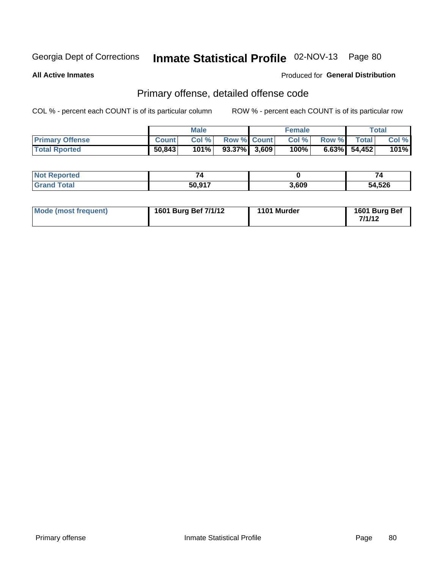**All Active Inmates**

#### Produced for **General Distribution**

### Primary offense, detailed offense code

|                        |              | <b>Male</b> |                    | <b>Female</b> |             |                 | Total   |
|------------------------|--------------|-------------|--------------------|---------------|-------------|-----------------|---------|
| <b>Primary Offense</b> | <b>Count</b> | Col%        | <b>Row % Count</b> | CoI%          | Row % Total |                 | Col %   |
| <b>Total Rported</b>   | 50,843       | 101%        | $93.37\%$ 3,609    | 100%          |             | $6.63\%$ 54,452 | $101\%$ |

| Reported<br>NOT<br> | -      |       | 74     |
|---------------------|--------|-------|--------|
| "ota.               | 50.917 | 3,609 | 54,526 |

| Mode (most frequent) | 1601 Burg Bef 7/1/12 | 1101 Murder | 1601 Burg Bef<br>711119 |
|----------------------|----------------------|-------------|-------------------------|
|----------------------|----------------------|-------------|-------------------------|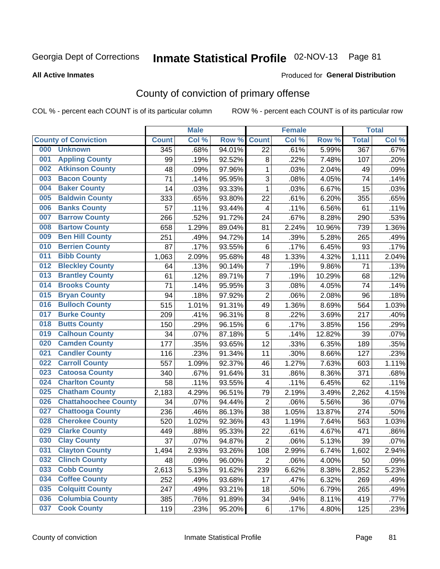#### **All Active Inmates**

#### Produced for **General Distribution**

### County of conviction of primary offense

|     |                             |              | <b>Male</b> |        |                         | <b>Female</b> |        |                  | <b>Total</b> |
|-----|-----------------------------|--------------|-------------|--------|-------------------------|---------------|--------|------------------|--------------|
|     | <b>County of Conviction</b> | <b>Count</b> | Col %       | Row %  | <b>Count</b>            | Col %         | Row %  | <b>Total</b>     | Col %        |
| 000 | <b>Unknown</b>              | 345          | .68%        | 94.01% | 22                      | .61%          | 5.99%  | $\overline{367}$ | .67%         |
| 001 | <b>Appling County</b>       | 99           | .19%        | 92.52% | 8                       | .22%          | 7.48%  | 107              | .20%         |
| 002 | <b>Atkinson County</b>      | 48           | .09%        | 97.96% | $\mathbf{1}$            | .03%          | 2.04%  | 49               | .09%         |
| 003 | <b>Bacon County</b>         | 71           | .14%        | 95.95% | 3                       | .08%          | 4.05%  | 74               | .14%         |
| 004 | <b>Baker County</b>         | 14           | .03%        | 93.33% | $\mathbf{1}$            | .03%          | 6.67%  | 15               | .03%         |
| 005 | <b>Baldwin County</b>       | 333          | .65%        | 93.80% | 22                      | .61%          | 6.20%  | 355              | .65%         |
| 006 | <b>Banks County</b>         | 57           | .11%        | 93.44% | $\overline{\mathbf{4}}$ | .11%          | 6.56%  | 61               | .11%         |
| 007 | <b>Barrow County</b>        | 266          | .52%        | 91.72% | 24                      | .67%          | 8.28%  | 290              | .53%         |
| 008 | <b>Bartow County</b>        | 658          | 1.29%       | 89.04% | 81                      | 2.24%         | 10.96% | 739              | 1.36%        |
| 009 | <b>Ben Hill County</b>      | 251          | .49%        | 94.72% | 14                      | .39%          | 5.28%  | 265              | .49%         |
| 010 | <b>Berrien County</b>       | 87           | .17%        | 93.55% | 6                       | .17%          | 6.45%  | 93               | .17%         |
| 011 | <b>Bibb County</b>          | 1,063        | 2.09%       | 95.68% | 48                      | 1.33%         | 4.32%  | 1,111            | 2.04%        |
| 012 | <b>Bleckley County</b>      | 64           | .13%        | 90.14% | $\overline{7}$          | .19%          | 9.86%  | 71               | .13%         |
| 013 | <b>Brantley County</b>      | 61           | .12%        | 89.71% | $\overline{7}$          | .19%          | 10.29% | 68               | .12%         |
| 014 | <b>Brooks County</b>        | 71           | .14%        | 95.95% | 3                       | .08%          | 4.05%  | 74               | .14%         |
| 015 | <b>Bryan County</b>         | 94           | .18%        | 97.92% | $\overline{2}$          | .06%          | 2.08%  | 96               | .18%         |
| 016 | <b>Bulloch County</b>       | 515          | 1.01%       | 91.31% | 49                      | 1.36%         | 8.69%  | 564              | 1.03%        |
| 017 | <b>Burke County</b>         | 209          | .41%        | 96.31% | 8                       | .22%          | 3.69%  | 217              | .40%         |
| 018 | <b>Butts County</b>         | 150          | .29%        | 96.15% | 6                       | .17%          | 3.85%  | 156              | .29%         |
| 019 | <b>Calhoun County</b>       | 34           | .07%        | 87.18% | 5                       | .14%          | 12.82% | 39               | .07%         |
| 020 | <b>Camden County</b>        | 177          | .35%        | 93.65% | 12                      | .33%          | 6.35%  | 189              | .35%         |
| 021 | <b>Candler County</b>       | 116          | .23%        | 91.34% | 11                      | .30%          | 8.66%  | 127              | .23%         |
| 022 | <b>Carroll County</b>       | 557          | 1.09%       | 92.37% | 46                      | 1.27%         | 7.63%  | 603              | 1.11%        |
| 023 | <b>Catoosa County</b>       | 340          | .67%        | 91.64% | 31                      | .86%          | 8.36%  | 371              | .68%         |
| 024 | <b>Charlton County</b>      | 58           | .11%        | 93.55% | 4                       | .11%          | 6.45%  | 62               | .11%         |
| 025 | <b>Chatham County</b>       | 2,183        | 4.29%       | 96.51% | 79                      | 2.19%         | 3.49%  | 2,262            | 4.15%        |
| 026 | <b>Chattahoochee County</b> | 34           | .07%        | 94.44% | $\overline{2}$          | .06%          | 5.56%  | 36               | .07%         |
| 027 | <b>Chattooga County</b>     | 236          | .46%        | 86.13% | 38                      | 1.05%         | 13.87% | 274              | .50%         |
| 028 | <b>Cherokee County</b>      | 520          | 1.02%       | 92.36% | 43                      | 1.19%         | 7.64%  | 563              | 1.03%        |
| 029 | <b>Clarke County</b>        | 449          | .88%        | 95.33% | 22                      | .61%          | 4.67%  | 471              | .86%         |
| 030 | <b>Clay County</b>          | 37           | .07%        | 94.87% | $\overline{2}$          | .06%          | 5.13%  | 39               | .07%         |
| 031 | <b>Clayton County</b>       | 1,494        | 2.93%       | 93.26% | 108                     | 2.99%         | 6.74%  | 1,602            | 2.94%        |
| 032 | <b>Clinch County</b>        | 48           | .09%        | 96.00% | $\overline{2}$          | .06%          | 4.00%  | 50               | .09%         |
| 033 | <b>Cobb County</b>          | 2,613        | 5.13%       | 91.62% | 239                     | 6.62%         | 8.38%  | 2,852            | 5.23%        |
| 034 | <b>Coffee County</b>        | 252          | .49%        | 93.68% | 17                      | .47%          | 6.32%  | 269              | .49%         |
| 035 | <b>Colquitt County</b>      | 247          | .49%        | 93.21% | 18                      | .50%          | 6.79%  | 265              | .49%         |
| 036 | <b>Columbia County</b>      | 385          | .76%        | 91.89% | 34                      | .94%          | 8.11%  | 419              | .77%         |
| 037 | <b>Cook County</b>          | 119          | .23%        | 95.20% | 6                       | .17%          | 4.80%  | 125              | .23%         |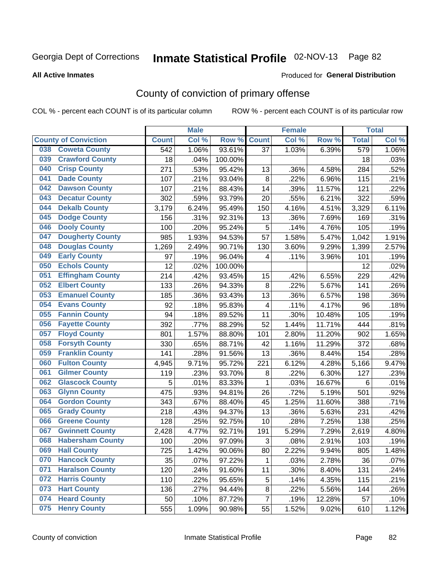**All Active Inmates**

#### Produced for **General Distribution**

### County of conviction of primary offense

|                                |              | <b>Male</b> |         |                         | <b>Female</b> |        |                  | <b>Total</b> |
|--------------------------------|--------------|-------------|---------|-------------------------|---------------|--------|------------------|--------------|
| <b>County of Conviction</b>    | <b>Count</b> | Col %       | Row %   | <b>Count</b>            | Col %         | Row %  | <b>Total</b>     | Col %        |
| <b>Coweta County</b><br>038    | 542          | 1.06%       | 93.61%  | $\overline{37}$         | 1.03%         | 6.39%  | $\overline{579}$ | 1.06%        |
| <b>Crawford County</b><br>039  | 18           | .04%        | 100.00% |                         |               |        | 18               | .03%         |
| <b>Crisp County</b><br>040     | 271          | .53%        | 95.42%  | 13                      | .36%          | 4.58%  | 284              | .52%         |
| <b>Dade County</b><br>041      | 107          | .21%        | 93.04%  | 8                       | .22%          | 6.96%  | 115              | .21%         |
| <b>Dawson County</b><br>042    | 107          | .21%        | 88.43%  | 14                      | .39%          | 11.57% | 121              | .22%         |
| <b>Decatur County</b><br>043   | 302          | .59%        | 93.79%  | 20                      | .55%          | 6.21%  | 322              | .59%         |
| <b>Dekalb County</b><br>044    | 3,179        | 6.24%       | 95.49%  | 150                     | 4.16%         | 4.51%  | 3,329            | 6.11%        |
| <b>Dodge County</b><br>045     | 156          | .31%        | 92.31%  | 13                      | .36%          | 7.69%  | 169              | .31%         |
| <b>Dooly County</b><br>046     | 100          | .20%        | 95.24%  | 5                       | .14%          | 4.76%  | 105              | .19%         |
| <b>Dougherty County</b><br>047 | 985          | 1.93%       | 94.53%  | 57                      | 1.58%         | 5.47%  | 1,042            | 1.91%        |
| <b>Douglas County</b><br>048   | 1,269        | 2.49%       | 90.71%  | 130                     | 3.60%         | 9.29%  | 1,399            | 2.57%        |
| <b>Early County</b><br>049     | 97           | .19%        | 96.04%  | 4                       | .11%          | 3.96%  | 101              | .19%         |
| <b>Echols County</b><br>050    | 12           | .02%        | 100.00% |                         |               |        | 12               | .02%         |
| <b>Effingham County</b><br>051 | 214          | .42%        | 93.45%  | 15                      | .42%          | 6.55%  | 229              | .42%         |
| <b>Elbert County</b><br>052    | 133          | .26%        | 94.33%  | 8                       | .22%          | 5.67%  | 141              | .26%         |
| <b>Emanuel County</b><br>053   | 185          | .36%        | 93.43%  | 13                      | .36%          | 6.57%  | 198              | .36%         |
| <b>Evans County</b><br>054     | 92           | .18%        | 95.83%  | $\overline{\mathbf{4}}$ | .11%          | 4.17%  | 96               | .18%         |
| <b>Fannin County</b><br>055    | 94           | .18%        | 89.52%  | 11                      | .30%          | 10.48% | 105              | .19%         |
| <b>Fayette County</b><br>056   | 392          | .77%        | 88.29%  | 52                      | 1.44%         | 11.71% | 444              | .81%         |
| <b>Floyd County</b><br>057     | 801          | 1.57%       | 88.80%  | 101                     | 2.80%         | 11.20% | 902              | 1.65%        |
| <b>Forsyth County</b><br>058   | 330          | .65%        | 88.71%  | 42                      | 1.16%         | 11.29% | 372              | .68%         |
| <b>Franklin County</b><br>059  | 141          | .28%        | 91.56%  | 13                      | .36%          | 8.44%  | 154              | .28%         |
| <b>Fulton County</b><br>060    | 4,945        | 9.71%       | 95.72%  | 221                     | 6.12%         | 4.28%  | 5,166            | 9.47%        |
| <b>Gilmer County</b><br>061    | 119          | .23%        | 93.70%  | 8                       | .22%          | 6.30%  | 127              | .23%         |
| <b>Glascock County</b><br>062  | 5            | .01%        | 83.33%  | 1                       | .03%          | 16.67% | $6\phantom{1}6$  | .01%         |
| 063<br><b>Glynn County</b>     | 475          | .93%        | 94.81%  | 26                      | .72%          | 5.19%  | 501              | .92%         |
| <b>Gordon County</b><br>064    | 343          | .67%        | 88.40%  | 45                      | 1.25%         | 11.60% | 388              | .71%         |
| 065<br><b>Grady County</b>     | 218          | .43%        | 94.37%  | 13                      | .36%          | 5.63%  | 231              | .42%         |
| <b>Greene County</b><br>066    | 128          | .25%        | 92.75%  | 10                      | .28%          | 7.25%  | 138              | .25%         |
| <b>Gwinnett County</b><br>067  | 2,428        | 4.77%       | 92.71%  | 191                     | 5.29%         | 7.29%  | 2,619            | 4.80%        |
| <b>Habersham County</b><br>068 | 100          | .20%        | 97.09%  | 3                       | .08%          | 2.91%  | 103              | .19%         |
| <b>Hall County</b><br>069      | 725          | 1.42%       | 90.06%  | 80                      | 2.22%         | 9.94%  | 805              | 1.48%        |
| <b>Hancock County</b><br>070   | 35           | .07%        | 97.22%  | 1                       | .03%          | 2.78%  | 36               | .07%         |
| <b>Haralson County</b><br>071  | 120          | .24%        | 91.60%  | 11                      | .30%          | 8.40%  | 131              | .24%         |
| <b>Harris County</b><br>072    | 110          | .22%        | 95.65%  | 5                       | .14%          | 4.35%  | 115              | .21%         |
| <b>Hart County</b><br>073      | 136          | .27%        | 94.44%  | 8                       | .22%          | 5.56%  | 144              | .26%         |
| <b>Heard County</b><br>074     | 50           | .10%        | 87.72%  | $\overline{7}$          | .19%          | 12.28% | 57               | .10%         |
| <b>Henry County</b><br>075     | 555          | 1.09%       | 90.98%  | 55                      | 1.52%         | 9.02%  | 610              | 1.12%        |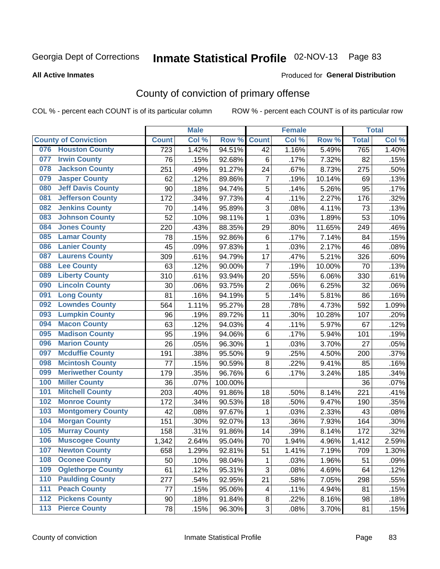#### **All Active Inmates**

#### Produced for **General Distribution**

### County of conviction of primary offense

|     |                             |              | <b>Male</b> |         |                         | <b>Female</b> |        |              | <b>Total</b> |
|-----|-----------------------------|--------------|-------------|---------|-------------------------|---------------|--------|--------------|--------------|
|     | <b>County of Conviction</b> | <b>Count</b> | Col %       | Row %   | <b>Count</b>            | Col %         | Row %  | <b>Total</b> | Col %        |
| 076 | <b>Houston County</b>       | 723          | 1.42%       | 94.51%  | 42                      | 1.16%         | 5.49%  | 765          | 1.40%        |
| 077 | <b>Irwin County</b>         | 76           | .15%        | 92.68%  | 6                       | .17%          | 7.32%  | 82           | .15%         |
| 078 | <b>Jackson County</b>       | 251          | .49%        | 91.27%  | 24                      | .67%          | 8.73%  | 275          | .50%         |
| 079 | <b>Jasper County</b>        | 62           | .12%        | 89.86%  | $\overline{7}$          | .19%          | 10.14% | 69           | .13%         |
| 080 | <b>Jeff Davis County</b>    | 90           | .18%        | 94.74%  | 5                       | .14%          | 5.26%  | 95           | .17%         |
| 081 | <b>Jefferson County</b>     | 172          | .34%        | 97.73%  | 4                       | .11%          | 2.27%  | 176          | .32%         |
| 082 | <b>Jenkins County</b>       | 70           | .14%        | 95.89%  | 3                       | .08%          | 4.11%  | 73           | .13%         |
| 083 | <b>Johnson County</b>       | 52           | .10%        | 98.11%  | 1                       | .03%          | 1.89%  | 53           | .10%         |
| 084 | <b>Jones County</b>         | 220          | .43%        | 88.35%  | 29                      | .80%          | 11.65% | 249          | .46%         |
| 085 | <b>Lamar County</b>         | 78           | .15%        | 92.86%  | 6                       | .17%          | 7.14%  | 84           | .15%         |
| 086 | <b>Lanier County</b>        | 45           | .09%        | 97.83%  | $\mathbf{1}$            | .03%          | 2.17%  | 46           | .08%         |
| 087 | <b>Laurens County</b>       | 309          | .61%        | 94.79%  | 17                      | .47%          | 5.21%  | 326          | .60%         |
| 088 | <b>Lee County</b>           | 63           | .12%        | 90.00%  | $\overline{7}$          | .19%          | 10.00% | 70           | .13%         |
| 089 | <b>Liberty County</b>       | 310          | .61%        | 93.94%  | 20                      | .55%          | 6.06%  | 330          | .61%         |
| 090 | <b>Lincoln County</b>       | 30           | .06%        | 93.75%  | $\mathbf 2$             | .06%          | 6.25%  | 32           | .06%         |
| 091 | <b>Long County</b>          | 81           | .16%        | 94.19%  | 5                       | .14%          | 5.81%  | 86           | .16%         |
| 092 | <b>Lowndes County</b>       | 564          | 1.11%       | 95.27%  | 28                      | .78%          | 4.73%  | 592          | 1.09%        |
| 093 | <b>Lumpkin County</b>       | 96           | .19%        | 89.72%  | 11                      | .30%          | 10.28% | 107          | .20%         |
| 094 | <b>Macon County</b>         | 63           | .12%        | 94.03%  | $\overline{\mathbf{4}}$ | .11%          | 5.97%  | 67           | .12%         |
| 095 | <b>Madison County</b>       | 95           | .19%        | 94.06%  | 6                       | .17%          | 5.94%  | 101          | .19%         |
| 096 | <b>Marion County</b>        | 26           | .05%        | 96.30%  | $\mathbf{1}$            | .03%          | 3.70%  | 27           | .05%         |
| 097 | <b>Mcduffie County</b>      | 191          | .38%        | 95.50%  | $\boldsymbol{9}$        | .25%          | 4.50%  | 200          | .37%         |
| 098 | <b>Mcintosh County</b>      | 77           | .15%        | 90.59%  | 8                       | .22%          | 9.41%  | 85           | .16%         |
| 099 | <b>Meriwether County</b>    | 179          | .35%        | 96.76%  | 6                       | .17%          | 3.24%  | 185          | .34%         |
| 100 | <b>Miller County</b>        | 36           | .07%        | 100.00% |                         |               |        | 36           | .07%         |
| 101 | <b>Mitchell County</b>      | 203          | .40%        | 91.86%  | 18                      | .50%          | 8.14%  | 221          | .41%         |
| 102 | <b>Monroe County</b>        | 172          | .34%        | 90.53%  | 18                      | .50%          | 9.47%  | 190          | .35%         |
| 103 | <b>Montgomery County</b>    | 42           | .08%        | 97.67%  | 1                       | .03%          | 2.33%  | 43           | .08%         |
| 104 | <b>Morgan County</b>        | 151          | .30%        | 92.07%  | 13                      | .36%          | 7.93%  | 164          | .30%         |
| 105 | <b>Murray County</b>        | 158          | .31%        | 91.86%  | 14                      | .39%          | 8.14%  | 172          | .32%         |
| 106 | <b>Muscogee County</b>      | 1,342        | 2.64%       | 95.04%  | 70                      | 1.94%         | 4.96%  | 1,412        | 2.59%        |
| 107 | <b>Newton County</b>        | 658          | 1.29%       | 92.81%  | 51                      | 1.41%         | 7.19%  | 709          | 1.30%        |
| 108 | <b>Oconee County</b>        | 50           | .10%        | 98.04%  | 1                       | .03%          | 1.96%  | 51           | .09%         |
| 109 | <b>Oglethorpe County</b>    | 61           | .12%        | 95.31%  | 3                       | .08%          | 4.69%  | 64           | .12%         |
| 110 | <b>Paulding County</b>      | 277          | .54%        | 92.95%  | 21                      | .58%          | 7.05%  | 298          | .55%         |
| 111 | <b>Peach County</b>         | 77           | .15%        | 95.06%  | $\overline{\mathbf{4}}$ | .11%          | 4.94%  | 81           | .15%         |
| 112 | <b>Pickens County</b>       | 90           | .18%        | 91.84%  | $\bf 8$                 | .22%          | 8.16%  | 98           | .18%         |
| 113 | <b>Pierce County</b>        | 78           | .15%        | 96.30%  | 3                       | .08%          | 3.70%  | 81           | .15%         |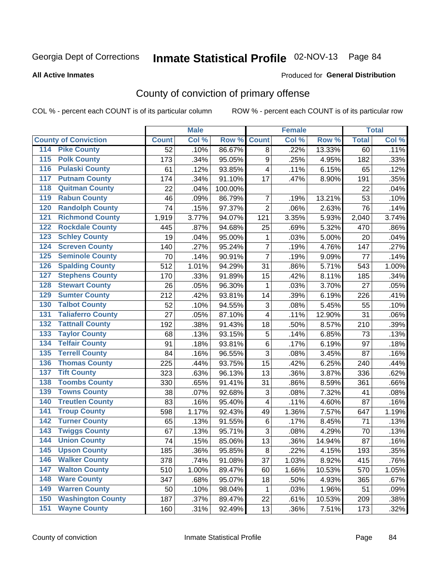#### **All Active Inmates**

#### Produced for **General Distribution**

### County of conviction of primary offense

|                                        |                 | <b>Male</b> |         |                           | <b>Female</b> |        |              | <b>Total</b> |
|----------------------------------------|-----------------|-------------|---------|---------------------------|---------------|--------|--------------|--------------|
| <b>County of Conviction</b>            | <b>Count</b>    | Col %       | Row %   | <b>Count</b>              | Col %         | Row %  | <b>Total</b> | Col %        |
| <b>Pike County</b><br>114              | $\overline{52}$ | .10%        | 86.67%  | 8                         | .22%          | 13.33% | 60           | .11%         |
| <b>Polk County</b><br>$\overline{115}$ | 173             | .34%        | 95.05%  | 9                         | .25%          | 4.95%  | 182          | .33%         |
| <b>Pulaski County</b><br>116           | 61              | .12%        | 93.85%  | 4                         | .11%          | 6.15%  | 65           | .12%         |
| <b>Putnam County</b><br>117            | 174             | .34%        | 91.10%  | 17                        | .47%          | 8.90%  | 191          | .35%         |
| 118<br><b>Quitman County</b>           | 22              | .04%        | 100.00% |                           |               |        | 22           | .04%         |
| <b>Rabun County</b><br>119             | 46              | .09%        | 86.79%  | $\overline{7}$            | .19%          | 13.21% | 53           | .10%         |
| <b>Randolph County</b><br>120          | 74              | .15%        | 97.37%  | $\overline{2}$            | .06%          | 2.63%  | 76           | .14%         |
| <b>Richmond County</b><br>121          | 1,919           | 3.77%       | 94.07%  | 121                       | 3.35%         | 5.93%  | 2,040        | 3.74%        |
| <b>Rockdale County</b><br>122          | 445             | .87%        | 94.68%  | 25                        | .69%          | 5.32%  | 470          | .86%         |
| <b>Schley County</b><br>123            | 19              | .04%        | 95.00%  | 1                         | .03%          | 5.00%  | 20           | .04%         |
| <b>Screven County</b><br>124           | 140             | .27%        | 95.24%  | $\overline{7}$            | .19%          | 4.76%  | 147          | .27%         |
| <b>Seminole County</b><br>125          | 70              | .14%        | 90.91%  | $\overline{7}$            | .19%          | 9.09%  | 77           | .14%         |
| 126<br><b>Spalding County</b>          | 512             | 1.01%       | 94.29%  | 31                        | .86%          | 5.71%  | 543          | 1.00%        |
| 127<br><b>Stephens County</b>          | 170             | .33%        | 91.89%  | 15                        | .42%          | 8.11%  | 185          | .34%         |
| <b>Stewart County</b><br>128           | 26              | .05%        | 96.30%  | 1                         | .03%          | 3.70%  | 27           | .05%         |
| <b>Sumter County</b><br>129            | 212             | .42%        | 93.81%  | 14                        | .39%          | 6.19%  | 226          | .41%         |
| <b>Talbot County</b><br>130            | 52              | .10%        | 94.55%  | 3                         | .08%          | 5.45%  | 55           | .10%         |
| <b>Taliaferro County</b><br>131        | 27              | .05%        | 87.10%  | 4                         | .11%          | 12.90% | 31           | .06%         |
| <b>Tattnall County</b><br>132          | 192             | .38%        | 91.43%  | 18                        | .50%          | 8.57%  | 210          | .39%         |
| <b>Taylor County</b><br>133            | 68              | .13%        | 93.15%  | 5                         | .14%          | 6.85%  | 73           | .13%         |
| <b>Telfair County</b><br>134           | 91              | .18%        | 93.81%  | 6                         | .17%          | 6.19%  | 97           | .18%         |
| <b>Terrell County</b><br>135           | 84              | .16%        | 96.55%  | 3                         | .08%          | 3.45%  | 87           | .16%         |
| <b>Thomas County</b><br>136            | 225             | .44%        | 93.75%  | 15                        | .42%          | 6.25%  | 240          | .44%         |
| <b>Tift County</b><br>137              | 323             | .63%        | 96.13%  | 13                        | .36%          | 3.87%  | 336          | .62%         |
| <b>Toombs County</b><br>138            | 330             | .65%        | 91.41%  | 31                        | .86%          | 8.59%  | 361          | .66%         |
| <b>Towns County</b><br>139             | 38              | .07%        | 92.68%  | $\ensuremath{\mathsf{3}}$ | .08%          | 7.32%  | 41           | .08%         |
| <b>Treutlen County</b><br>140          | 83              | .16%        | 95.40%  | 4                         | .11%          | 4.60%  | 87           | .16%         |
| <b>Troup County</b><br>141             | 598             | 1.17%       | 92.43%  | 49                        | 1.36%         | 7.57%  | 647          | 1.19%        |
| <b>Turner County</b><br>142            | 65              | .13%        | 91.55%  | 6                         | .17%          | 8.45%  | 71           | .13%         |
| <b>Twiggs County</b><br>143            | 67              | .13%        | 95.71%  | 3                         | .08%          | 4.29%  | 70           | .13%         |
| <b>Union County</b><br>144             | 74              | .15%        | 85.06%  | 13                        | .36%          | 14.94% | 87           | .16%         |
| 145<br><b>Upson County</b>             | 185             | .36%        | 95.85%  | 8                         | .22%          | 4.15%  | 193          | .35%         |
| <b>Walker County</b><br>146            | 378             | .74%        | 91.08%  | 37                        | 1.03%         | 8.92%  | 415          | .76%         |
| <b>Walton County</b><br>147            | 510             | 1.00%       | 89.47%  | 60                        | 1.66%         | 10.53% | 570          | 1.05%        |
| <b>Ware County</b><br>148              | 347             | .68%        | 95.07%  | 18                        | .50%          | 4.93%  | 365          | .67%         |
| <b>Warren County</b><br>149            | 50              | .10%        | 98.04%  | $\mathbf 1$               | .03%          | 1.96%  | 51           | .09%         |
| <b>Washington County</b><br>150        | 187             | .37%        | 89.47%  | 22                        | .61%          | 10.53% | 209          | .38%         |
| <b>Wayne County</b><br>151             | 160             | .31%        | 92.49%  | 13                        | .36%          | 7.51%  | 173          | .32%         |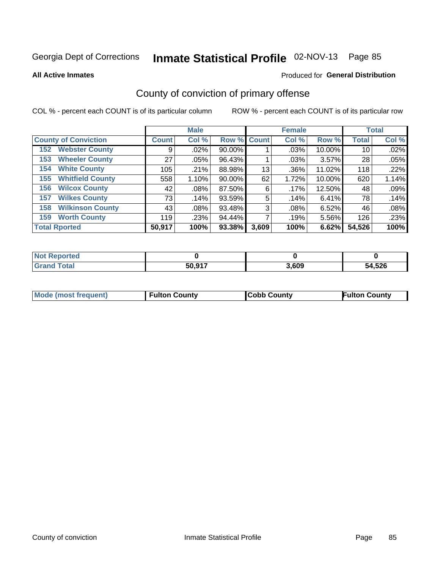**All Active Inmates**

#### Produced for **General Distribution**

### County of conviction of primary offense

|                                |              | <b>Male</b> |             |       | <b>Female</b> |        |              | <b>Total</b> |
|--------------------------------|--------------|-------------|-------------|-------|---------------|--------|--------------|--------------|
| <b>County of Conviction</b>    | <b>Count</b> | Col %       | Row % Count |       | Col %         | Row %  | <b>Total</b> | Col %        |
| <b>Webster County</b><br>152   | 9            | $.02\%$     | 90.00%      |       | .03%          | 10.00% | 10           | .02%         |
| <b>Wheeler County</b><br>153   | 27           | $.05\%$     | 96.43%      |       | .03%          | 3.57%  | 28           | .05%         |
| <b>White County</b><br>154     | 105          | .21%        | 88.98%      | 13    | .36%          | 11.02% | 118          | .22%         |
| <b>Whitfield County</b><br>155 | 558          | 1.10%       | $90.00\%$   | 62    | 1.72%         | 10.00% | 620          | 1.14%        |
| <b>Wilcox County</b><br>156    | 42           | .08%        | 87.50%      | 6     | .17%          | 12.50% | 48           | .09%         |
| <b>Wilkes County</b><br>157    | 73           | .14%        | 93.59%      | 5     | .14%          | 6.41%  | 78           | .14%         |
| <b>Wilkinson County</b><br>158 | 43           | $.08\%$     | 93.48%      | 3     | .08%          | 6.52%  | 46           | .08%         |
| <b>Worth County</b><br>159     | 119          | .23%        | 94.44%      |       | .19%          | 5.56%  | 126          | .23%         |
| <b>Total Rported</b>           | 50,917       | 100%        | 93.38%      | 3,609 | 100%          | 6.62%  | 54,526       | 100%         |

| <b>Not Reported</b> |        |       |        |
|---------------------|--------|-------|--------|
| Total               | 50,917 | 3.609 | 54,526 |

| Mode (most frequent) | <b>Fulton County</b> | <b>Cobb County</b> | <b>Fulton County</b> |
|----------------------|----------------------|--------------------|----------------------|
|                      |                      |                    |                      |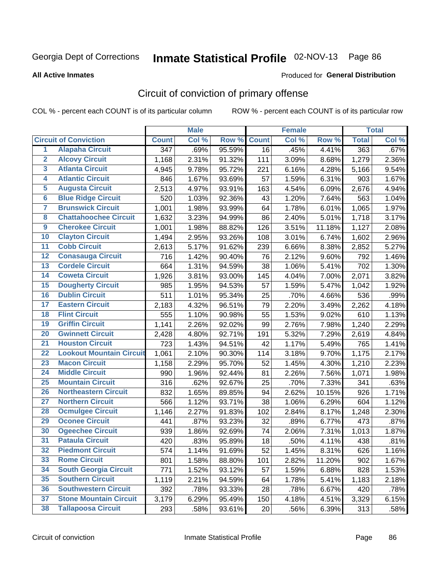#### **All Active Inmates**

#### Produced for **General Distribution**

### Circuit of conviction of primary offense

|                         |                                 |                  | <b>Male</b> |        |              | <b>Female</b> |        |              | <b>Total</b> |
|-------------------------|---------------------------------|------------------|-------------|--------|--------------|---------------|--------|--------------|--------------|
|                         | <b>Circuit of Conviction</b>    | <b>Count</b>     | Col %       | Row %  | <b>Count</b> | Col %         | Row %  | <b>Total</b> | Col %        |
| 1                       | <b>Alapaha Circuit</b>          | $\overline{347}$ | .69%        | 95.59% | 16           | .45%          | 4.41%  | 363          | .67%         |
| $\overline{2}$          | <b>Alcovy Circuit</b>           | 1,168            | 2.31%       | 91.32% | 111          | 3.09%         | 8.68%  | 1,279        | 2.36%        |
| 3                       | <b>Atlanta Circuit</b>          | 4,945            | 9.78%       | 95.72% | 221          | 6.16%         | 4.28%  | 5,166        | 9.54%        |
| 4                       | <b>Atlantic Circuit</b>         | 846              | 1.67%       | 93.69% | 57           | 1.59%         | 6.31%  | 903          | 1.67%        |
| 5                       | <b>Augusta Circuit</b>          | 2,513            | 4.97%       | 93.91% | 163          | 4.54%         | 6.09%  | 2,676        | 4.94%        |
| 6                       | <b>Blue Ridge Circuit</b>       | 520              | 1.03%       | 92.36% | 43           | 1.20%         | 7.64%  | 563          | 1.04%        |
| $\overline{\mathbf{7}}$ | <b>Brunswick Circuit</b>        | 1,001            | 1.98%       | 93.99% | 64           | 1.78%         | 6.01%  | 1,065        | 1.97%        |
| 8                       | <b>Chattahoochee Circuit</b>    | 1,632            | 3.23%       | 94.99% | 86           | 2.40%         | 5.01%  | 1,718        | 3.17%        |
| $\overline{9}$          | <b>Cherokee Circuit</b>         | 1,001            | 1.98%       | 88.82% | 126          | 3.51%         | 11.18% | 1,127        | 2.08%        |
| 10                      | <b>Clayton Circuit</b>          | 1,494            | 2.95%       | 93.26% | 108          | 3.01%         | 6.74%  | 1,602        | 2.96%        |
| 11                      | <b>Cobb Circuit</b>             | 2,613            | 5.17%       | 91.62% | 239          | 6.66%         | 8.38%  | 2,852        | 5.27%        |
| 12                      | <b>Conasauga Circuit</b>        | 716              | 1.42%       | 90.40% | 76           | 2.12%         | 9.60%  | 792          | 1.46%        |
| 13                      | <b>Cordele Circuit</b>          | 664              | 1.31%       | 94.59% | 38           | 1.06%         | 5.41%  | 702          | 1.30%        |
| 14                      | <b>Coweta Circuit</b>           | 1,926            | 3.81%       | 93.00% | 145          | 4.04%         | 7.00%  | 2,071        | 3.82%        |
| 15                      | <b>Dougherty Circuit</b>        | 985              | 1.95%       | 94.53% | 57           | 1.59%         | 5.47%  | 1,042        | 1.92%        |
| 16                      | <b>Dublin Circuit</b>           | 511              | 1.01%       | 95.34% | 25           | .70%          | 4.66%  | 536          | .99%         |
| 17                      | <b>Eastern Circuit</b>          | 2,183            | 4.32%       | 96.51% | 79           | 2.20%         | 3.49%  | 2,262        | 4.18%        |
| 18                      | <b>Flint Circuit</b>            | 555              | 1.10%       | 90.98% | 55           | 1.53%         | 9.02%  | 610          | 1.13%        |
| 19                      | <b>Griffin Circuit</b>          | 1,141            | 2.26%       | 92.02% | 99           | 2.76%         | 7.98%  | 1,240        | 2.29%        |
| 20                      | <b>Gwinnett Circuit</b>         | 2,428            | 4.80%       | 92.71% | 191          | 5.32%         | 7.29%  | 2,619        | 4.84%        |
| $\overline{21}$         | <b>Houston Circuit</b>          | 723              | 1.43%       | 94.51% | 42           | 1.17%         | 5.49%  | 765          | 1.41%        |
| $\overline{22}$         | <b>Lookout Mountain Circuit</b> | 1,061            | 2.10%       | 90.30% | 114          | 3.18%         | 9.70%  | 1,175        | 2.17%        |
| 23                      | <b>Macon Circuit</b>            | 1,158            | 2.29%       | 95.70% | 52           | 1.45%         | 4.30%  | 1,210        | 2.23%        |
| 24                      | <b>Middle Circuit</b>           | 990              | 1.96%       | 92.44% | 81           | 2.26%         | 7.56%  | 1,071        | 1.98%        |
| 25                      | <b>Mountain Circuit</b>         | 316              | .62%        | 92.67% | 25           | .70%          | 7.33%  | 341          | .63%         |
| 26                      | <b>Northeastern Circuit</b>     | 832              | 1.65%       | 89.85% | 94           | 2.62%         | 10.15% | 926          | 1.71%        |
| $\overline{27}$         | <b>Northern Circuit</b>         | 566              | 1.12%       | 93.71% | 38           | 1.06%         | 6.29%  | 604          | 1.12%        |
| 28                      | <b>Ocmulgee Circuit</b>         | 1,146            | 2.27%       | 91.83% | 102          | 2.84%         | 8.17%  | 1,248        | 2.30%        |
| 29                      | <b>Oconee Circuit</b>           | 441              | .87%        | 93.23% | 32           | .89%          | 6.77%  | 473          | .87%         |
| 30                      | <b>Ogeechee Circuit</b>         | 939              | 1.86%       | 92.69% | 74           | 2.06%         | 7.31%  | 1,013        | 1.87%        |
| $\overline{31}$         | <b>Pataula Circuit</b>          | 420              | .83%        | 95.89% | 18           | .50%          | 4.11%  | 438          | .81%         |
| 32                      | <b>Piedmont Circuit</b>         | 574              | 1.14%       | 91.69% | 52           | 1.45%         | 8.31%  | 626          | 1.16%        |
| 33                      | <b>Rome Circuit</b>             | 801              | 1.58%       | 88.80% | 101          | 2.82%         | 11.20% | 902          | 1.67%        |
| 34                      | <b>South Georgia Circuit</b>    | 771              | 1.52%       | 93.12% | 57           | 1.59%         | 6.88%  | 828          | 1.53%        |
| 35                      | <b>Southern Circuit</b>         | 1,119            | 2.21%       | 94.59% | 64           | 1.78%         | 5.41%  | 1,183        | 2.18%        |
| 36                      | <b>Southwestern Circuit</b>     | 392              | .78%        | 93.33% | 28           | .78%          | 6.67%  | 420          | .78%         |
| 37                      | <b>Stone Mountain Circuit</b>   | 3,179            | 6.29%       | 95.49% | 150          | 4.18%         | 4.51%  | 3,329        | 6.15%        |
| 38                      | <b>Tallapoosa Circuit</b>       | 293              | .58%        | 93.61% | 20           | .56%          | 6.39%  | 313          | .58%         |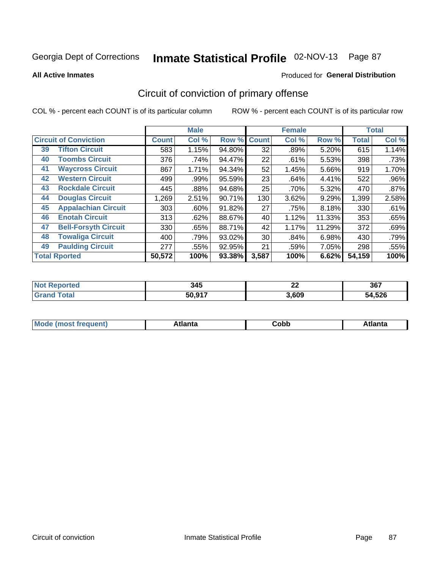**All Active Inmates**

#### Produced for **General Distribution**

### Circuit of conviction of primary offense

|    |                              |              | <b>Male</b> |        |              | <b>Female</b> |        |              | <b>Total</b> |
|----|------------------------------|--------------|-------------|--------|--------------|---------------|--------|--------------|--------------|
|    | <b>Circuit of Conviction</b> | <b>Count</b> | Col %       | Row %  | <b>Count</b> | Col %         | Row %  | <b>Total</b> | Col %        |
| 39 | <b>Tifton Circuit</b>        | 583          | 1.15%       | 94.80% | 32           | .89%          | 5.20%  | 615          | 1.14%        |
| 40 | <b>Toombs Circuit</b>        | 376          | .74%        | 94.47% | 22           | .61%          | 5.53%  | 398          | .73%         |
| 41 | <b>Waycross Circuit</b>      | 867          | 1.71%       | 94.34% | 52           | 1.45%         | 5.66%  | 919          | 1.70%        |
| 42 | <b>Western Circuit</b>       | 499          | .99%        | 95.59% | 23           | .64%          | 4.41%  | 522          | .96%         |
| 43 | <b>Rockdale Circuit</b>      | 445          | .88%        | 94.68% | 25           | .70%          | 5.32%  | 470          | .87%         |
| 44 | <b>Douglas Circuit</b>       | 1,269        | 2.51%       | 90.71% | 130          | 3.62%         | 9.29%  | 1,399        | 2.58%        |
| 45 | <b>Appalachian Circuit</b>   | 303          | $.60\%$     | 91.82% | 27           | .75%          | 8.18%  | 330          | .61%         |
| 46 | <b>Enotah Circuit</b>        | 313          | .62%        | 88.67% | 40           | 1.12%         | 11.33% | 353          | .65%         |
| 47 | <b>Bell-Forsyth Circuit</b>  | 330          | .65%        | 88.71% | 42           | 1.17%         | 11.29% | 372          | .69%         |
| 48 | <b>Towaliga Circuit</b>      | 400          | .79%        | 93.02% | 30           | .84%          | 6.98%  | 430          | .79%         |
| 49 | <b>Paulding Circuit</b>      | 277          | .55%        | 92.95% | 21           | .59%          | 7.05%  | 298          | .55%         |
|    | <b>Total Rported</b>         | 50,572       | 100%        | 93.38% | 3,587        | 100%          | 6.62%  | 54,159       | 100%         |

| 345    | $\sim$<br>▵▴ | 367        |
|--------|--------------|------------|
| EQ 047 | 3,609        | .526<br>54 |

| M<br>- - -<br>.<br>.<br>⊂opp<br>нс |
|------------------------------------|
|------------------------------------|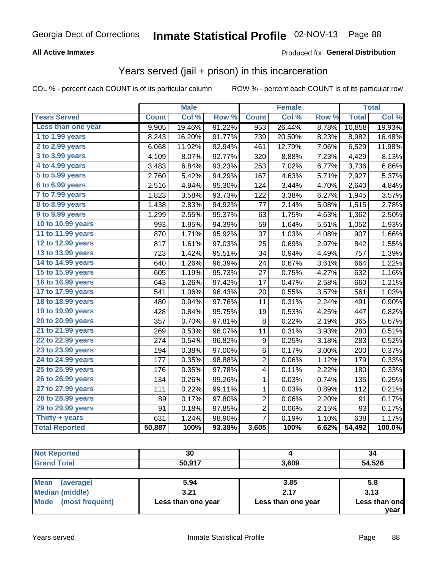### **All Active Inmates**

#### Produced for **General Distribution**

### Years served (jail + prison) in this incarceration

COL % - percent each COUNT is of its particular column ROW % - percent each COUNT is of its particular row

|                              |              | <b>Male</b> |        |                | <b>Female</b> |       |              | <b>Total</b> |
|------------------------------|--------------|-------------|--------|----------------|---------------|-------|--------------|--------------|
| <b>Years Served</b>          | <b>Count</b> | Col %       | Row %  | <b>Count</b>   | Col %         | Row % | <b>Total</b> | Col%         |
| Less than one year           | 9,905        | 19.46%      | 91.22% | 953            | 26.44%        | 8.78% | 10,858       | 19.93%       |
| 1 to 1.99 years              | 8,243        | 16.20%      | 91.77% | 739            | 20.50%        | 8.23% | 8,982        | 16.48%       |
| 2 to 2.99 years              | 6,068        | 11.92%      | 92.94% | 461            | 12.79%        | 7.06% | 6,529        | 11.98%       |
| $3$ to $3.99$ years          | 4,109        | 8.07%       | 92.77% | 320            | 8.88%         | 7.23% | 4,429        | 8.13%        |
| $\overline{4}$ to 4.99 years | 3,483        | 6.84%       | 93.23% | 253            | 7.02%         | 6.77% | 3,736        | 6.86%        |
| $\overline{5}$ to 5.99 years | 2,760        | 5.42%       | 94.29% | 167            | 4.63%         | 5.71% | 2,927        | 5.37%        |
| $6$ to $6.99$ years          | 2,516        | 4.94%       | 95.30% | 124            | 3.44%         | 4.70% | 2,640        | 4.84%        |
| 7 to 7.99 years              | 1,823        | 3.58%       | 93.73% | 122            | 3.38%         | 6.27% | 1,945        | 3.57%        |
| 8 to 8.99 years              | 1,438        | 2.83%       | 94.92% | 77             | 2.14%         | 5.08% | 1,515        | 2.78%        |
| 9 to 9.99 years              | 1,299        | 2.55%       | 95.37% | 63             | 1.75%         | 4.63% | 1,362        | 2.50%        |
| 10 to 10.99 years            | 993          | 1.95%       | 94.39% | 59             | 1.64%         | 5.61% | 1,052        | 1.93%        |
| 11 to 11.99 years            | 870          | 1.71%       | 95.92% | 37             | 1.03%         | 4.08% | 907          | 1.66%        |
| 12 to 12.99 years            | 817          | 1.61%       | 97.03% | 25             | 0.69%         | 2.97% | 842          | 1.55%        |
| 13 to 13.99 years            | 723          | 1.42%       | 95.51% | 34             | 0.94%         | 4.49% | 757          | 1.39%        |
| 14 to 14.99 years            | 640          | 1.26%       | 96.39% | 24             | 0.67%         | 3.61% | 664          | 1.22%        |
| 15 to 15.99 years            | 605          | 1.19%       | 95.73% | 27             | 0.75%         | 4.27% | 632          | 1.16%        |
| 16 to 16.99 years            | 643          | 1.26%       | 97.42% | 17             | 0.47%         | 2.58% | 660          | 1.21%        |
| 17 to 17.99 years            | 541          | 1.06%       | 96.43% | 20             | 0.55%         | 3.57% | 561          | 1.03%        |
| 18 to 18.99 years            | 480          | 0.94%       | 97.76% | 11             | 0.31%         | 2.24% | 491          | 0.90%        |
| 19 to 19.99 years            | 428          | 0.84%       | 95.75% | 19             | 0.53%         | 4.25% | 447          | 0.82%        |
| 20 to 20.99 years            | 357          | 0.70%       | 97.81% | 8              | 0.22%         | 2.19% | 365          | 0.67%        |
| 21 to 21.99 years            | 269          | 0.53%       | 96.07% | 11             | 0.31%         | 3.93% | 280          | 0.51%        |
| 22 to 22.99 years            | 274          | 0.54%       | 96.82% | 9              | 0.25%         | 3.18% | 283          | 0.52%        |
| 23 to 23.99 years            | 194          | 0.38%       | 97.00% | 6              | 0.17%         | 3.00% | 200          | 0.37%        |
| 24 to 24.99 years            | 177          | 0.35%       | 98.88% | 2              | 0.06%         | 1.12% | 179          | 0.33%        |
| 25 to 25.99 years            | 176          | 0.35%       | 97.78% | 4              | 0.11%         | 2.22% | 180          | 0.33%        |
| 26 to 26.99 years            | 134          | 0.26%       | 99.26% | 1              | 0.03%         | 0.74% | 135          | 0.25%        |
| 27 to 27.99 years            | 111          | 0.22%       | 99.11% | 1              | 0.03%         | 0.89% | 112          | 0.21%        |
| 28 to 28.99 years            | 89           | 0.17%       | 97.80% | $\overline{c}$ | 0.06%         | 2.20% | 91           | 0.17%        |
| 29 to 29.99 years            | 91           | 0.18%       | 97.85% | $\overline{c}$ | 0.06%         | 2.15% | 93           | 0.17%        |
| Thirty + years               | 631          | 1.24%       | 98.90% | $\overline{7}$ | 0.19%         | 1.10% | 638          | 1.17%        |
| <b>Total Reported</b>        | 50,887       | 100%        | 93.38% | 3,605          | 100%          | 6.62% | 54,492       | 100.0%       |

| <b>Not Reported</b>     | 30                 |                    | 34            |
|-------------------------|--------------------|--------------------|---------------|
| <b>Grand Total</b>      | 50,917             | 3,609              | 54,526        |
| Mean<br>(average)       | 5.94               | 3.85               | 5.8           |
| Median (middle)         | 3.21               | 2.17               | 3.13          |
| Mode<br>(most frequent) | Less than one year | Less than one year | Less than one |

**year**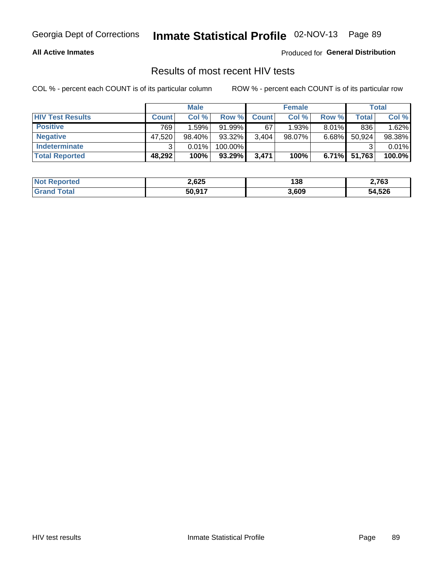#### **All Active Inmates**

Produced for **General Distribution**

### Results of most recent HIV tests

|                         |              | <b>Male</b> |         |              | <b>Female</b> |          |        | Total  |
|-------------------------|--------------|-------------|---------|--------------|---------------|----------|--------|--------|
| <b>HIV Test Results</b> | <b>Count</b> | Col%        | Row %I  | <b>Count</b> | Col %         | Row %    | Total  | Col %  |
| <b>Positive</b>         | 769          | 1.59%       | 91.99%  | 67           | 1.93%         | $8.01\%$ | 836    | 1.62%  |
| <b>Negative</b>         | 47,520       | 98.40%      | 93.32%  | 3,404        | $98.07\%$     | $6.68\%$ | 50,924 | 98.38% |
| Indeterminate           | ີ            | 0.01%       | 100.00% |              |               |          |        | 0.01%  |
| <b>Total Reported</b>   | 48,292       | 100%        | 93.29%  | 3,471        | 100%          | 6.71%    | 51,763 | 100.0% |

| <b>Not Reported</b> | 2,625  | 138   | 2,763  |
|---------------------|--------|-------|--------|
| Total<br>Gran       | 50,917 | 3,609 | 54,526 |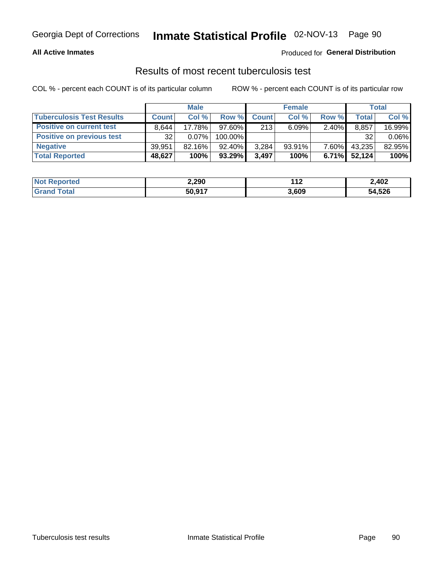#### **All Active Inmates**

#### Produced for **General Distribution**

### Results of most recent tuberculosis test

|                                  | <b>Male</b>  |           |           | <b>Female</b> |           |          | Total        |          |
|----------------------------------|--------------|-----------|-----------|---------------|-----------|----------|--------------|----------|
| <b>Tuberculosis Test Results</b> | <b>Count</b> | Col%      | Row %I    | <b>Count</b>  | Col%      | Row %    | <b>Total</b> | Col %    |
| <b>Positive on current test</b>  | 8.644        | 17.78%    | $97.60\%$ | 213           | 6.09%     | 2.40%    | 8,857        | 16.99%   |
| <b>Positive on previous test</b> | 32           | $0.07\%$  | 100.00%   |               |           |          | 32           | $0.06\%$ |
| <b>Negative</b>                  | 39.951       | $82.16\%$ | $92.40\%$ | 3,284         | $93.91\%$ | $7.60\%$ | 43,235       | 82.95%   |
| <b>Total Reported</b>            | 48,627       | 100%      | $93.29\%$ | 3.497         | 100%      | $6.71\%$ | 52.124       | 100%     |

| <b>Not Reported</b> | 2,290  | $-11o$<br>-14 | 2,402  |
|---------------------|--------|---------------|--------|
| Total               | 50,917 | 3,609         | 54,526 |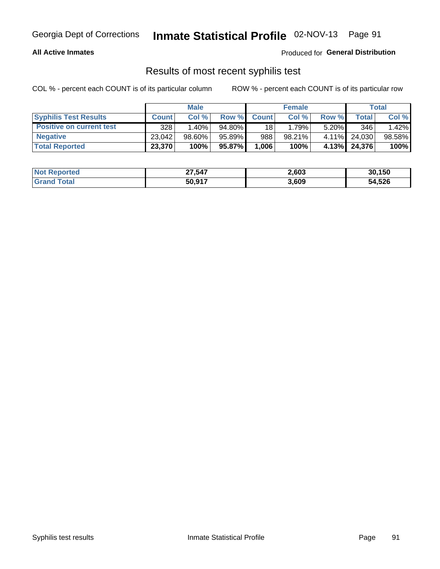#### **All Active Inmates**

Produced for **General Distribution**

### Results of most recent syphilis test

|                                 | <b>Male</b>  |           |           | <b>Female</b>   |        |          | Total  |        |
|---------------------------------|--------------|-----------|-----------|-----------------|--------|----------|--------|--------|
| <b>Syphilis Test Results</b>    | <b>Count</b> | Col%      | Row %     | <b>Count</b>    | Col %  | Row %    | Total  | Col %  |
| <b>Positive on current test</b> | 328          | $1.40\%$  | $94.80\%$ | 18 <sub>1</sub> | 1.79%  | $5.20\%$ | 346    | 1.42%  |
| <b>Negative</b>                 | 23.042       | $98.60\%$ | 95.89%    | 988             | 98.21% | $4.11\%$ | 24.030 | 98.58% |
| <b>Total Reported</b>           | 23,370       | 100%      | 95.87%    | 1,006           | 100%   | $4.13\%$ | 24,376 | 100%   |

| <b>Not Reported</b> | 27,547 | 2,603 | 30,150 |
|---------------------|--------|-------|--------|
| <b>Grand Total</b>  | 50,917 | 3,609 | 54,526 |